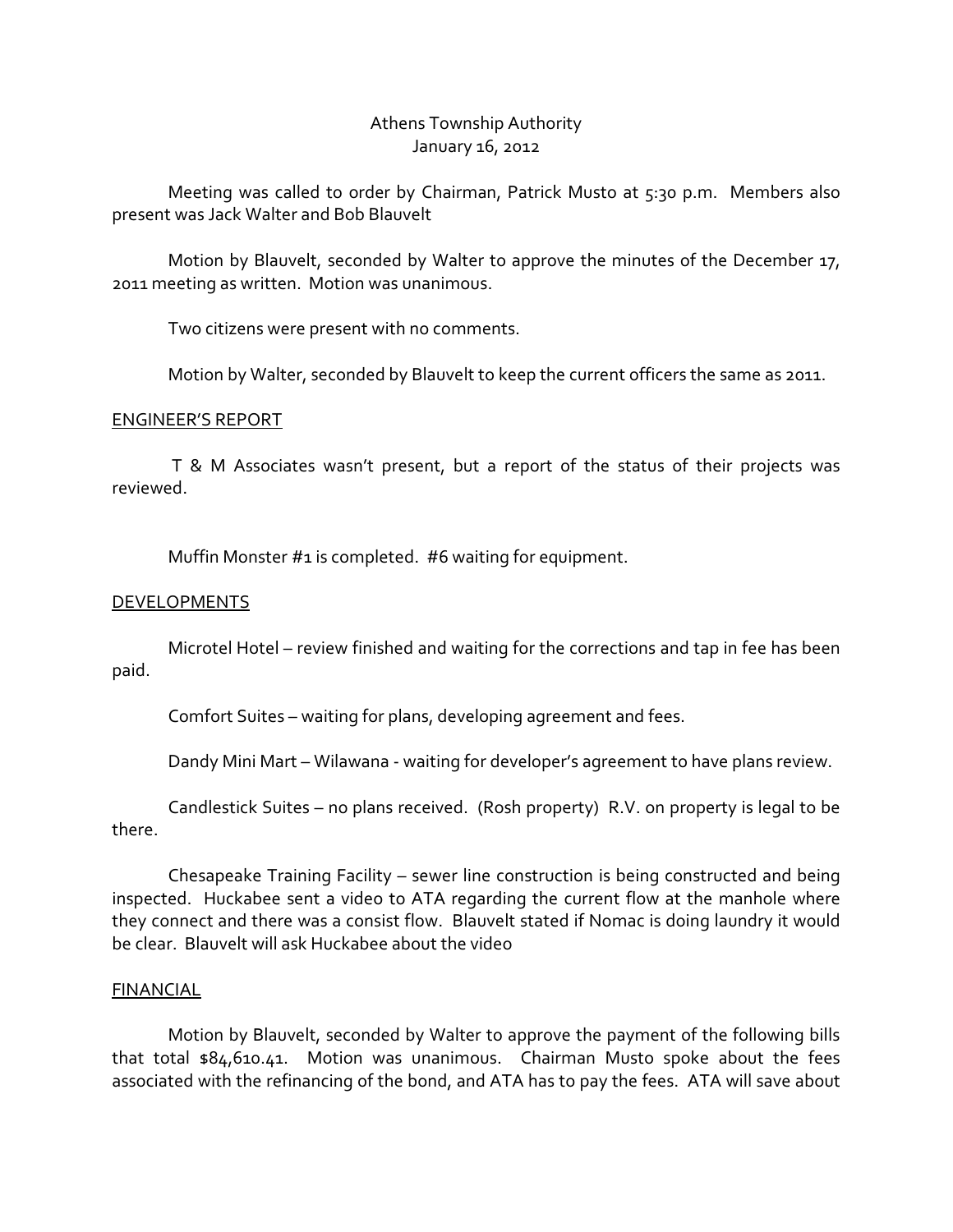# Athens Township Authority January 16, 2012

 Meeting was called to order by Chairman, Patrick Musto at 5:30 p.m. Members also present was Jack Walter and Bob Blauvelt

 Motion by Blauvelt, seconded by Walter to approve the minutes of the December 17, 2011 meeting as written. Motion was unanimous.

Two citizens were present with no comments.

Motion by Walter, seconded by Blauvelt to keep the current officers the same as 2011.

## ENGINEER'S REPORT

 T & M Associates wasn't present, but a report of the status of their projects was reviewed.

Muffin Monster #1 is completed. #6 waiting for equipment.

# **DEVELOPMENTS**

 Microtel Hotel – review finished and waiting for the corrections and tap in fee has been paid.

Comfort Suites – waiting for plans, developing agreement and fees.

Dandy Mini Mart – Wilawana - waiting for developer's agreement to have plans review.

 Candlestick Suites – no plans received. (Rosh property) R.V. on property is legal to be there.

 Chesapeake Training Facility – sewer line construction is being constructed and being inspected. Huckabee sent a video to ATA regarding the current flow at the manhole where they connect and there was a consist flow. Blauvelt stated if Nomac is doing laundry it would be clear. Blauvelt will ask Huckabee about the video

## FINANCIAL

 Motion by Blauvelt, seconded by Walter to approve the payment of the following bills that total \$84,610.41. Motion was unanimous. Chairman Musto spoke about the fees associated with the refinancing of the bond, and ATA has to pay the fees. ATA will save about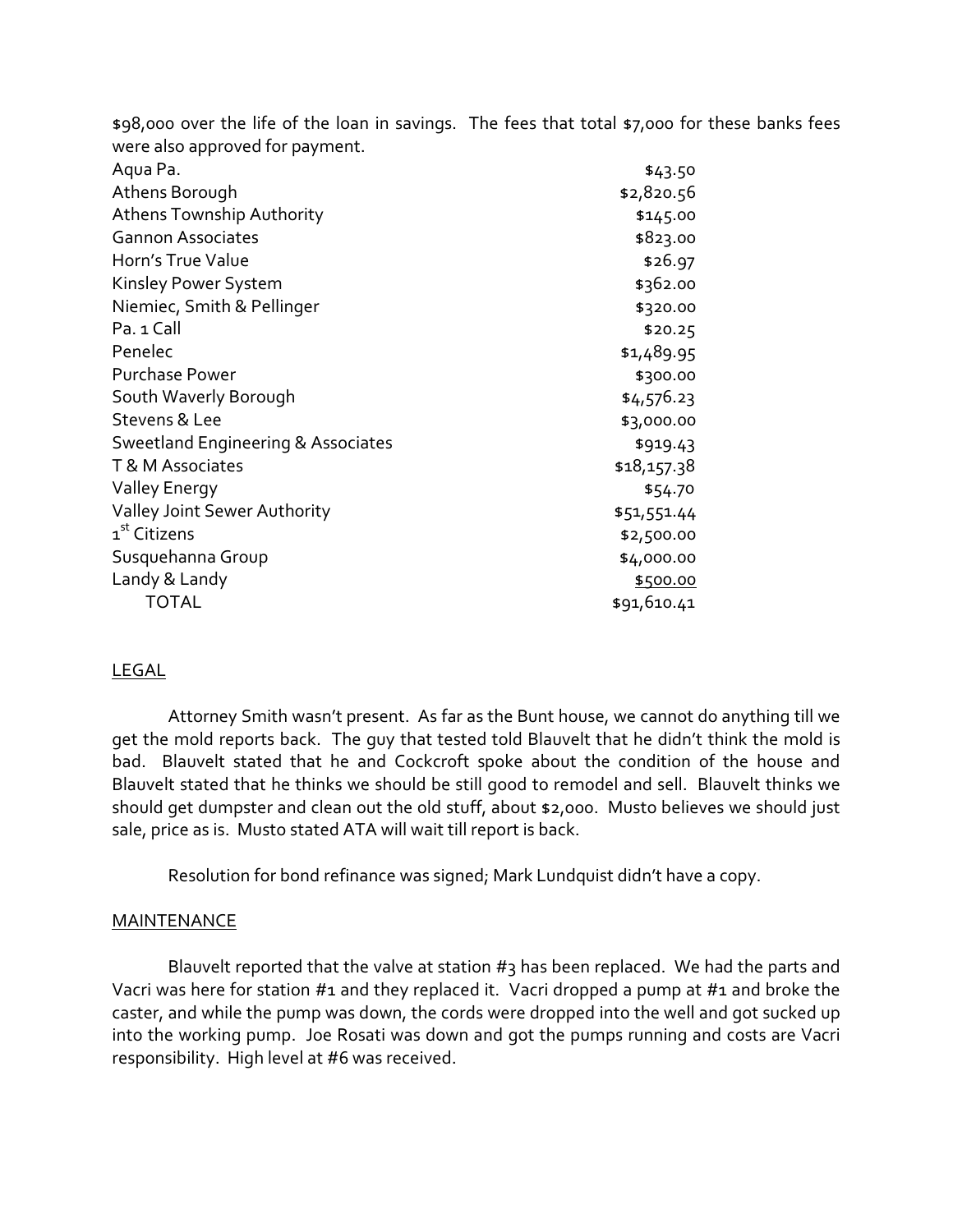|                                    | \$98,000 over the life of the loan in savings. The fees that total \$7,000 for these banks fees |
|------------------------------------|-------------------------------------------------------------------------------------------------|
| were also approved for payment.    |                                                                                                 |
| Aqua Pa.                           | \$43.50                                                                                         |
| Athens Borough                     | \$2,820.56                                                                                      |
| <b>Athens Township Authority</b>   | \$145.00                                                                                        |
| <b>Gannon Associates</b>           | \$823.00                                                                                        |
| Horn's True Value                  | \$26.97                                                                                         |
| Kinsley Power System               | \$362.00                                                                                        |
| Niemiec, Smith & Pellinger         | \$320.00                                                                                        |
| Pa. 1 Call                         | \$20.25                                                                                         |
| Penelec                            | \$1,489.95                                                                                      |
| <b>Purchase Power</b>              | \$300.00                                                                                        |
| South Waverly Borough              | \$4,576.23                                                                                      |
| Stevens & Lee                      | \$3,000.00                                                                                      |
| Sweetland Engineering & Associates | \$919.43                                                                                        |
| T & M Associates                   | \$18,157.38                                                                                     |
| <b>Valley Energy</b>               | \$54.70                                                                                         |
| Valley Joint Sewer Authority       | \$51,551.44                                                                                     |
| 1 <sup>st</sup> Citizens           | \$2,500.00                                                                                      |
| Susquehanna Group                  | \$4,000.00                                                                                      |
| Landy & Landy                      | \$500.00                                                                                        |
| <b>TOTAL</b>                       | \$91,610.41                                                                                     |
|                                    |                                                                                                 |

# LEGAL

 Attorney Smith wasn't present. As far as the Bunt house, we cannot do anything till we get the mold reports back. The guy that tested told Blauvelt that he didn't think the mold is bad. Blauvelt stated that he and Cockcroft spoke about the condition of the house and Blauvelt stated that he thinks we should be still good to remodel and sell. Blauvelt thinks we should get dumpster and clean out the old stuff, about \$2,000. Musto believes we should just sale, price as is. Musto stated ATA will wait till report is back.

Resolution for bond refinance was signed; Mark Lundquist didn't have a copy.

# **MAINTENANCE**

Blauvelt reported that the valve at station  $#_3$  has been replaced. We had the parts and Vacri was here for station #1 and they replaced it. Vacri dropped a pump at #1 and broke the caster, and while the pump was down, the cords were dropped into the well and got sucked up into the working pump. Joe Rosati was down and got the pumps running and costs are Vacri responsibility. High level at #6 was received.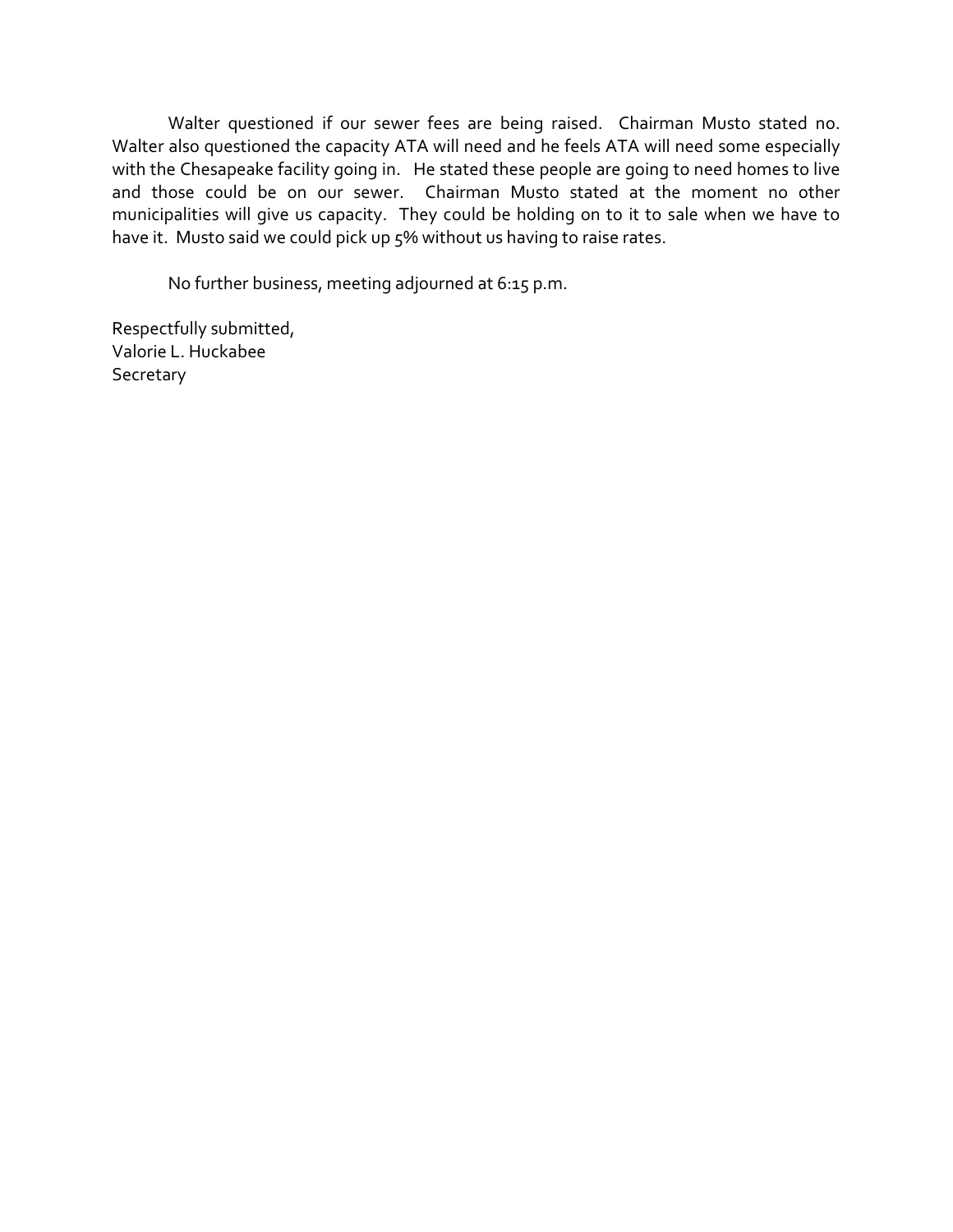Walter questioned if our sewer fees are being raised. Chairman Musto stated no. Walter also questioned the capacity ATA will need and he feels ATA will need some especially with the Chesapeake facility going in. He stated these people are going to need homes to live and those could be on our sewer. Chairman Musto stated at the moment no other municipalities will give us capacity. They could be holding on to it to sale when we have to have it. Musto said we could pick up 5% without us having to raise rates.

No further business, meeting adjourned at 6:15 p.m.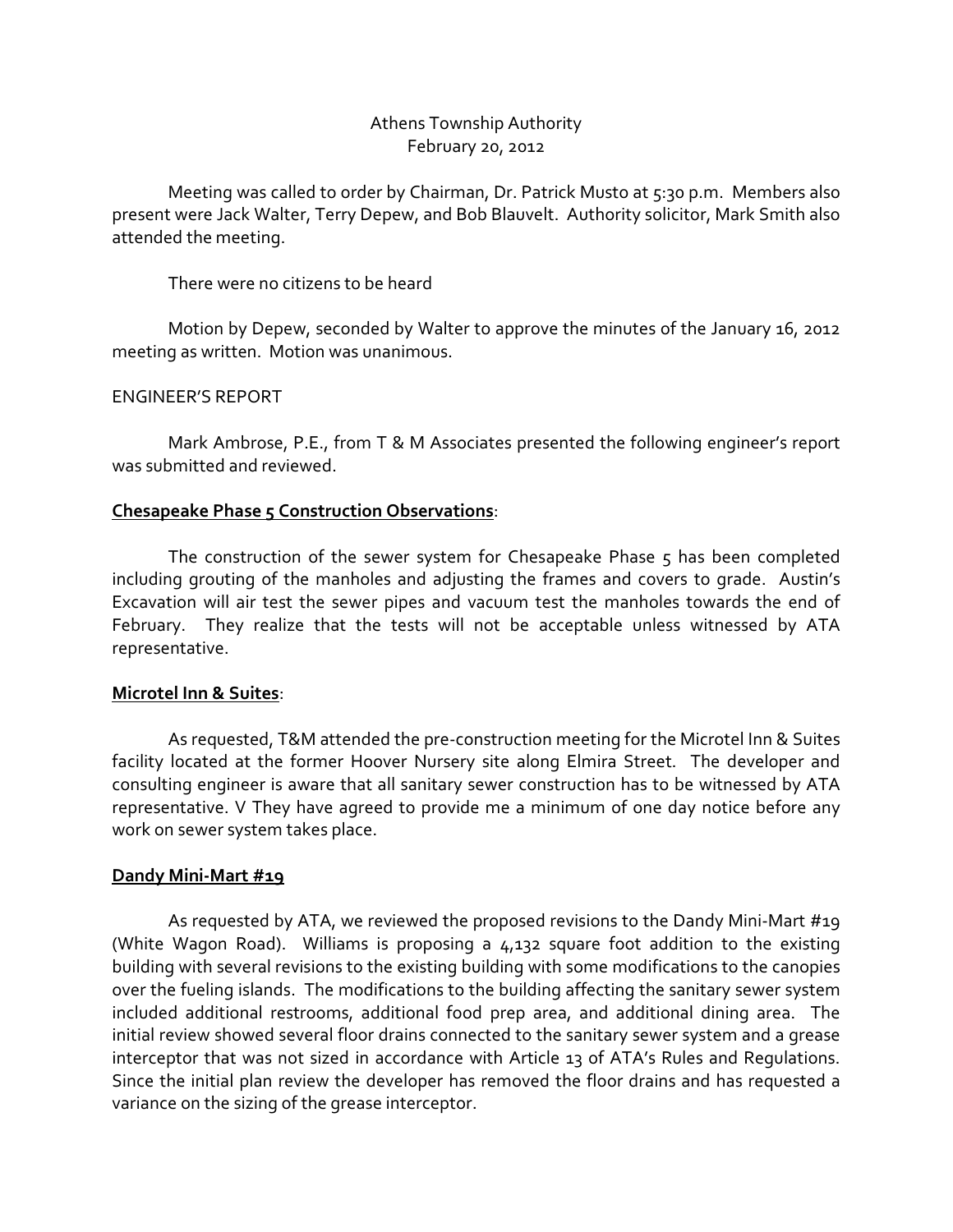# Athens Township Authority February 20, 2012

 Meeting was called to order by Chairman, Dr. Patrick Musto at 5:30 p.m. Members also present were Jack Walter, Terry Depew, and Bob Blauvelt. Authority solicitor, Mark Smith also attended the meeting.

There were no citizens to be heard

 Motion by Depew, seconded by Walter to approve the minutes of the January 16, 2012 meeting as written. Motion was unanimous.

# ENGINEER'S REPORT

 Mark Ambrose, P.E., from T & M Associates presented the following engineer's report was submitted and reviewed.

# Chesapeake Phase 5 Construction Observations:

The construction of the sewer system for Chesapeake Phase 5 has been completed including grouting of the manholes and adjusting the frames and covers to grade. Austin's Excavation will air test the sewer pipes and vacuum test the manholes towards the end of February. They realize that the tests will not be acceptable unless witnessed by ATA representative.

## Microtel Inn & Suites:

As requested, T&M attended the pre-construction meeting for the Microtel Inn & Suites facility located at the former Hoover Nursery site along Elmira Street. The developer and consulting engineer is aware that all sanitary sewer construction has to be witnessed by ATA representative. V They have agreed to provide me a minimum of one day notice before any work on sewer system takes place.

# Dandy Mini-Mart #19

As requested by ATA, we reviewed the proposed revisions to the Dandy Mini-Mart #19 (White Wagon Road). Williams is proposing a 4,132 square foot addition to the existing building with several revisions to the existing building with some modifications to the canopies over the fueling islands. The modifications to the building affecting the sanitary sewer system included additional restrooms, additional food prep area, and additional dining area. The initial review showed several floor drains connected to the sanitary sewer system and a grease interceptor that was not sized in accordance with Article 13 of ATA's Rules and Regulations. Since the initial plan review the developer has removed the floor drains and has requested a variance on the sizing of the grease interceptor.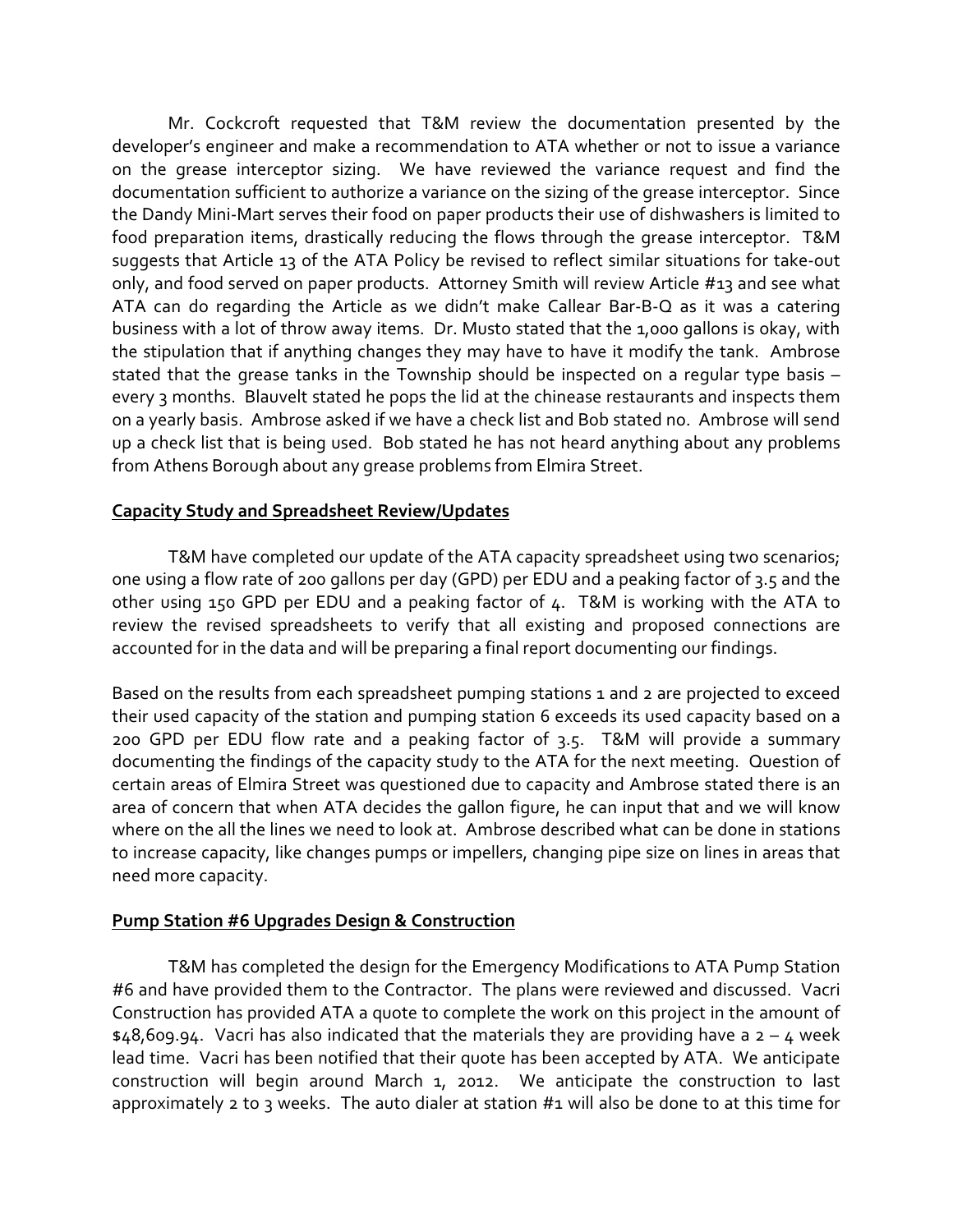Mr. Cockcroft requested that T&M review the documentation presented by the developer's engineer and make a recommendation to ATA whether or not to issue a variance on the grease interceptor sizing. We have reviewed the variance request and find the documentation sufficient to authorize a variance on the sizing of the grease interceptor. Since the Dandy Mini-Mart serves their food on paper products their use of dishwashers is limited to food preparation items, drastically reducing the flows through the grease interceptor. T&M suggests that Article 13 of the ATA Policy be revised to reflect similar situations for take-out only, and food served on paper products. Attorney Smith will review Article #13 and see what ATA can do regarding the Article as we didn't make Callear Bar-B-Q as it was a catering business with a lot of throw away items. Dr. Musto stated that the 1,000 gallons is okay, with the stipulation that if anything changes they may have to have it modify the tank. Ambrose stated that the grease tanks in the Township should be inspected on a regular type basis – every 3 months. Blauvelt stated he pops the lid at the chinease restaurants and inspects them on a yearly basis. Ambrose asked if we have a check list and Bob stated no. Ambrose will send up a check list that is being used. Bob stated he has not heard anything about any problems from Athens Borough about any grease problems from Elmira Street.

# Capacity Study and Spreadsheet Review/Updates

T&M have completed our update of the ATA capacity spreadsheet using two scenarios; one using a flow rate of 200 gallons per day (GPD) per EDU and a peaking factor of 3.5 and the other using 150 GPD per EDU and a peaking factor of 4. T&M is working with the ATA to review the revised spreadsheets to verify that all existing and proposed connections are accounted for in the data and will be preparing a final report documenting our findings.

Based on the results from each spreadsheet pumping stations 1 and 2 are projected to exceed their used capacity of the station and pumping station 6 exceeds its used capacity based on a 200 GPD per EDU flow rate and a peaking factor of 3.5. T&M will provide a summary documenting the findings of the capacity study to the ATA for the next meeting. Question of certain areas of Elmira Street was questioned due to capacity and Ambrose stated there is an area of concern that when ATA decides the gallon figure, he can input that and we will know where on the all the lines we need to look at. Ambrose described what can be done in stations to increase capacity, like changes pumps or impellers, changing pipe size on lines in areas that need more capacity.

# Pump Station #6 Upgrades Design & Construction

T&M has completed the design for the Emergency Modifications to ATA Pump Station #6 and have provided them to the Contractor. The plans were reviewed and discussed. Vacri Construction has provided ATA a quote to complete the work on this project in the amount of  $$48,609.94$ . Vacri has also indicated that the materials they are providing have a  $2 - 4$  week lead time. Vacri has been notified that their quote has been accepted by ATA. We anticipate construction will begin around March 1, 2012. We anticipate the construction to last approximately 2 to 3 weeks. The auto dialer at station #1 will also be done to at this time for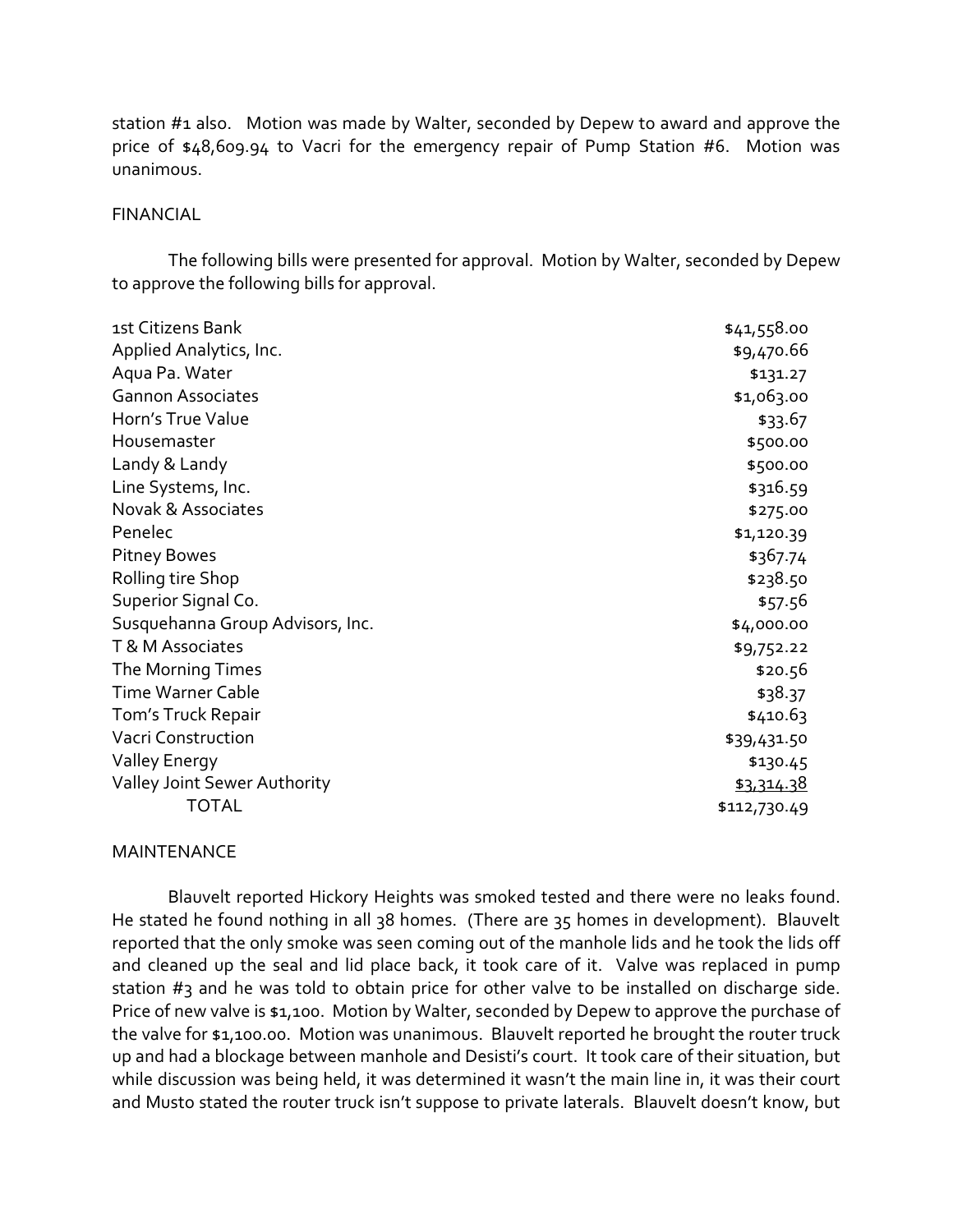station #1 also. Motion was made by Walter, seconded by Depew to award and approve the price of \$48,609.94 to Vacri for the emergency repair of Pump Station #6. Motion was unanimous.

#### **FINANCIAL**

 The following bills were presented for approval. Motion by Walter, seconded by Depew to approve the following bills for approval.

| 1st Citizens Bank                   | \$41,558.00  |
|-------------------------------------|--------------|
| Applied Analytics, Inc.             | \$9,470.66   |
| Aqua Pa. Water                      | \$131.27     |
| <b>Gannon Associates</b>            | \$1,063.00   |
| Horn's True Value                   | \$33.67      |
| Housemaster                         | \$500.00     |
| Landy & Landy                       | \$500.00     |
| Line Systems, Inc.                  | \$316.59     |
| <b>Novak &amp; Associates</b>       | \$275.00     |
| Penelec                             | \$1,120.39   |
| <b>Pitney Bowes</b>                 | \$367.74     |
| Rolling tire Shop                   | \$238.50     |
| Superior Signal Co.                 | \$57.56      |
| Susquehanna Group Advisors, Inc.    | \$4,000.00   |
| T & M Associates                    | \$9,752.22   |
| The Morning Times                   | \$20.56      |
| <b>Time Warner Cable</b>            | \$38.37      |
| Tom's Truck Repair                  | \$410.63     |
| <b>Vacri Construction</b>           | \$39,431.50  |
| Valley Energy                       | \$130.45     |
| <b>Valley Joint Sewer Authority</b> | \$3,314.38   |
| <b>TOTAL</b>                        | \$112,730.49 |

#### MAINTENANCE

 Blauvelt reported Hickory Heights was smoked tested and there were no leaks found. He stated he found nothing in all 38 homes. (There are 35 homes in development). Blauvelt reported that the only smoke was seen coming out of the manhole lids and he took the lids off and cleaned up the seal and lid place back, it took care of it. Valve was replaced in pump station  $#$ 3 and he was told to obtain price for other valve to be installed on discharge side. Price of new valve is \$1,100. Motion by Walter, seconded by Depew to approve the purchase of the valve for \$1,100.00. Motion was unanimous. Blauvelt reported he brought the router truck up and had a blockage between manhole and Desisti's court. It took care of their situation, but while discussion was being held, it was determined it wasn't the main line in, it was their court and Musto stated the router truck isn't suppose to private laterals. Blauvelt doesn't know, but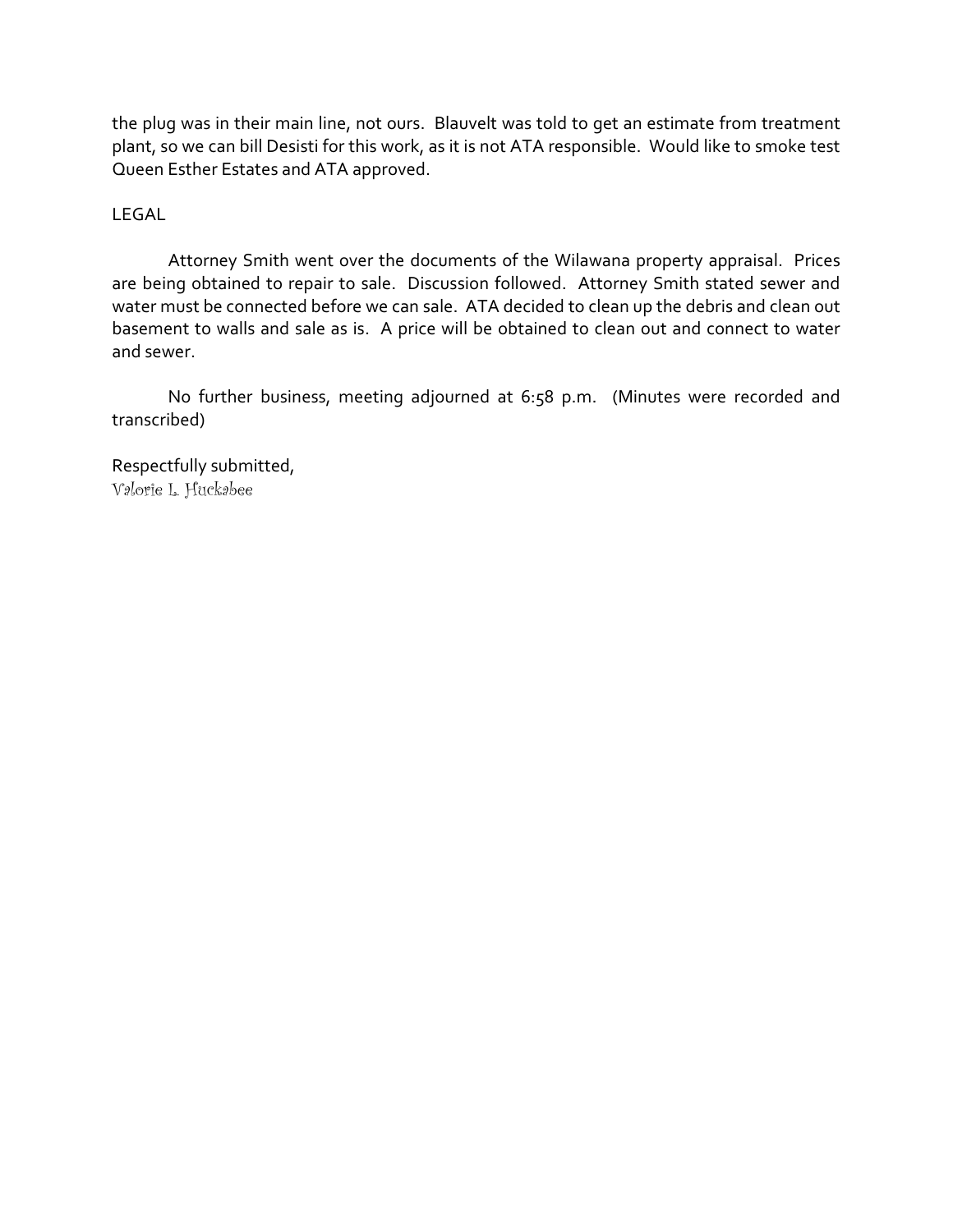the plug was in their main line, not ours. Blauvelt was told to get an estimate from treatment plant, so we can bill Desisti for this work, as it is not ATA responsible. Would like to smoke test Queen Esther Estates and ATA approved.

# LEGAL

 Attorney Smith went over the documents of the Wilawana property appraisal. Prices are being obtained to repair to sale. Discussion followed. Attorney Smith stated sewer and water must be connected before we can sale. ATA decided to clean up the debris and clean out basement to walls and sale as is. A price will be obtained to clean out and connect to water and sewer.

 No further business, meeting adjourned at 6:58 p.m. (Minutes were recorded and transcribed)

Respectfully submitted, Valorie L. Huckabee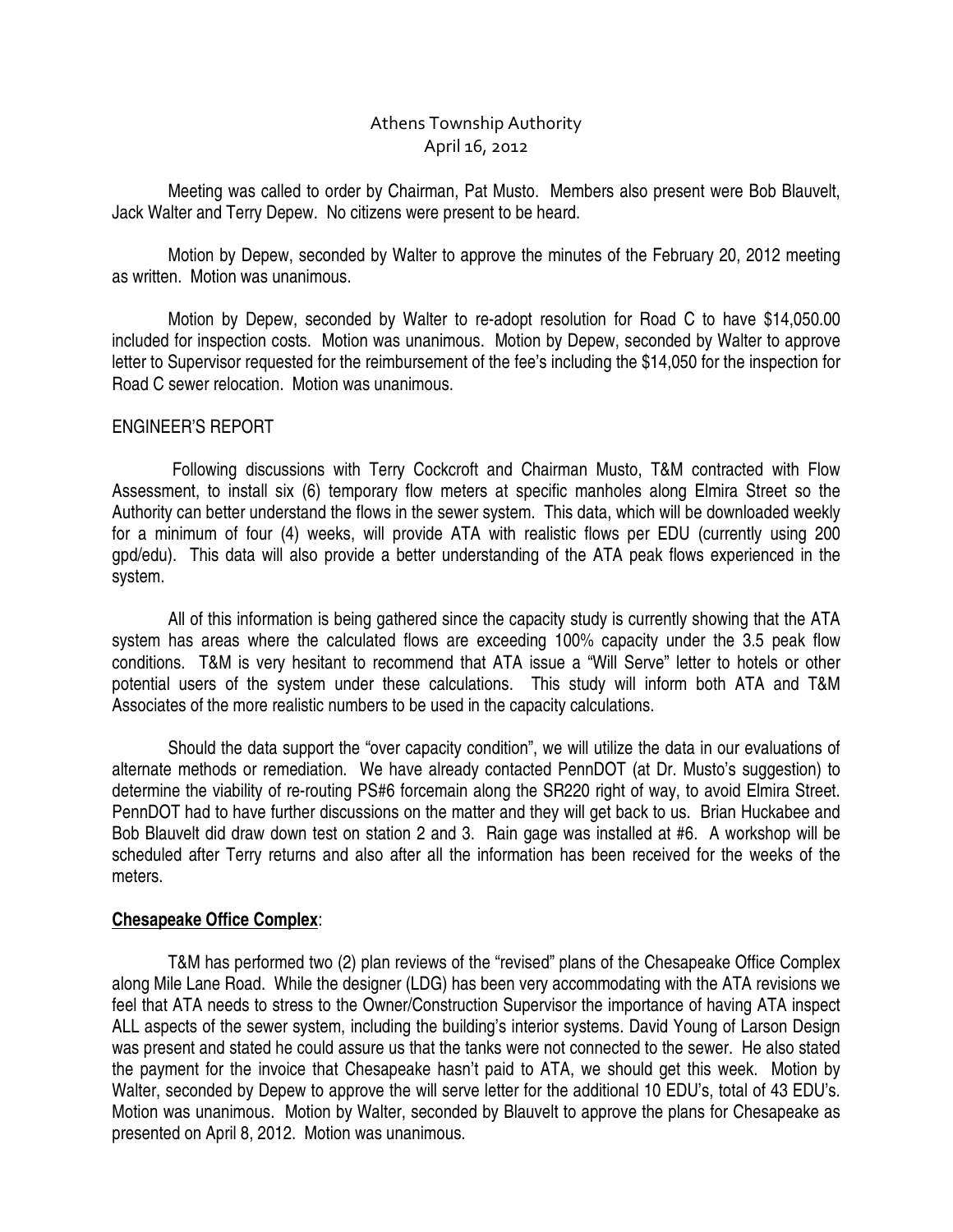# Athens Township Authority April 16, 2012

Meeting was called to order by Chairman, Pat Musto. Members also present were Bob Blauvelt, Jack Walter and Terry Depew. No citizens were present to be heard.

 Motion by Depew, seconded by Walter to approve the minutes of the February 20, 2012 meeting as written. Motion was unanimous.

 Motion by Depew, seconded by Walter to re-adopt resolution for Road C to have \$14,050.00 included for inspection costs. Motion was unanimous. Motion by Depew, seconded by Walter to approve letter to Supervisor requested for the reimbursement of the fee's including the \$14,050 for the inspection for Road C sewer relocation. Motion was unanimous.

## ENGINEER'S REPORT

 Following discussions with Terry Cockcroft and Chairman Musto, T&M contracted with Flow Assessment, to install six (6) temporary flow meters at specific manholes along Elmira Street so the Authority can better understand the flows in the sewer system. This data, which will be downloaded weekly for a minimum of four (4) weeks, will provide ATA with realistic flows per EDU (currently using 200 gpd/edu). This data will also provide a better understanding of the ATA peak flows experienced in the system.

 All of this information is being gathered since the capacity study is currently showing that the ATA system has areas where the calculated flows are exceeding 100% capacity under the 3.5 peak flow conditions. T&M is very hesitant to recommend that ATA issue a "Will Serve" letter to hotels or other potential users of the system under these calculations. This study will inform both ATA and T&M Associates of the more realistic numbers to be used in the capacity calculations.

 Should the data support the "over capacity condition", we will utilize the data in our evaluations of alternate methods or remediation. We have already contacted PennDOT (at Dr. Musto's suggestion) to determine the viability of re-routing PS#6 forcemain along the SR220 right of way, to avoid Elmira Street. PennDOT had to have further discussions on the matter and they will get back to us. Brian Huckabee and Bob Blauvelt did draw down test on station 2 and 3. Rain gage was installed at #6. A workshop will be scheduled after Terry returns and also after all the information has been received for the weeks of the meters.

## **Chesapeake Office Complex**:

 T&M has performed two (2) plan reviews of the "revised" plans of the Chesapeake Office Complex along Mile Lane Road. While the designer (LDG) has been very accommodating with the ATA revisions we feel that ATA needs to stress to the Owner/Construction Supervisor the importance of having ATA inspect ALL aspects of the sewer system, including the building's interior systems. David Young of Larson Design was present and stated he could assure us that the tanks were not connected to the sewer. He also stated the payment for the invoice that Chesapeake hasn't paid to ATA, we should get this week. Motion by Walter, seconded by Depew to approve the will serve letter for the additional 10 EDU's, total of 43 EDU's. Motion was unanimous. Motion by Walter, seconded by Blauvelt to approve the plans for Chesapeake as presented on April 8, 2012. Motion was unanimous.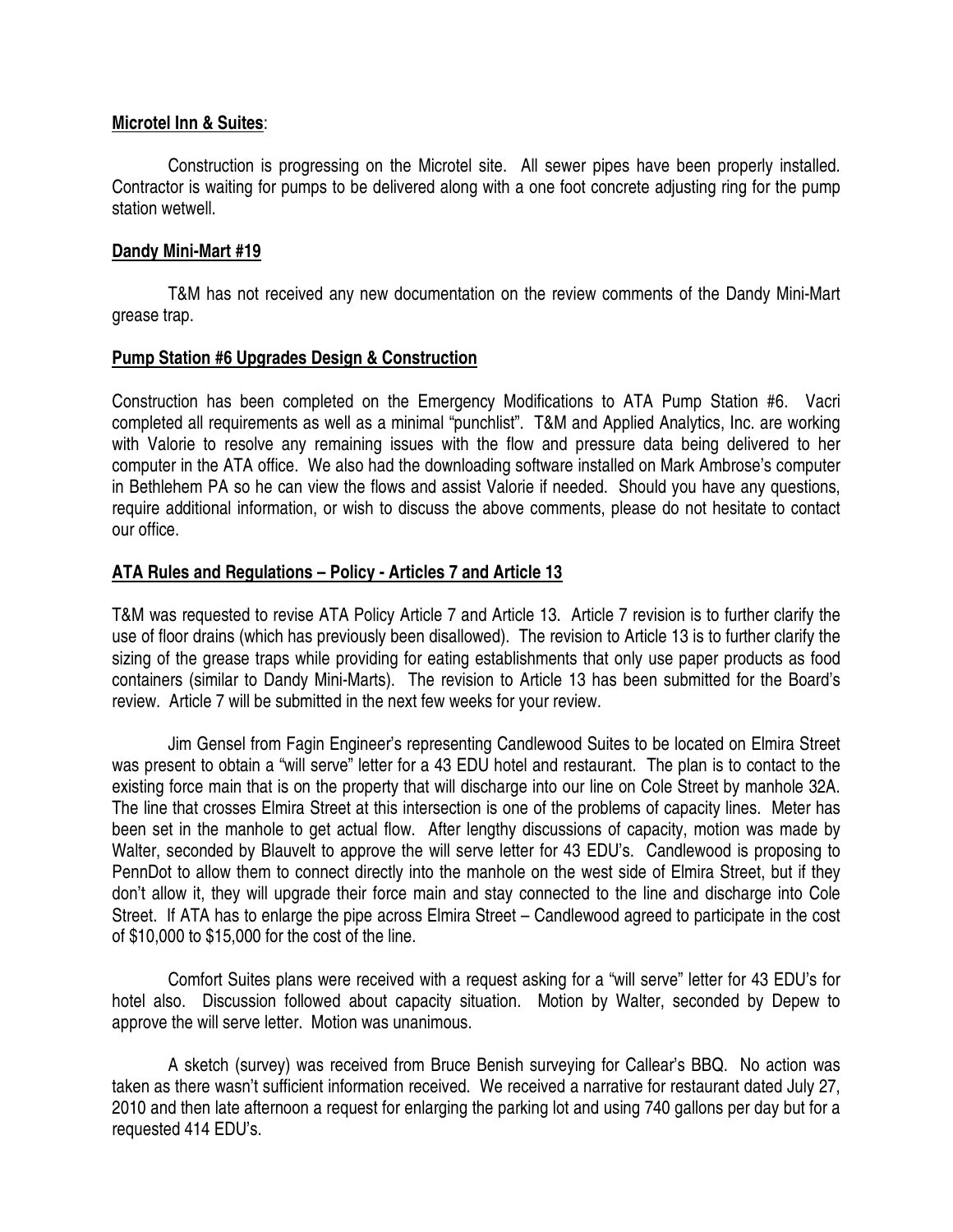## **Microtel Inn & Suites**:

 Construction is progressing on the Microtel site. All sewer pipes have been properly installed. Contractor is waiting for pumps to be delivered along with a one foot concrete adjusting ring for the pump station wetwell.

# **Dandy Mini-Mart #19**

 T&M has not received any new documentation on the review comments of the Dandy Mini-Mart grease trap.

# **Pump Station #6 Upgrades Design & Construction**

Construction has been completed on the Emergency Modifications to ATA Pump Station #6. Vacri completed all requirements as well as a minimal "punchlist". T&M and Applied Analytics, Inc. are working with Valorie to resolve any remaining issues with the flow and pressure data being delivered to her computer in the ATA office. We also had the downloading software installed on Mark Ambrose's computer in Bethlehem PA so he can view the flows and assist Valorie if needed. Should you have any questions, require additional information, or wish to discuss the above comments, please do not hesitate to contact our office.

# **ATA Rules and Regulations – Policy - Articles 7 and Article 13**

T&M was requested to revise ATA Policy Article 7 and Article 13. Article 7 revision is to further clarify the use of floor drains (which has previously been disallowed). The revision to Article 13 is to further clarify the sizing of the grease traps while providing for eating establishments that only use paper products as food containers (similar to Dandy Mini-Marts). The revision to Article 13 has been submitted for the Board's review. Article 7 will be submitted in the next few weeks for your review.

 Jim Gensel from Fagin Engineer's representing Candlewood Suites to be located on Elmira Street was present to obtain a "will serve" letter for a 43 EDU hotel and restaurant. The plan is to contact to the existing force main that is on the property that will discharge into our line on Cole Street by manhole 32A. The line that crosses Elmira Street at this intersection is one of the problems of capacity lines. Meter has been set in the manhole to get actual flow. After lengthy discussions of capacity, motion was made by Walter, seconded by Blauvelt to approve the will serve letter for 43 EDU's. Candlewood is proposing to PennDot to allow them to connect directly into the manhole on the west side of Elmira Street, but if they don't allow it, they will upgrade their force main and stay connected to the line and discharge into Cole Street. If ATA has to enlarge the pipe across Elmira Street – Candlewood agreed to participate in the cost of \$10,000 to \$15,000 for the cost of the line.

 Comfort Suites plans were received with a request asking for a "will serve" letter for 43 EDU's for hotel also. Discussion followed about capacity situation. Motion by Walter, seconded by Depew to approve the will serve letter. Motion was unanimous.

 A sketch (survey) was received from Bruce Benish surveying for Callear's BBQ. No action was taken as there wasn't sufficient information received. We received a narrative for restaurant dated July 27, 2010 and then late afternoon a request for enlarging the parking lot and using 740 gallons per day but for a requested 414 EDU's.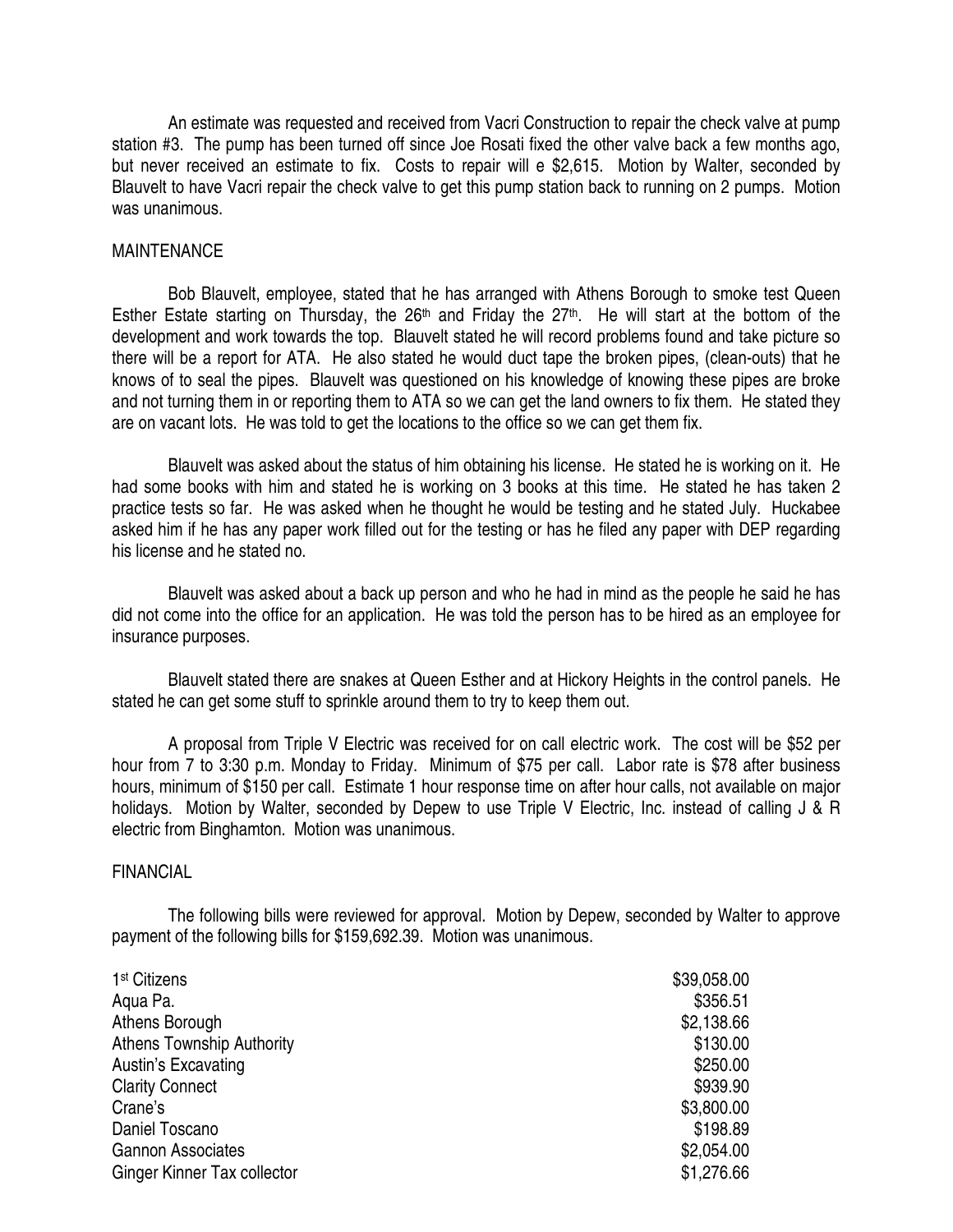An estimate was requested and received from Vacri Construction to repair the check valve at pump station #3. The pump has been turned off since Joe Rosati fixed the other valve back a few months ago, but never received an estimate to fix. Costs to repair will e \$2,615. Motion by Walter, seconded by Blauvelt to have Vacri repair the check valve to get this pump station back to running on 2 pumps. Motion was unanimous.

### MAINTENANCE

 Bob Blauvelt, employee, stated that he has arranged with Athens Borough to smoke test Queen Esther Estate starting on Thursday, the 26<sup>th</sup> and Friday the 27<sup>th</sup>. He will start at the bottom of the development and work towards the top. Blauvelt stated he will record problems found and take picture so there will be a report for ATA. He also stated he would duct tape the broken pipes, (clean-outs) that he knows of to seal the pipes. Blauvelt was questioned on his knowledge of knowing these pipes are broke and not turning them in or reporting them to ATA so we can get the land owners to fix them. He stated they are on vacant lots. He was told to get the locations to the office so we can get them fix.

 Blauvelt was asked about the status of him obtaining his license. He stated he is working on it. He had some books with him and stated he is working on 3 books at this time. He stated he has taken 2 practice tests so far. He was asked when he thought he would be testing and he stated July. Huckabee asked him if he has any paper work filled out for the testing or has he filed any paper with DEP regarding his license and he stated no.

 Blauvelt was asked about a back up person and who he had in mind as the people he said he has did not come into the office for an application. He was told the person has to be hired as an employee for insurance purposes.

 Blauvelt stated there are snakes at Queen Esther and at Hickory Heights in the control panels. He stated he can get some stuff to sprinkle around them to try to keep them out.

 A proposal from Triple V Electric was received for on call electric work. The cost will be \$52 per hour from 7 to 3:30 p.m. Monday to Friday. Minimum of \$75 per call. Labor rate is \$78 after business hours, minimum of \$150 per call. Estimate 1 hour response time on after hour calls, not available on major holidays. Motion by Walter, seconded by Depew to use Triple V Electric, Inc. instead of calling J & R electric from Binghamton. Motion was unanimous.

## FINANCIAL

 The following bills were reviewed for approval. Motion by Depew, seconded by Walter to approve payment of the following bills for \$159,692.39. Motion was unanimous.

| 1 <sup>st</sup> Citizens           | \$39,058.00 |
|------------------------------------|-------------|
| Aqua Pa.                           | \$356.51    |
| Athens Borough                     | \$2,138.66  |
| <b>Athens Township Authority</b>   | \$130.00    |
| Austin's Excavating                | \$250.00    |
| <b>Clarity Connect</b>             | \$939.90    |
| Crane's                            | \$3,800.00  |
| Daniel Toscano                     | \$198.89    |
| <b>Gannon Associates</b>           | \$2,054.00  |
| <b>Ginger Kinner Tax collector</b> | \$1,276.66  |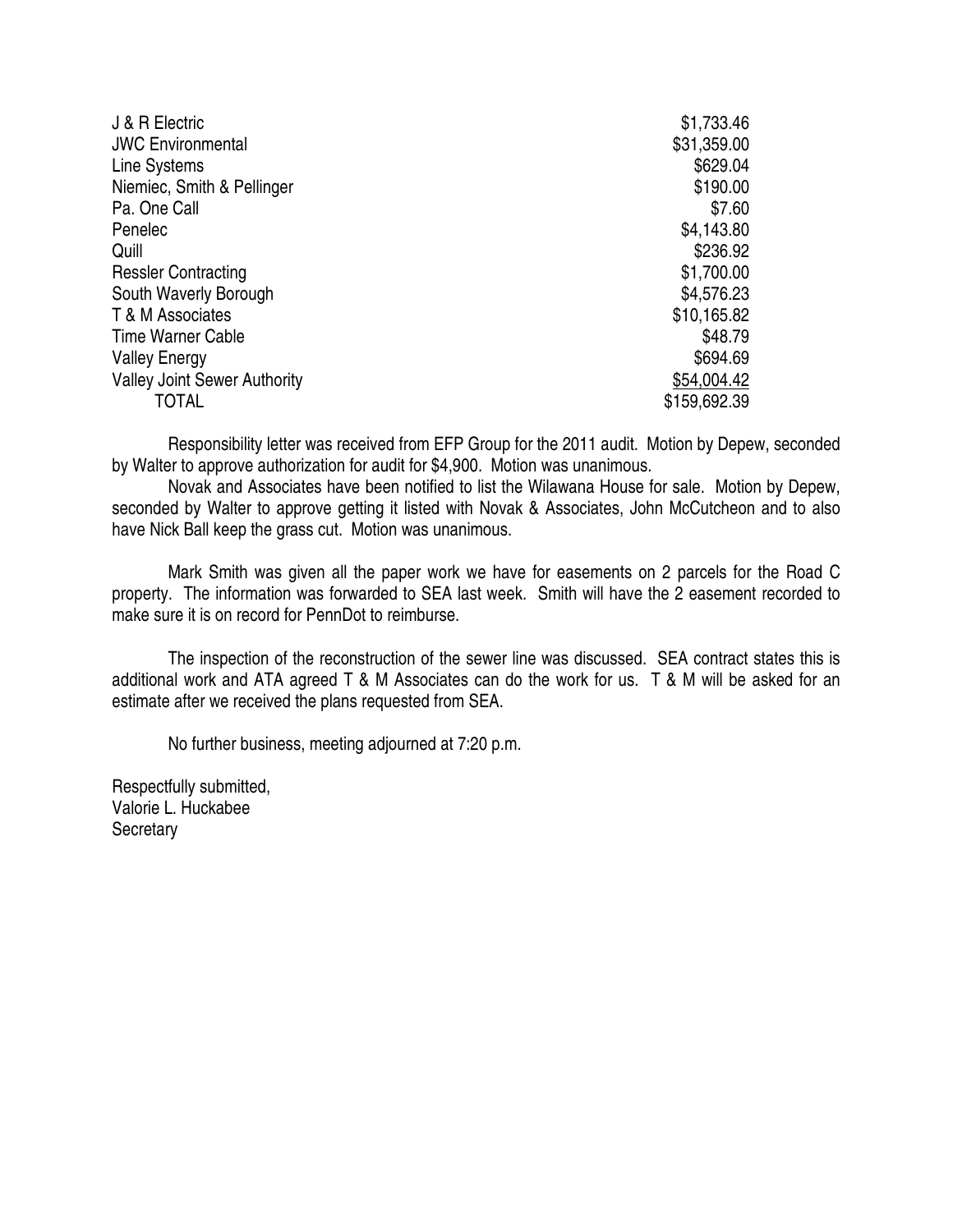| <b>JWC Environmental</b>            | \$31,359.00  |
|-------------------------------------|--------------|
|                                     |              |
| Line Systems                        | \$629.04     |
| Niemiec, Smith & Pellinger          | \$190.00     |
| Pa. One Call                        | \$7.60       |
| Penelec                             | \$4,143.80   |
| Quill                               | \$236.92     |
| <b>Ressler Contracting</b>          | \$1,700.00   |
| South Waverly Borough               | \$4,576.23   |
| T & M Associates                    | \$10,165.82  |
| <b>Time Warner Cable</b>            | \$48.79      |
| <b>Valley Energy</b>                | \$694.69     |
| <b>Valley Joint Sewer Authority</b> | \$54,004.42  |
| TOTAL                               | \$159,692.39 |

 Responsibility letter was received from EFP Group for the 2011 audit. Motion by Depew, seconded by Walter to approve authorization for audit for \$4,900. Motion was unanimous.

 Novak and Associates have been notified to list the Wilawana House for sale. Motion by Depew, seconded by Walter to approve getting it listed with Novak & Associates, John McCutcheon and to also have Nick Ball keep the grass cut. Motion was unanimous.

 Mark Smith was given all the paper work we have for easements on 2 parcels for the Road C property. The information was forwarded to SEA last week. Smith will have the 2 easement recorded to make sure it is on record for PennDot to reimburse.

 The inspection of the reconstruction of the sewer line was discussed. SEA contract states this is additional work and ATA agreed T & M Associates can do the work for us. T & M will be asked for an estimate after we received the plans requested from SEA.

No further business, meeting adjourned at 7:20 p.m.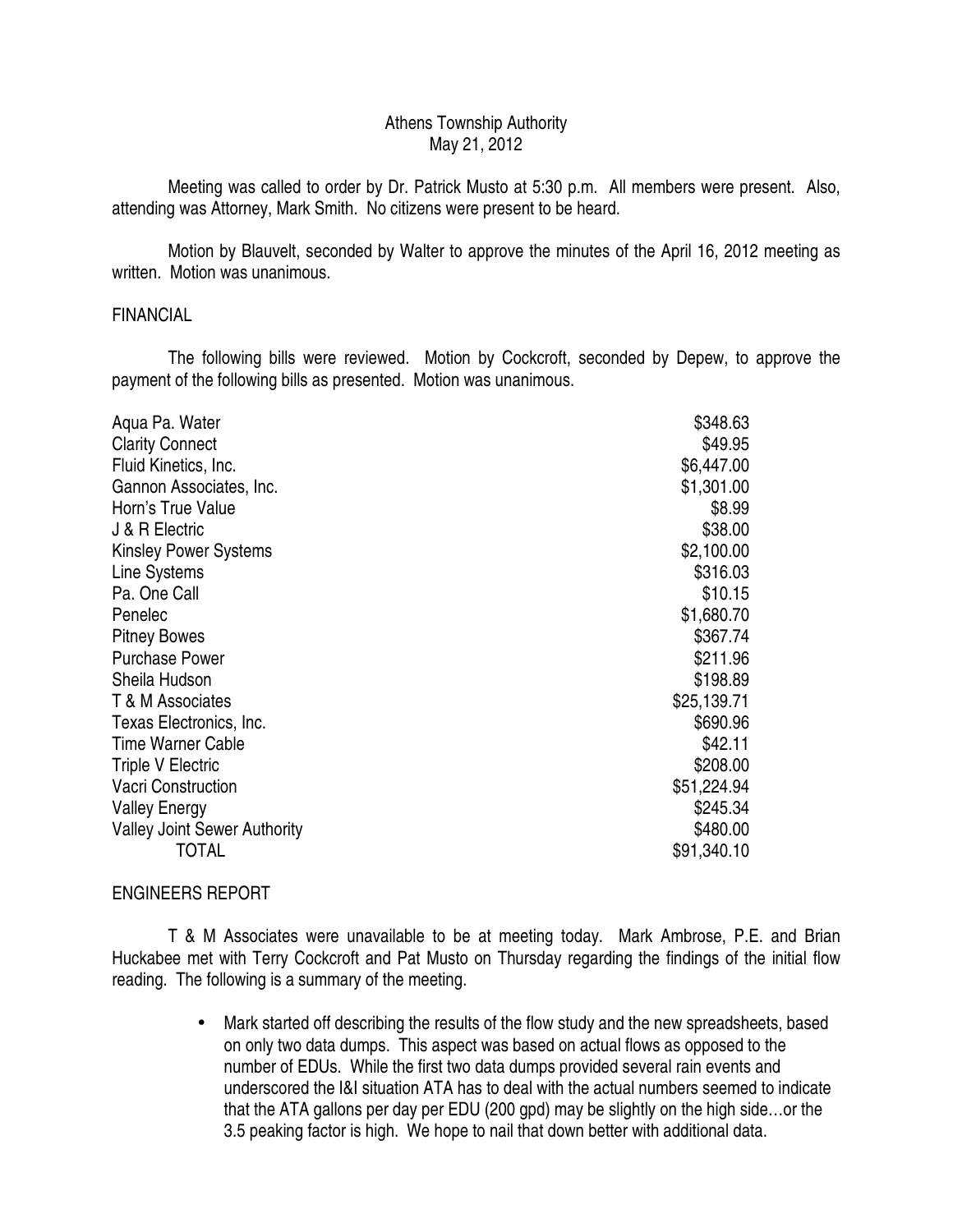## Athens Township Authority May 21, 2012

 Meeting was called to order by Dr. Patrick Musto at 5:30 p.m. All members were present. Also, attending was Attorney, Mark Smith. No citizens were present to be heard.

 Motion by Blauvelt, seconded by Walter to approve the minutes of the April 16, 2012 meeting as written. Motion was unanimous.

## FINANCIAL

 The following bills were reviewed. Motion by Cockcroft, seconded by Depew, to approve the payment of the following bills as presented. Motion was unanimous.

| Aqua Pa. Water                      | \$348.63    |
|-------------------------------------|-------------|
| <b>Clarity Connect</b>              | \$49.95     |
| Fluid Kinetics, Inc.                | \$6,447.00  |
| Gannon Associates, Inc.             | \$1,301.00  |
| Horn's True Value                   | \$8.99      |
| J & R Electric                      | \$38.00     |
| <b>Kinsley Power Systems</b>        | \$2,100.00  |
| Line Systems                        | \$316.03    |
| Pa. One Call                        | \$10.15     |
| Penelec                             | \$1,680.70  |
| <b>Pitney Bowes</b>                 | \$367.74    |
| <b>Purchase Power</b>               | \$211.96    |
| Sheila Hudson                       | \$198.89    |
| T & M Associates                    | \$25,139.71 |
| Texas Electronics, Inc.             | \$690.96    |
| <b>Time Warner Cable</b>            | \$42.11     |
| <b>Triple V Electric</b>            | \$208.00    |
| <b>Vacri Construction</b>           | \$51,224.94 |
| <b>Valley Energy</b>                | \$245.34    |
| <b>Valley Joint Sewer Authority</b> | \$480.00    |
| TOTAL                               | \$91,340.10 |

## ENGINEERS REPORT

 T & M Associates were unavailable to be at meeting today. Mark Ambrose, P.E. and Brian Huckabee met with Terry Cockcroft and Pat Musto on Thursday regarding the findings of the initial flow reading. The following is a summary of the meeting.

> • Mark started off describing the results of the flow study and the new spreadsheets, based on only two data dumps. This aspect was based on actual flows as opposed to the number of EDUs. While the first two data dumps provided several rain events and underscored the I&I situation ATA has to deal with the actual numbers seemed to indicate that the ATA gallons per day per EDU (200 gpd) may be slightly on the high side…or the 3.5 peaking factor is high. We hope to nail that down better with additional data.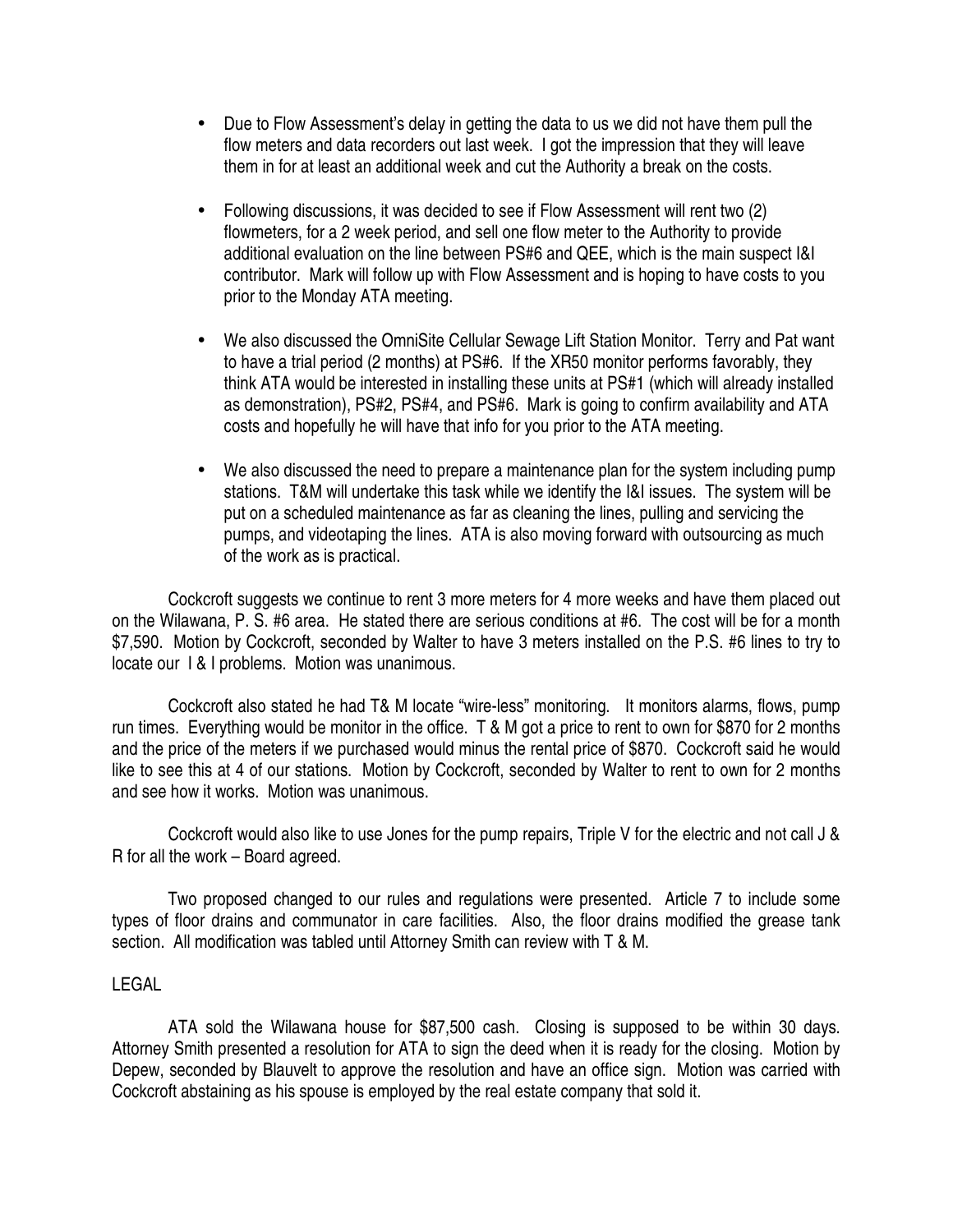- Due to Flow Assessment's delay in getting the data to us we did not have them pull the flow meters and data recorders out last week. I got the impression that they will leave them in for at least an additional week and cut the Authority a break on the costs.
- Following discussions, it was decided to see if Flow Assessment will rent two (2) flowmeters, for a 2 week period, and sell one flow meter to the Authority to provide additional evaluation on the line between PS#6 and QEE, which is the main suspect I&I contributor. Mark will follow up with Flow Assessment and is hoping to have costs to you prior to the Monday ATA meeting.
- We also discussed the OmniSite Cellular Sewage Lift Station Monitor. Terry and Pat want to have a trial period (2 months) at PS#6. If the XR50 monitor performs favorably, they think ATA would be interested in installing these units at PS#1 (which will already installed as demonstration), PS#2, PS#4, and PS#6. Mark is going to confirm availability and ATA costs and hopefully he will have that info for you prior to the ATA meeting.
- We also discussed the need to prepare a maintenance plan for the system including pump stations. T&M will undertake this task while we identify the I&I issues. The system will be put on a scheduled maintenance as far as cleaning the lines, pulling and servicing the pumps, and videotaping the lines. ATA is also moving forward with outsourcing as much of the work as is practical.

 Cockcroft suggests we continue to rent 3 more meters for 4 more weeks and have them placed out on the Wilawana, P. S. #6 area. He stated there are serious conditions at #6. The cost will be for a month \$7,590. Motion by Cockcroft, seconded by Walter to have 3 meters installed on the P.S. #6 lines to try to locate our I & I problems. Motion was unanimous.

 Cockcroft also stated he had T& M locate "wire-less" monitoring. It monitors alarms, flows, pump run times. Everything would be monitor in the office. T & M got a price to rent to own for \$870 for 2 months and the price of the meters if we purchased would minus the rental price of \$870. Cockcroft said he would like to see this at 4 of our stations. Motion by Cockcroft, seconded by Walter to rent to own for 2 months and see how it works. Motion was unanimous.

 Cockcroft would also like to use Jones for the pump repairs, Triple V for the electric and not call J & R for all the work – Board agreed.

 Two proposed changed to our rules and regulations were presented. Article 7 to include some types of floor drains and communator in care facilities. Also, the floor drains modified the grease tank section. All modification was tabled until Attorney Smith can review with T & M.

## LEGAL

 ATA sold the Wilawana house for \$87,500 cash. Closing is supposed to be within 30 days. Attorney Smith presented a resolution for ATA to sign the deed when it is ready for the closing. Motion by Depew, seconded by Blauvelt to approve the resolution and have an office sign. Motion was carried with Cockcroft abstaining as his spouse is employed by the real estate company that sold it.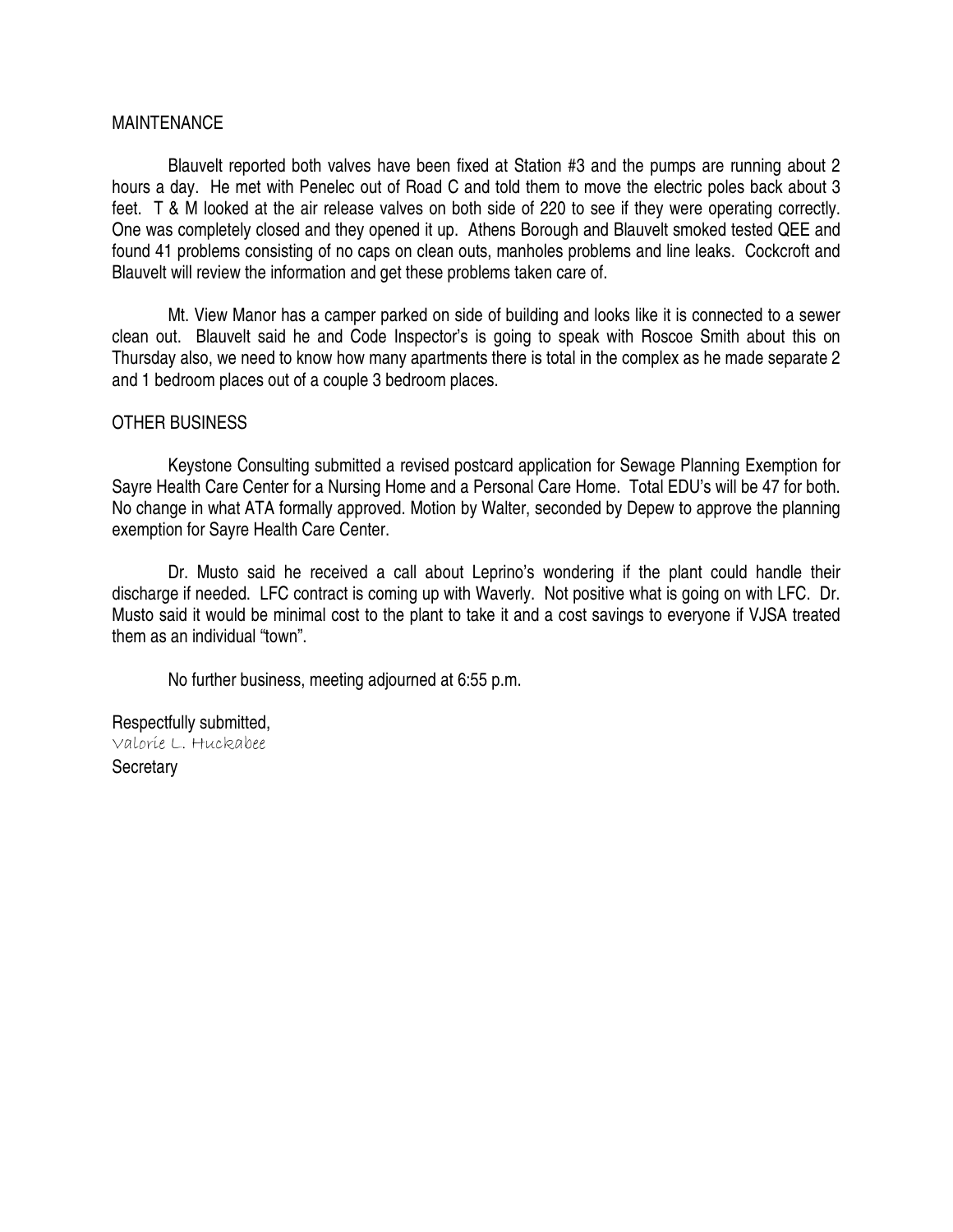## MAINTENANCE

 Blauvelt reported both valves have been fixed at Station #3 and the pumps are running about 2 hours a day. He met with Penelec out of Road C and told them to move the electric poles back about 3 feet. T & M looked at the air release valves on both side of 220 to see if they were operating correctly. One was completely closed and they opened it up. Athens Borough and Blauvelt smoked tested QEE and found 41 problems consisting of no caps on clean outs, manholes problems and line leaks. Cockcroft and Blauvelt will review the information and get these problems taken care of.

 Mt. View Manor has a camper parked on side of building and looks like it is connected to a sewer clean out. Blauvelt said he and Code Inspector's is going to speak with Roscoe Smith about this on Thursday also, we need to know how many apartments there is total in the complex as he made separate 2 and 1 bedroom places out of a couple 3 bedroom places.

## OTHER BUSINESS

 Keystone Consulting submitted a revised postcard application for Sewage Planning Exemption for Sayre Health Care Center for a Nursing Home and a Personal Care Home. Total EDU's will be 47 for both. No change in what ATA formally approved. Motion by Walter, seconded by Depew to approve the planning exemption for Sayre Health Care Center.

 Dr. Musto said he received a call about Leprino's wondering if the plant could handle their discharge if needed. LFC contract is coming up with Waverly. Not positive what is going on with LFC. Dr. Musto said it would be minimal cost to the plant to take it and a cost savings to everyone if VJSA treated them as an individual "town".

No further business, meeting adjourned at 6:55 p.m.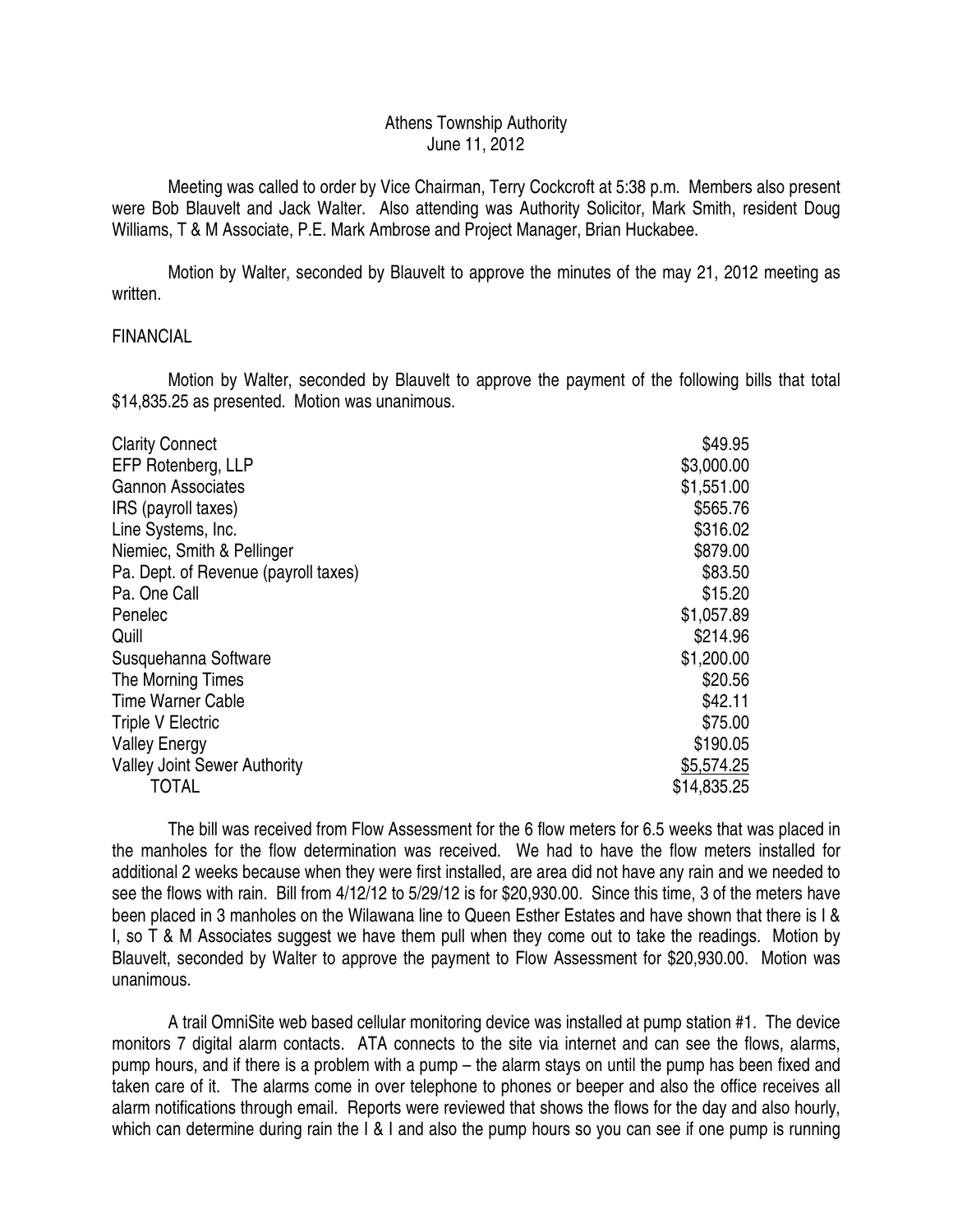## Athens Township Authority June 11, 2012

 Meeting was called to order by Vice Chairman, Terry Cockcroft at 5:38 p.m. Members also present were Bob Blauvelt and Jack Walter. Also attending was Authority Solicitor, Mark Smith, resident Doug Williams, T & M Associate, P.E. Mark Ambrose and Project Manager, Brian Huckabee.

 Motion by Walter, seconded by Blauvelt to approve the minutes of the may 21, 2012 meeting as written.

### FINANCIAL

 Motion by Walter, seconded by Blauvelt to approve the payment of the following bills that total \$14,835.25 as presented. Motion was unanimous.

| <b>Clarity Connect</b>               | \$49.95     |
|--------------------------------------|-------------|
| EFP Rotenberg, LLP                   | \$3,000.00  |
| <b>Gannon Associates</b>             | \$1,551.00  |
| IRS (payroll taxes)                  | \$565.76    |
| Line Systems, Inc.                   | \$316.02    |
| Niemiec, Smith & Pellinger           | \$879.00    |
| Pa. Dept. of Revenue (payroll taxes) | \$83.50     |
| Pa. One Call                         | \$15.20     |
| Penelec                              | \$1,057.89  |
| Quill                                | \$214.96    |
| Susquehanna Software                 | \$1,200.00  |
| The Morning Times                    | \$20.56     |
| <b>Time Warner Cable</b>             | \$42.11     |
| <b>Triple V Electric</b>             | \$75.00     |
| <b>Valley Energy</b>                 | \$190.05    |
| <b>Valley Joint Sewer Authority</b>  | \$5,574.25  |
| TOTAL                                | \$14,835.25 |

 The bill was received from Flow Assessment for the 6 flow meters for 6.5 weeks that was placed in the manholes for the flow determination was received. We had to have the flow meters installed for additional 2 weeks because when they were first installed, are area did not have any rain and we needed to see the flows with rain. Bill from 4/12/12 to 5/29/12 is for \$20,930.00. Since this time, 3 of the meters have been placed in 3 manholes on the Wilawana line to Queen Esther Estates and have shown that there is I & I, so T & M Associates suggest we have them pull when they come out to take the readings. Motion by Blauvelt, seconded by Walter to approve the payment to Flow Assessment for \$20,930.00. Motion was unanimous.

 A trail OmniSite web based cellular monitoring device was installed at pump station #1. The device monitors 7 digital alarm contacts. ATA connects to the site via internet and can see the flows, alarms, pump hours, and if there is a problem with a pump – the alarm stays on until the pump has been fixed and taken care of it. The alarms come in over telephone to phones or beeper and also the office receives all alarm notifications through email. Reports were reviewed that shows the flows for the day and also hourly, which can determine during rain the I & I and also the pump hours so you can see if one pump is running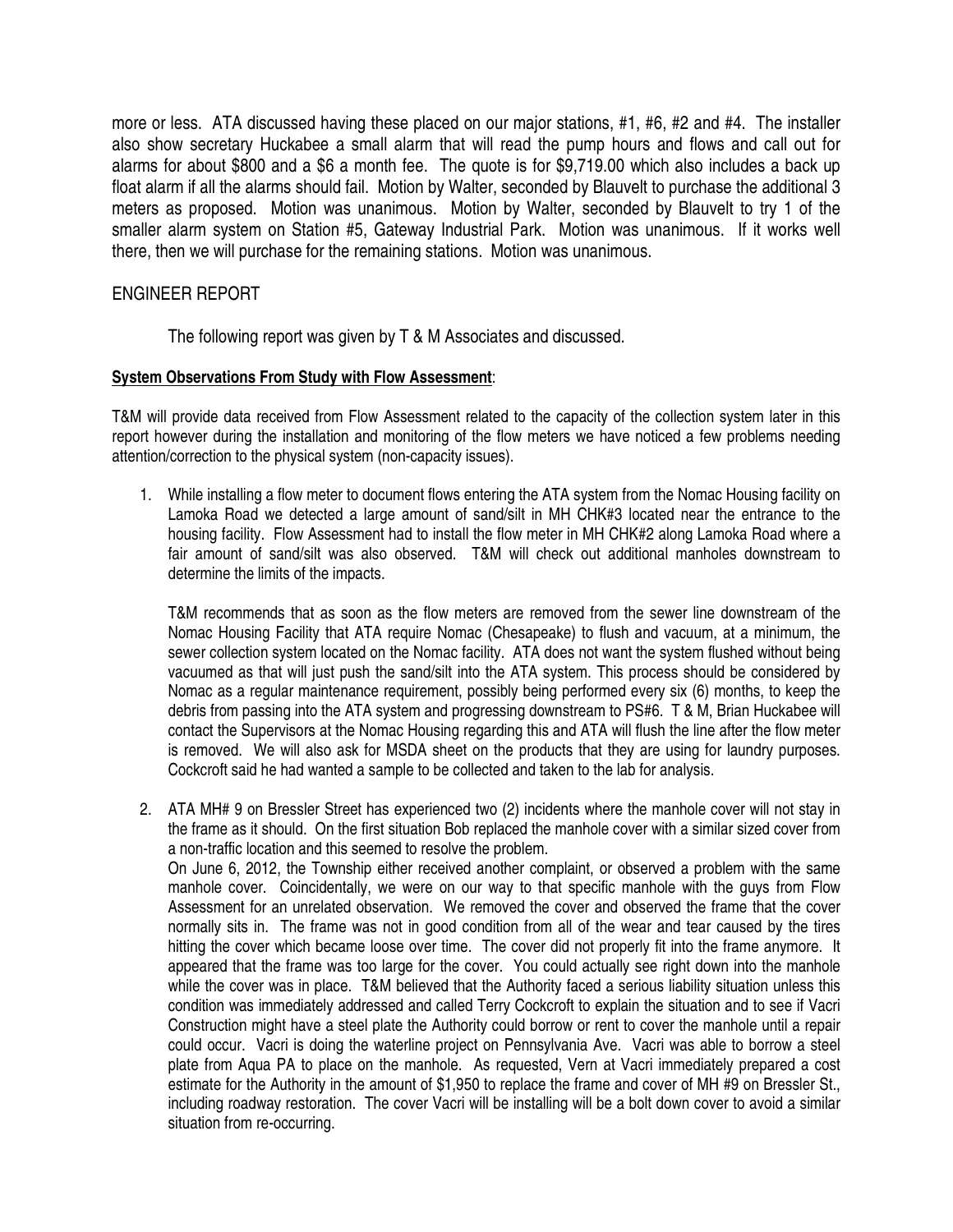more or less. ATA discussed having these placed on our major stations, #1, #6, #2 and #4. The installer also show secretary Huckabee a small alarm that will read the pump hours and flows and call out for alarms for about \$800 and a \$6 a month fee. The quote is for \$9,719.00 which also includes a back up float alarm if all the alarms should fail. Motion by Walter, seconded by Blauvelt to purchase the additional 3 meters as proposed. Motion was unanimous. Motion by Walter, seconded by Blauvelt to try 1 of the smaller alarm system on Station #5, Gateway Industrial Park. Motion was unanimous. If it works well there, then we will purchase for the remaining stations. Motion was unanimous.

# ENGINEER REPORT

The following report was given by T & M Associates and discussed.

## **System Observations From Study with Flow Assessment**:

T&M will provide data received from Flow Assessment related to the capacity of the collection system later in this report however during the installation and monitoring of the flow meters we have noticed a few problems needing attention/correction to the physical system (non-capacity issues).

1. While installing a flow meter to document flows entering the ATA system from the Nomac Housing facility on Lamoka Road we detected a large amount of sand/silt in MH CHK#3 located near the entrance to the housing facility. Flow Assessment had to install the flow meter in MH CHK#2 along Lamoka Road where a fair amount of sand/silt was also observed. T&M will check out additional manholes downstream to determine the limits of the impacts.

T&M recommends that as soon as the flow meters are removed from the sewer line downstream of the Nomac Housing Facility that ATA require Nomac (Chesapeake) to flush and vacuum, at a minimum, the sewer collection system located on the Nomac facility. ATA does not want the system flushed without being vacuumed as that will just push the sand/silt into the ATA system. This process should be considered by Nomac as a regular maintenance requirement, possibly being performed every six (6) months, to keep the debris from passing into the ATA system and progressing downstream to PS#6. T & M, Brian Huckabee will contact the Supervisors at the Nomac Housing regarding this and ATA will flush the line after the flow meter is removed. We will also ask for MSDA sheet on the products that they are using for laundry purposes. Cockcroft said he had wanted a sample to be collected and taken to the lab for analysis.

2. ATA MH# 9 on Bressler Street has experienced two (2) incidents where the manhole cover will not stay in the frame as it should. On the first situation Bob replaced the manhole cover with a similar sized cover from a non-traffic location and this seemed to resolve the problem.

On June 6, 2012, the Township either received another complaint, or observed a problem with the same manhole cover. Coincidentally, we were on our way to that specific manhole with the guys from Flow Assessment for an unrelated observation. We removed the cover and observed the frame that the cover normally sits in. The frame was not in good condition from all of the wear and tear caused by the tires hitting the cover which became loose over time. The cover did not properly fit into the frame anymore. It appeared that the frame was too large for the cover. You could actually see right down into the manhole while the cover was in place. T&M believed that the Authority faced a serious liability situation unless this condition was immediately addressed and called Terry Cockcroft to explain the situation and to see if Vacri Construction might have a steel plate the Authority could borrow or rent to cover the manhole until a repair could occur. Vacri is doing the waterline project on Pennsylvania Ave. Vacri was able to borrow a steel plate from Aqua PA to place on the manhole. As requested, Vern at Vacri immediately prepared a cost estimate for the Authority in the amount of \$1,950 to replace the frame and cover of MH #9 on Bressler St., including roadway restoration. The cover Vacri will be installing will be a bolt down cover to avoid a similar situation from re-occurring.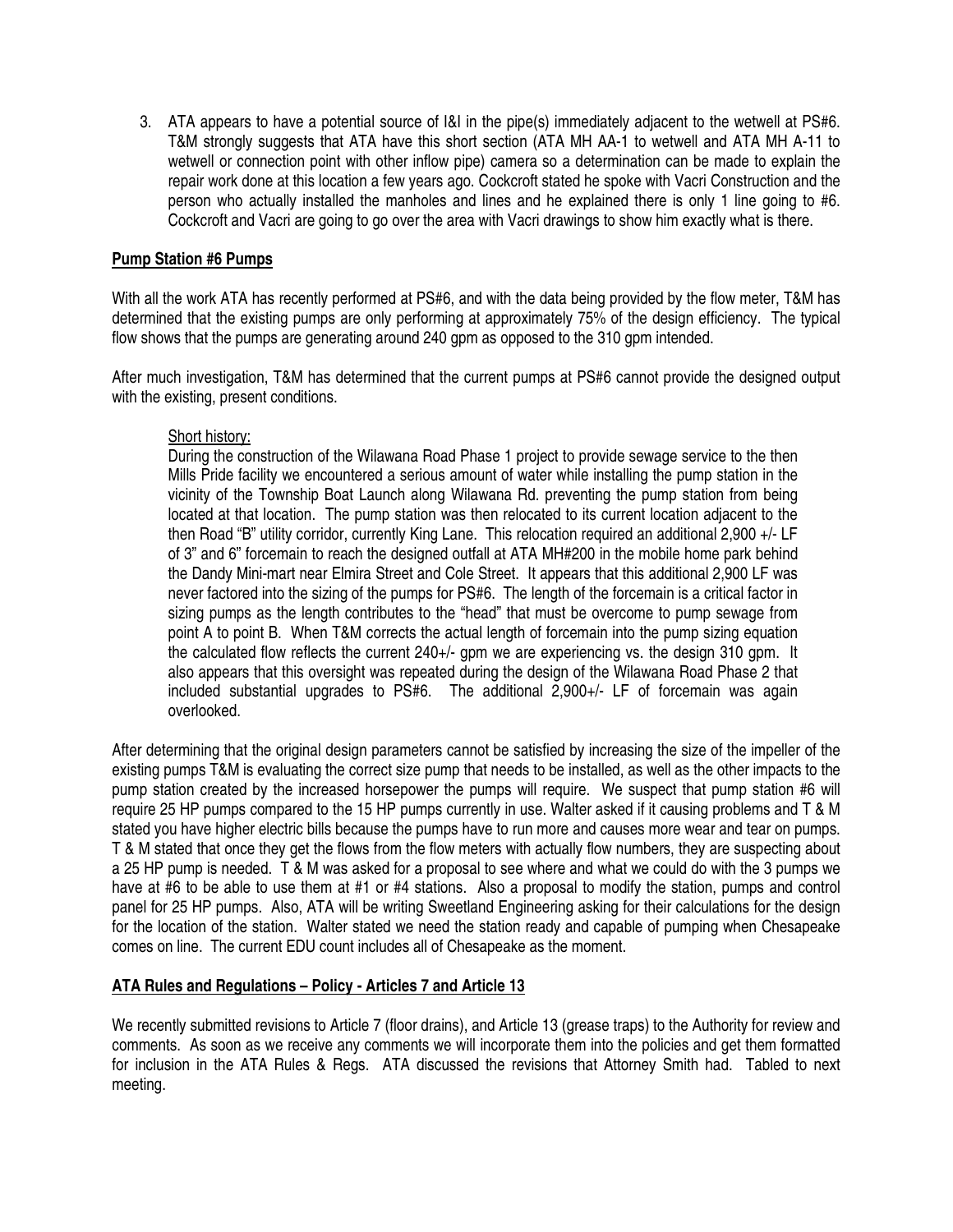3. ATA appears to have a potential source of I&I in the pipe(s) immediately adjacent to the wetwell at PS#6. T&M strongly suggests that ATA have this short section (ATA MH AA-1 to wetwell and ATA MH A-11 to wetwell or connection point with other inflow pipe) camera so a determination can be made to explain the repair work done at this location a few years ago. Cockcroft stated he spoke with Vacri Construction and the person who actually installed the manholes and lines and he explained there is only 1 line going to #6. Cockcroft and Vacri are going to go over the area with Vacri drawings to show him exactly what is there.

### **Pump Station #6 Pumps**

With all the work ATA has recently performed at PS#6, and with the data being provided by the flow meter, T&M has determined that the existing pumps are only performing at approximately 75% of the design efficiency. The typical flow shows that the pumps are generating around 240 gpm as opposed to the 310 gpm intended.

After much investigation, T&M has determined that the current pumps at PS#6 cannot provide the designed output with the existing, present conditions.

## Short history:

During the construction of the Wilawana Road Phase 1 project to provide sewage service to the then Mills Pride facility we encountered a serious amount of water while installing the pump station in the vicinity of the Township Boat Launch along Wilawana Rd. preventing the pump station from being located at that location. The pump station was then relocated to its current location adjacent to the then Road "B" utility corridor, currently King Lane. This relocation required an additional 2,900 +/- LF of 3" and 6" forcemain to reach the designed outfall at ATA MH#200 in the mobile home park behind the Dandy Mini-mart near Elmira Street and Cole Street. It appears that this additional 2,900 LF was never factored into the sizing of the pumps for PS#6. The length of the forcemain is a critical factor in sizing pumps as the length contributes to the "head" that must be overcome to pump sewage from point A to point B. When T&M corrects the actual length of forcemain into the pump sizing equation the calculated flow reflects the current 240+/- gpm we are experiencing vs. the design 310 gpm. It also appears that this oversight was repeated during the design of the Wilawana Road Phase 2 that included substantial upgrades to PS#6. The additional 2,900+/- LF of forcemain was again overlooked.

After determining that the original design parameters cannot be satisfied by increasing the size of the impeller of the existing pumps T&M is evaluating the correct size pump that needs to be installed, as well as the other impacts to the pump station created by the increased horsepower the pumps will require. We suspect that pump station #6 will require 25 HP pumps compared to the 15 HP pumps currently in use. Walter asked if it causing problems and T & M stated you have higher electric bills because the pumps have to run more and causes more wear and tear on pumps. T & M stated that once they get the flows from the flow meters with actually flow numbers, they are suspecting about a 25 HP pump is needed. T & M was asked for a proposal to see where and what we could do with the 3 pumps we have at #6 to be able to use them at #1 or #4 stations. Also a proposal to modify the station, pumps and control panel for 25 HP pumps. Also, ATA will be writing Sweetland Engineering asking for their calculations for the design for the location of the station. Walter stated we need the station ready and capable of pumping when Chesapeake comes on line. The current EDU count includes all of Chesapeake as the moment.

### **ATA Rules and Regulations – Policy - Articles 7 and Article 13**

We recently submitted revisions to Article 7 (floor drains), and Article 13 (grease traps) to the Authority for review and comments. As soon as we receive any comments we will incorporate them into the policies and get them formatted for inclusion in the ATA Rules & Regs. ATA discussed the revisions that Attorney Smith had. Tabled to next meeting.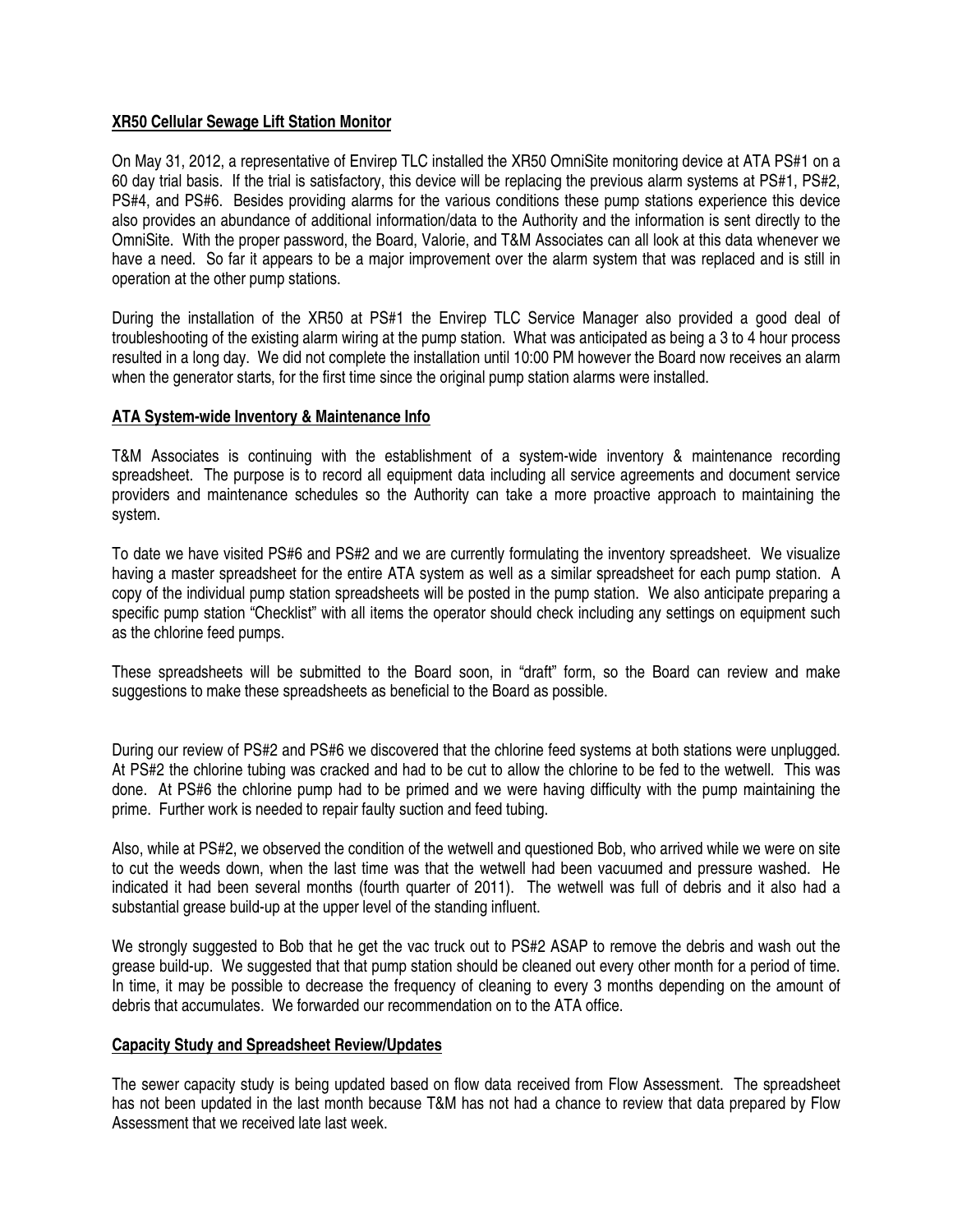### **XR50 Cellular Sewage Lift Station Monitor**

On May 31, 2012, a representative of Envirep TLC installed the XR50 OmniSite monitoring device at ATA PS#1 on a 60 day trial basis. If the trial is satisfactory, this device will be replacing the previous alarm systems at PS#1, PS#2, PS#4, and PS#6. Besides providing alarms for the various conditions these pump stations experience this device also provides an abundance of additional information/data to the Authority and the information is sent directly to the OmniSite. With the proper password, the Board, Valorie, and T&M Associates can all look at this data whenever we have a need. So far it appears to be a major improvement over the alarm system that was replaced and is still in operation at the other pump stations.

During the installation of the XR50 at PS#1 the Envirep TLC Service Manager also provided a good deal of troubleshooting of the existing alarm wiring at the pump station. What was anticipated as being a 3 to 4 hour process resulted in a long day. We did not complete the installation until 10:00 PM however the Board now receives an alarm when the generator starts, for the first time since the original pump station alarms were installed.

## **ATA System-wide Inventory & Maintenance Info**

T&M Associates is continuing with the establishment of a system-wide inventory & maintenance recording spreadsheet. The purpose is to record all equipment data including all service agreements and document service providers and maintenance schedules so the Authority can take a more proactive approach to maintaining the system.

To date we have visited PS#6 and PS#2 and we are currently formulating the inventory spreadsheet. We visualize having a master spreadsheet for the entire ATA system as well as a similar spreadsheet for each pump station. A copy of the individual pump station spreadsheets will be posted in the pump station. We also anticipate preparing a specific pump station "Checklist" with all items the operator should check including any settings on equipment such as the chlorine feed pumps.

These spreadsheets will be submitted to the Board soon, in "draft" form, so the Board can review and make suggestions to make these spreadsheets as beneficial to the Board as possible.

During our review of PS#2 and PS#6 we discovered that the chlorine feed systems at both stations were unplugged. At PS#2 the chlorine tubing was cracked and had to be cut to allow the chlorine to be fed to the wetwell. This was done. At PS#6 the chlorine pump had to be primed and we were having difficulty with the pump maintaining the prime. Further work is needed to repair faulty suction and feed tubing.

Also, while at PS#2, we observed the condition of the wetwell and questioned Bob, who arrived while we were on site to cut the weeds down, when the last time was that the wetwell had been vacuumed and pressure washed. He indicated it had been several months (fourth quarter of 2011). The wetwell was full of debris and it also had a substantial grease build-up at the upper level of the standing influent.

We strongly suggested to Bob that he get the vac truck out to PS#2 ASAP to remove the debris and wash out the grease build-up. We suggested that that pump station should be cleaned out every other month for a period of time. In time, it may be possible to decrease the frequency of cleaning to every 3 months depending on the amount of debris that accumulates. We forwarded our recommendation on to the ATA office.

### **Capacity Study and Spreadsheet Review/Updates**

The sewer capacity study is being updated based on flow data received from Flow Assessment. The spreadsheet has not been updated in the last month because T&M has not had a chance to review that data prepared by Flow Assessment that we received late last week.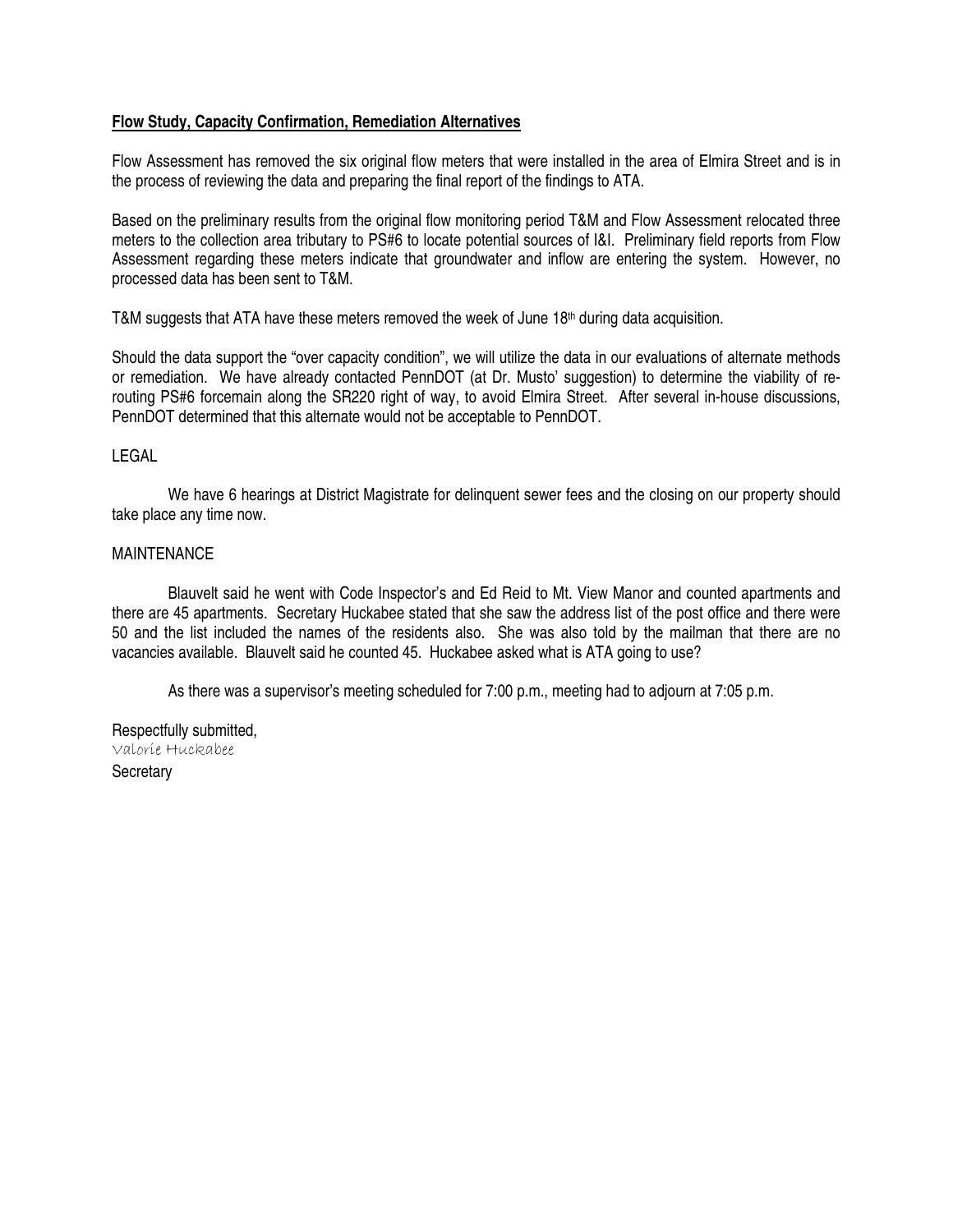### **Flow Study, Capacity Confirmation, Remediation Alternatives**

Flow Assessment has removed the six original flow meters that were installed in the area of Elmira Street and is in the process of reviewing the data and preparing the final report of the findings to ATA.

Based on the preliminary results from the original flow monitoring period T&M and Flow Assessment relocated three meters to the collection area tributary to PS#6 to locate potential sources of I&I. Preliminary field reports from Flow Assessment regarding these meters indicate that groundwater and inflow are entering the system. However, no processed data has been sent to T&M.

T&M suggests that ATA have these meters removed the week of June  $18<sup>th</sup>$  during data acquisition.

Should the data support the "over capacity condition", we will utilize the data in our evaluations of alternate methods or remediation. We have already contacted PennDOT (at Dr. Musto' suggestion) to determine the viability of rerouting PS#6 forcemain along the SR220 right of way, to avoid Elmira Street. After several in-house discussions, PennDOT determined that this alternate would not be acceptable to PennDOT.

#### LEGAL

We have 6 hearings at District Magistrate for delinquent sewer fees and the closing on our property should take place any time now.

#### **MAINTENANCE**

 Blauvelt said he went with Code Inspector's and Ed Reid to Mt. View Manor and counted apartments and there are 45 apartments. Secretary Huckabee stated that she saw the address list of the post office and there were 50 and the list included the names of the residents also. She was also told by the mailman that there are no vacancies available. Blauvelt said he counted 45. Huckabee asked what is ATA going to use?

As there was a supervisor's meeting scheduled for 7:00 p.m., meeting had to adjourn at 7:05 p.m.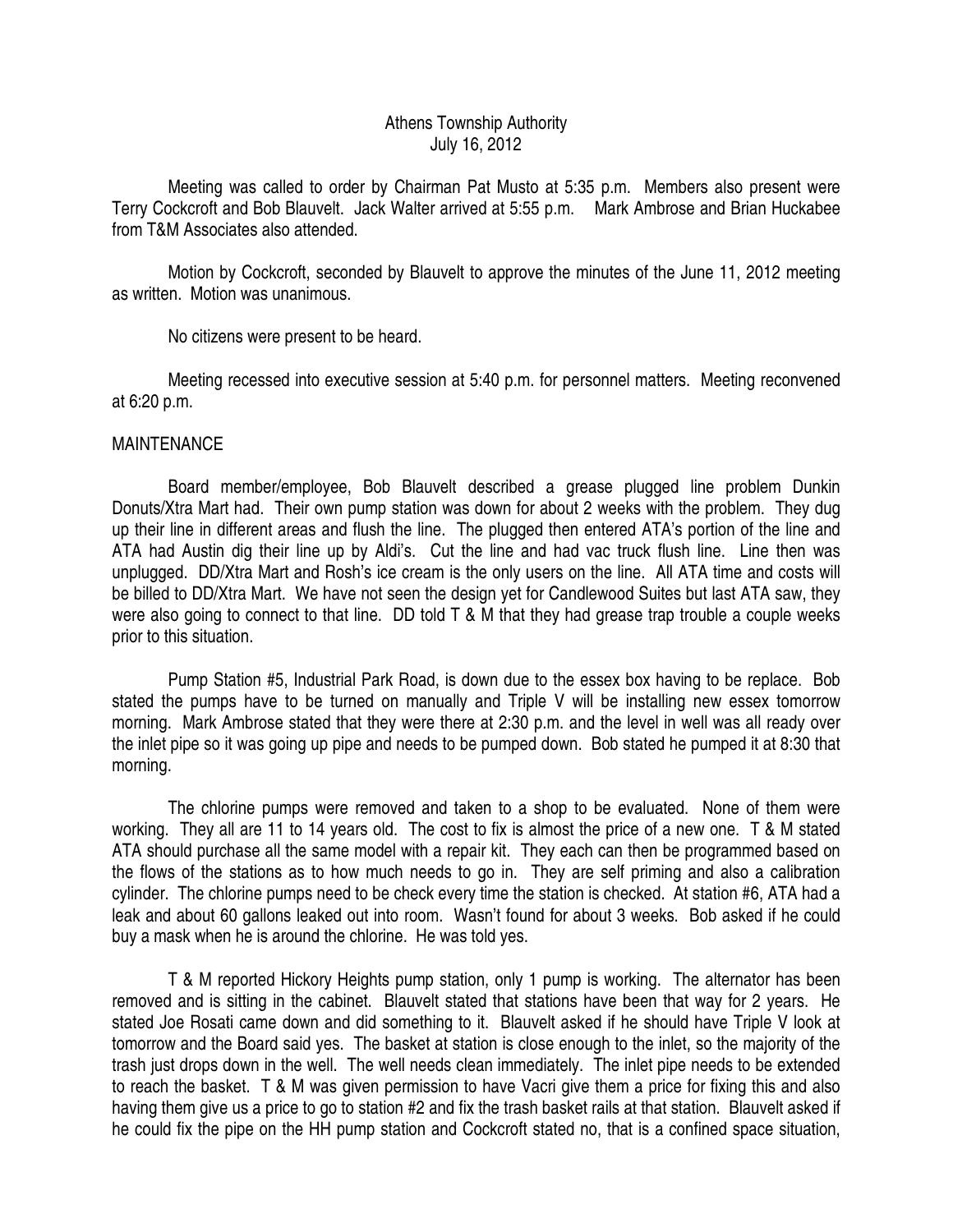## Athens Township Authority July 16, 2012

 Meeting was called to order by Chairman Pat Musto at 5:35 p.m. Members also present were Terry Cockcroft and Bob Blauvelt. Jack Walter arrived at 5:55 p.m. Mark Ambrose and Brian Huckabee from T&M Associates also attended.

 Motion by Cockcroft, seconded by Blauvelt to approve the minutes of the June 11, 2012 meeting as written. Motion was unanimous.

No citizens were present to be heard.

 Meeting recessed into executive session at 5:40 p.m. for personnel matters. Meeting reconvened at 6:20 p.m.

## **MAINTENANCE**

 Board member/employee, Bob Blauvelt described a grease plugged line problem Dunkin Donuts/Xtra Mart had. Their own pump station was down for about 2 weeks with the problem. They dug up their line in different areas and flush the line. The plugged then entered ATA's portion of the line and ATA had Austin dig their line up by Aldi's. Cut the line and had vac truck flush line. Line then was unplugged. DD/Xtra Mart and Rosh's ice cream is the only users on the line. All ATA time and costs will be billed to DD/Xtra Mart. We have not seen the design yet for Candlewood Suites but last ATA saw, they were also going to connect to that line. DD told T & M that they had grease trap trouble a couple weeks prior to this situation.

 Pump Station #5, Industrial Park Road, is down due to the essex box having to be replace. Bob stated the pumps have to be turned on manually and Triple V will be installing new essex tomorrow morning. Mark Ambrose stated that they were there at 2:30 p.m. and the level in well was all ready over the inlet pipe so it was going up pipe and needs to be pumped down. Bob stated he pumped it at 8:30 that morning.

 The chlorine pumps were removed and taken to a shop to be evaluated. None of them were working. They all are 11 to 14 years old. The cost to fix is almost the price of a new one. T & M stated ATA should purchase all the same model with a repair kit. They each can then be programmed based on the flows of the stations as to how much needs to go in. They are self priming and also a calibration cylinder. The chlorine pumps need to be check every time the station is checked. At station #6, ATA had a leak and about 60 gallons leaked out into room. Wasn't found for about 3 weeks. Bob asked if he could buy a mask when he is around the chlorine. He was told yes.

 T & M reported Hickory Heights pump station, only 1 pump is working. The alternator has been removed and is sitting in the cabinet. Blauvelt stated that stations have been that way for 2 years. He stated Joe Rosati came down and did something to it. Blauvelt asked if he should have Triple V look at tomorrow and the Board said yes. The basket at station is close enough to the inlet, so the majority of the trash just drops down in the well. The well needs clean immediately. The inlet pipe needs to be extended to reach the basket. T & M was given permission to have Vacri give them a price for fixing this and also having them give us a price to go to station #2 and fix the trash basket rails at that station. Blauvelt asked if he could fix the pipe on the HH pump station and Cockcroft stated no, that is a confined space situation,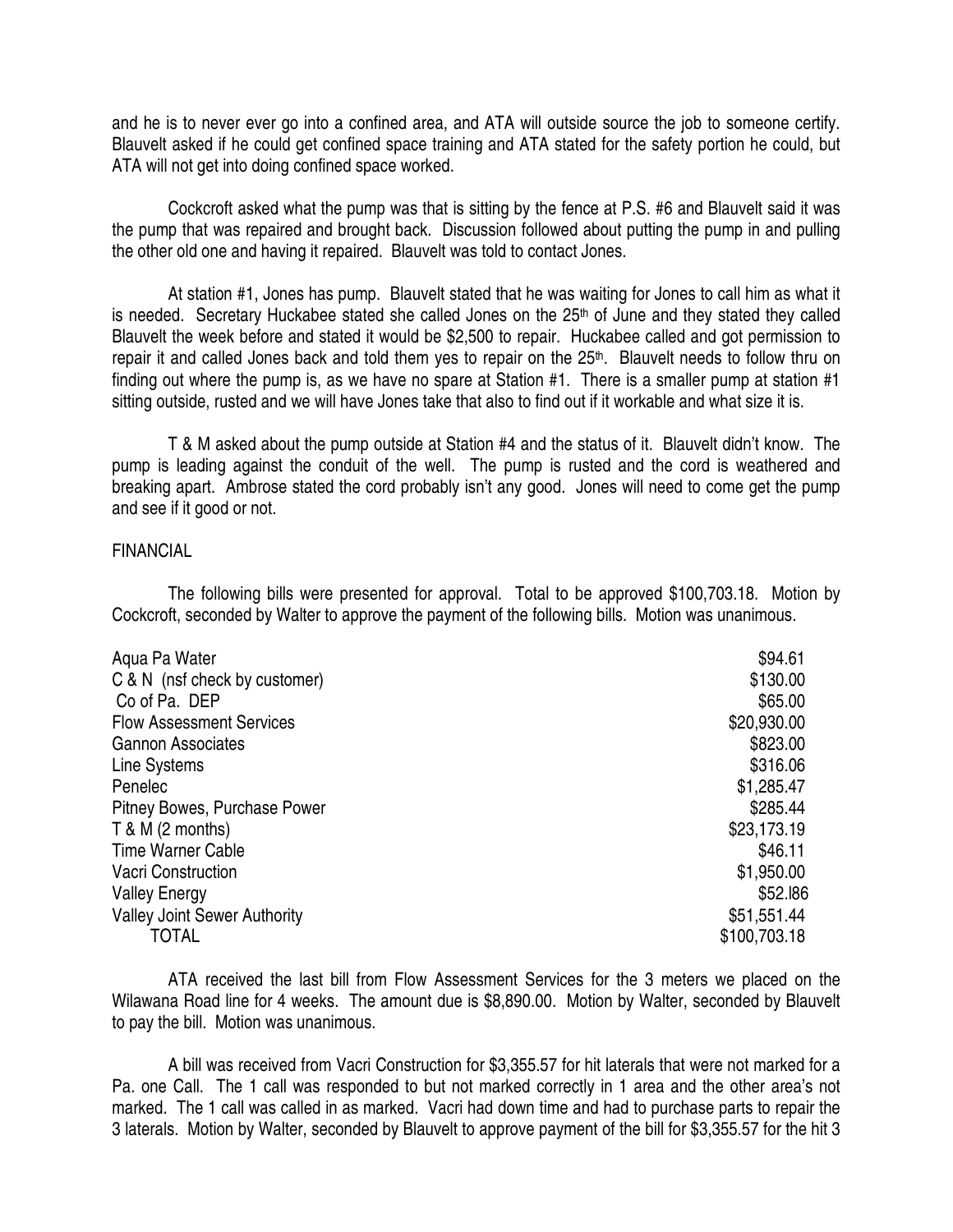and he is to never ever go into a confined area, and ATA will outside source the job to someone certify. Blauvelt asked if he could get confined space training and ATA stated for the safety portion he could, but ATA will not get into doing confined space worked.

 Cockcroft asked what the pump was that is sitting by the fence at P.S. #6 and Blauvelt said it was the pump that was repaired and brought back. Discussion followed about putting the pump in and pulling the other old one and having it repaired. Blauvelt was told to contact Jones.

 At station #1, Jones has pump. Blauvelt stated that he was waiting for Jones to call him as what it is needed. Secretary Huckabee stated she called Jones on the 25<sup>th</sup> of June and they stated they called Blauvelt the week before and stated it would be \$2,500 to repair. Huckabee called and got permission to repair it and called Jones back and told them yes to repair on the 25<sup>th</sup>. Blauvelt needs to follow thru on finding out where the pump is, as we have no spare at Station #1. There is a smaller pump at station #1 sitting outside, rusted and we will have Jones take that also to find out if it workable and what size it is.

 T & M asked about the pump outside at Station #4 and the status of it. Blauvelt didn't know. The pump is leading against the conduit of the well. The pump is rusted and the cord is weathered and breaking apart. Ambrose stated the cord probably isn't any good. Jones will need to come get the pump and see if it good or not.

### FINANCIAL

 The following bills were presented for approval. Total to be approved \$100,703.18. Motion by Cockcroft, seconded by Walter to approve the payment of the following bills. Motion was unanimous.

| Agua Pa Water                       | \$94.61      |
|-------------------------------------|--------------|
| C & N (nsf check by customer)       | \$130.00     |
| Co of Pa. DEP                       | \$65.00      |
| <b>Flow Assessment Services</b>     | \$20,930.00  |
| <b>Gannon Associates</b>            | \$823.00     |
| Line Systems                        | \$316.06     |
| Penelec                             | \$1,285.47   |
| Pitney Bowes, Purchase Power        | \$285.44     |
| T & M (2 months)                    | \$23,173.19  |
| Time Warner Cable                   | \$46.11      |
| <b>Vacri Construction</b>           | \$1,950.00   |
| <b>Valley Energy</b>                | \$52.186     |
| <b>Valley Joint Sewer Authority</b> | \$51,551.44  |
| <b>TOTAL</b>                        | \$100,703.18 |

 ATA received the last bill from Flow Assessment Services for the 3 meters we placed on the Wilawana Road line for 4 weeks. The amount due is \$8,890.00. Motion by Walter, seconded by Blauvelt to pay the bill. Motion was unanimous.

 A bill was received from Vacri Construction for \$3,355.57 for hit laterals that were not marked for a Pa. one Call. The 1 call was responded to but not marked correctly in 1 area and the other area's not marked. The 1 call was called in as marked. Vacri had down time and had to purchase parts to repair the 3 laterals. Motion by Walter, seconded by Blauvelt to approve payment of the bill for \$3,355.57 for the hit 3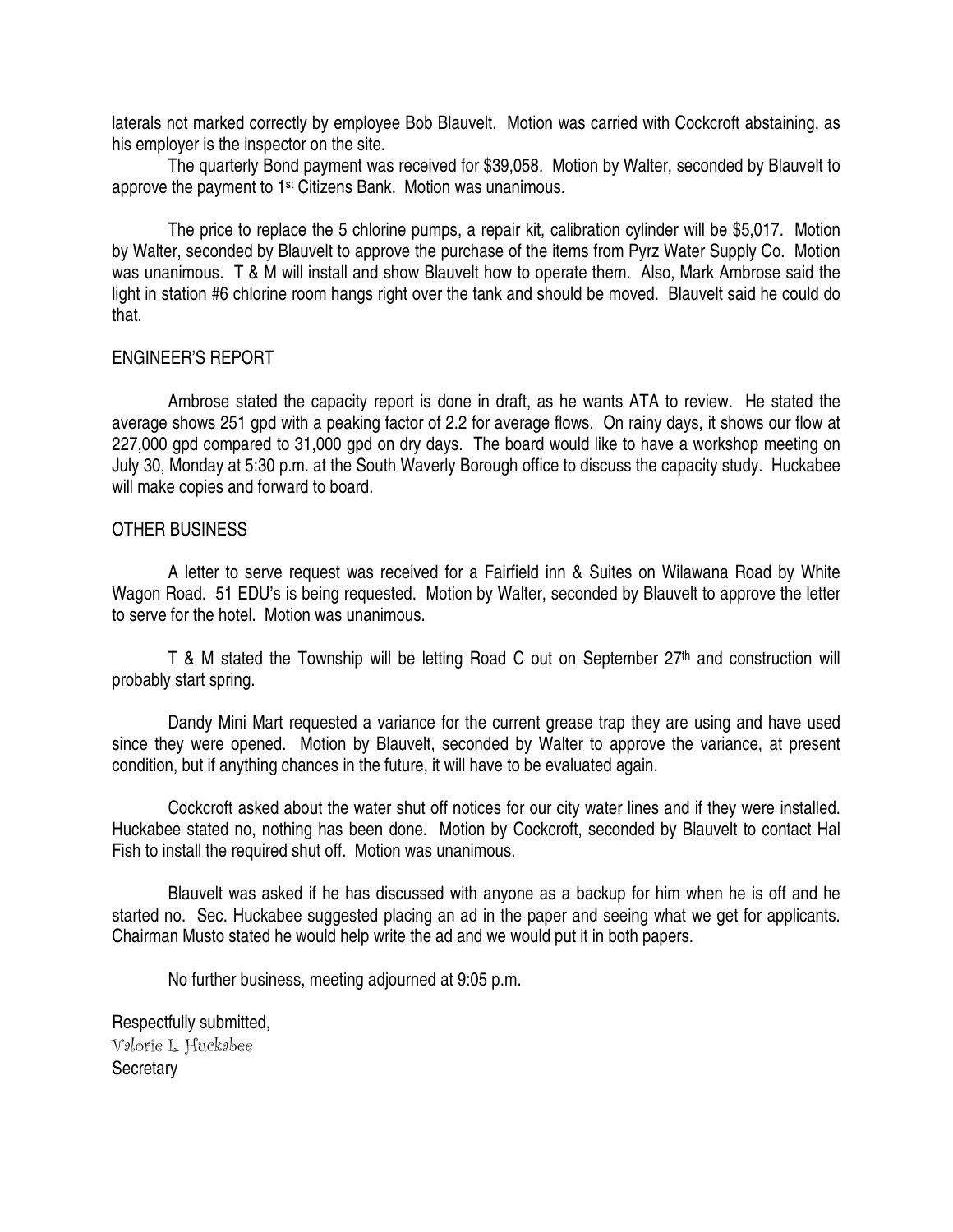laterals not marked correctly by employee Bob Blauvelt. Motion was carried with Cockcroft abstaining, as his employer is the inspector on the site.

 The quarterly Bond payment was received for \$39,058. Motion by Walter, seconded by Blauvelt to approve the payment to 1<sup>st</sup> Citizens Bank. Motion was unanimous.

 The price to replace the 5 chlorine pumps, a repair kit, calibration cylinder will be \$5,017. Motion by Walter, seconded by Blauvelt to approve the purchase of the items from Pyrz Water Supply Co. Motion was unanimous. T & M will install and show Blauvelt how to operate them. Also, Mark Ambrose said the light in station #6 chlorine room hangs right over the tank and should be moved. Blauvelt said he could do that.

## ENGINEER'S REPORT

 Ambrose stated the capacity report is done in draft, as he wants ATA to review. He stated the average shows 251 gpd with a peaking factor of 2.2 for average flows. On rainy days, it shows our flow at 227,000 gpd compared to 31,000 gpd on dry days. The board would like to have a workshop meeting on July 30, Monday at 5:30 p.m. at the South Waverly Borough office to discuss the capacity study. Huckabee will make copies and forward to board.

## OTHER BUSINESS

 A letter to serve request was received for a Fairfield inn & Suites on Wilawana Road by White Wagon Road. 51 EDU's is being requested. Motion by Walter, seconded by Blauvelt to approve the letter to serve for the hotel. Motion was unanimous.

T & M stated the Township will be letting Road C out on September 27<sup>th</sup> and construction will probably start spring.

 Dandy Mini Mart requested a variance for the current grease trap they are using and have used since they were opened. Motion by Blauvelt, seconded by Walter to approve the variance, at present condition, but if anything chances in the future, it will have to be evaluated again.

 Cockcroft asked about the water shut off notices for our city water lines and if they were installed. Huckabee stated no, nothing has been done. Motion by Cockcroft, seconded by Blauvelt to contact Hal Fish to install the required shut off. Motion was unanimous.

 Blauvelt was asked if he has discussed with anyone as a backup for him when he is off and he started no. Sec. Huckabee suggested placing an ad in the paper and seeing what we get for applicants. Chairman Musto stated he would help write the ad and we would put it in both papers.

No further business, meeting adjourned at 9:05 p.m.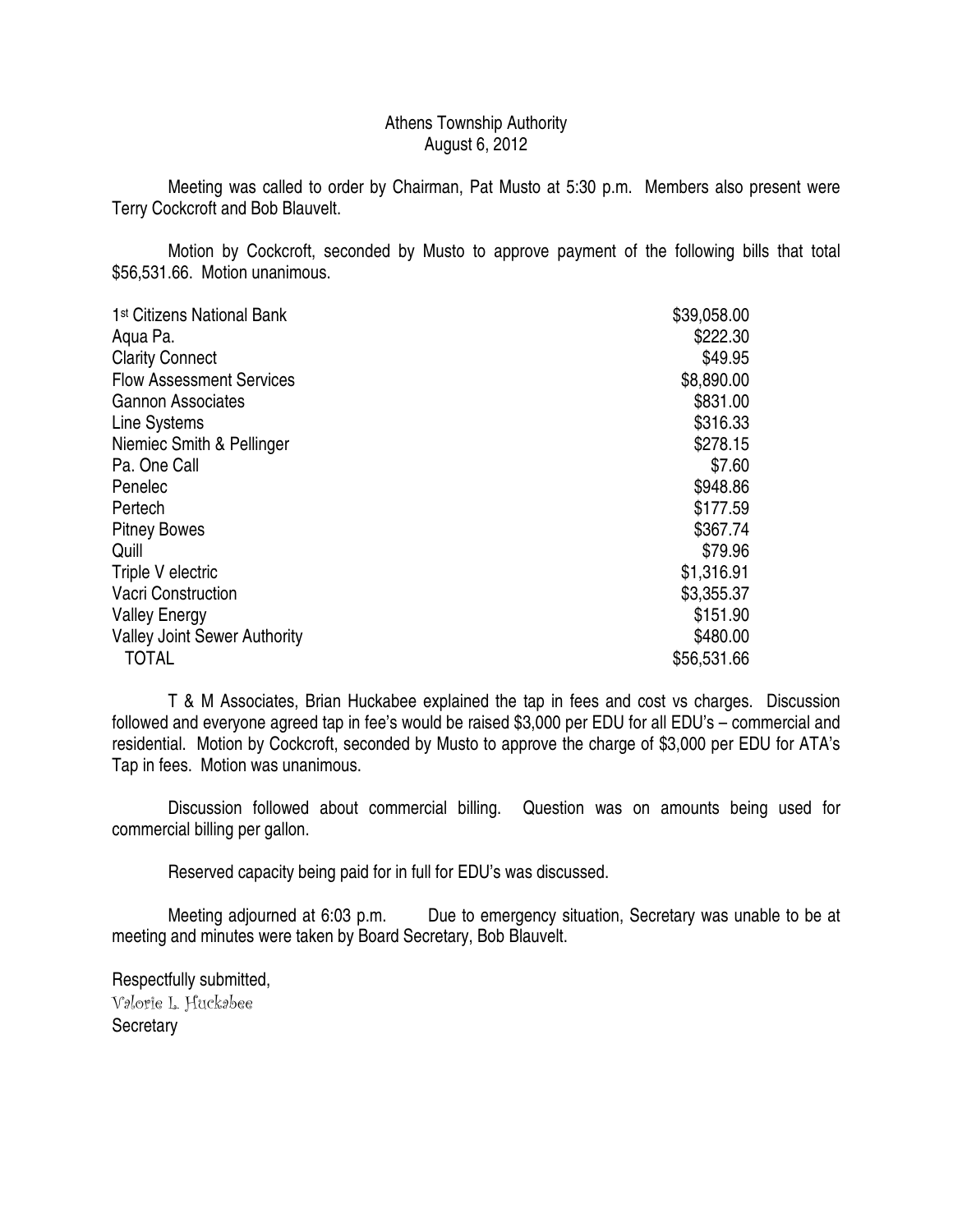## Athens Township Authority August 6, 2012

 Meeting was called to order by Chairman, Pat Musto at 5:30 p.m. Members also present were Terry Cockcroft and Bob Blauvelt.

 Motion by Cockcroft, seconded by Musto to approve payment of the following bills that total \$56,531.66. Motion unanimous.

| 1 <sup>st</sup> Citizens National Bank | \$39,058.00 |
|----------------------------------------|-------------|
| Aqua Pa.                               | \$222.30    |
| <b>Clarity Connect</b>                 | \$49.95     |
| <b>Flow Assessment Services</b>        | \$8,890.00  |
| <b>Gannon Associates</b>               | \$831.00    |
| Line Systems                           | \$316.33    |
| Niemiec Smith & Pellinger              | \$278.15    |
| Pa. One Call                           | \$7.60      |
| Penelec                                | \$948.86    |
| Pertech                                | \$177.59    |
| <b>Pitney Bowes</b>                    | \$367.74    |
| Quill                                  | \$79.96     |
| Triple V electric                      | \$1,316.91  |
| <b>Vacri Construction</b>              | \$3,355.37  |
| <b>Valley Energy</b>                   | \$151.90    |
| <b>Valley Joint Sewer Authority</b>    | \$480.00    |
| <b>TOTAL</b>                           | \$56,531.66 |

 T & M Associates, Brian Huckabee explained the tap in fees and cost vs charges. Discussion followed and everyone agreed tap in fee's would be raised \$3,000 per EDU for all EDU's – commercial and residential. Motion by Cockcroft, seconded by Musto to approve the charge of \$3,000 per EDU for ATA's Tap in fees. Motion was unanimous.

 Discussion followed about commercial billing. Question was on amounts being used for commercial billing per gallon.

Reserved capacity being paid for in full for EDU's was discussed.

 Meeting adjourned at 6:03 p.m. Due to emergency situation, Secretary was unable to be at meeting and minutes were taken by Board Secretary, Bob Blauvelt.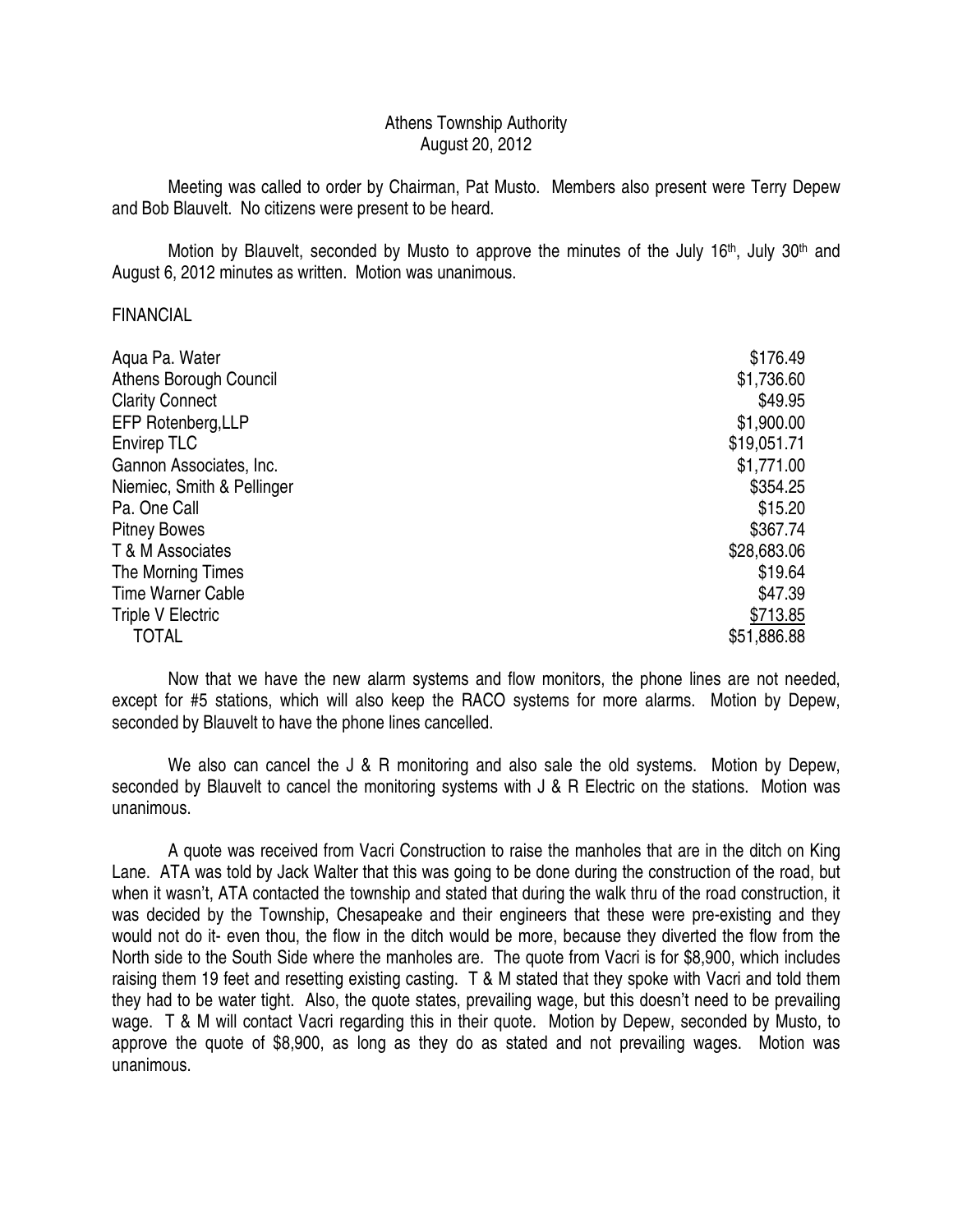## Athens Township Authority August 20, 2012

 Meeting was called to order by Chairman, Pat Musto. Members also present were Terry Depew and Bob Blauvelt. No citizens were present to be heard.

Motion by Blauvelt, seconded by Musto to approve the minutes of the July  $16<sup>th</sup>$ , July  $30<sup>th</sup>$  and August 6, 2012 minutes as written. Motion was unanimous.

### FINANCIAL

| Aqua Pa. Water                | \$176.49    |
|-------------------------------|-------------|
| <b>Athens Borough Council</b> | \$1,736.60  |
| <b>Clarity Connect</b>        | \$49.95     |
| EFP Rotenberg, LLP            | \$1,900.00  |
| <b>Envirep TLC</b>            | \$19,051.71 |
| Gannon Associates, Inc.       | \$1,771.00  |
| Niemiec, Smith & Pellinger    | \$354.25    |
| Pa. One Call                  | \$15.20     |
| <b>Pitney Bowes</b>           | \$367.74    |
| T & M Associates              | \$28,683.06 |
| The Morning Times             | \$19.64     |
| <b>Time Warner Cable</b>      | \$47.39     |
| Triple V Electric             | \$713.85    |
| TOTAL                         | \$51,886.88 |

 Now that we have the new alarm systems and flow monitors, the phone lines are not needed, except for #5 stations, which will also keep the RACO systems for more alarms. Motion by Depew, seconded by Blauvelt to have the phone lines cancelled.

We also can cancel the J & R monitoring and also sale the old systems. Motion by Depew, seconded by Blauvelt to cancel the monitoring systems with J & R Electric on the stations. Motion was unanimous.

 A quote was received from Vacri Construction to raise the manholes that are in the ditch on King Lane. ATA was told by Jack Walter that this was going to be done during the construction of the road, but when it wasn't, ATA contacted the township and stated that during the walk thru of the road construction, it was decided by the Township, Chesapeake and their engineers that these were pre-existing and they would not do it- even thou, the flow in the ditch would be more, because they diverted the flow from the North side to the South Side where the manholes are. The quote from Vacri is for \$8,900, which includes raising them 19 feet and resetting existing casting. T & M stated that they spoke with Vacri and told them they had to be water tight. Also, the quote states, prevailing wage, but this doesn't need to be prevailing wage. T & M will contact Vacri regarding this in their quote. Motion by Depew, seconded by Musto, to approve the quote of \$8,900, as long as they do as stated and not prevailing wages. Motion was unanimous.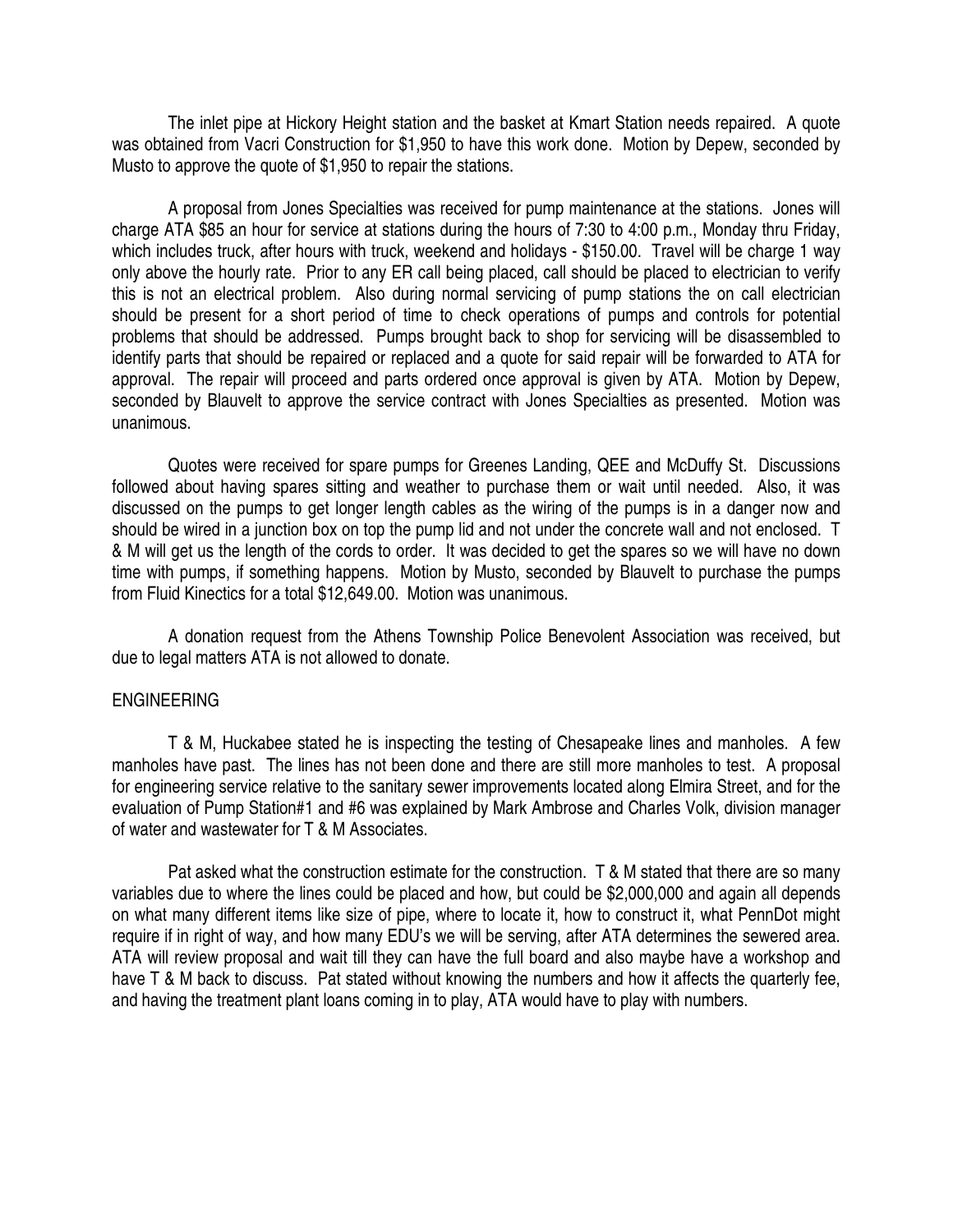The inlet pipe at Hickory Height station and the basket at Kmart Station needs repaired. A quote was obtained from Vacri Construction for \$1,950 to have this work done. Motion by Depew, seconded by Musto to approve the quote of \$1,950 to repair the stations.

 A proposal from Jones Specialties was received for pump maintenance at the stations. Jones will charge ATA \$85 an hour for service at stations during the hours of 7:30 to 4:00 p.m., Monday thru Friday, which includes truck, after hours with truck, weekend and holidays - \$150.00. Travel will be charge 1 way only above the hourly rate. Prior to any ER call being placed, call should be placed to electrician to verify this is not an electrical problem. Also during normal servicing of pump stations the on call electrician should be present for a short period of time to check operations of pumps and controls for potential problems that should be addressed. Pumps brought back to shop for servicing will be disassembled to identify parts that should be repaired or replaced and a quote for said repair will be forwarded to ATA for approval. The repair will proceed and parts ordered once approval is given by ATA. Motion by Depew, seconded by Blauvelt to approve the service contract with Jones Specialties as presented. Motion was unanimous.

 Quotes were received for spare pumps for Greenes Landing, QEE and McDuffy St. Discussions followed about having spares sitting and weather to purchase them or wait until needed. Also, it was discussed on the pumps to get longer length cables as the wiring of the pumps is in a danger now and should be wired in a junction box on top the pump lid and not under the concrete wall and not enclosed. T & M will get us the length of the cords to order. It was decided to get the spares so we will have no down time with pumps, if something happens. Motion by Musto, seconded by Blauvelt to purchase the pumps from Fluid Kinectics for a total \$12,649.00. Motion was unanimous.

 A donation request from the Athens Township Police Benevolent Association was received, but due to legal matters ATA is not allowed to donate.

### ENGINEERING

 T & M, Huckabee stated he is inspecting the testing of Chesapeake lines and manholes. A few manholes have past. The lines has not been done and there are still more manholes to test. A proposal for engineering service relative to the sanitary sewer improvements located along Elmira Street, and for the evaluation of Pump Station#1 and #6 was explained by Mark Ambrose and Charles Volk, division manager of water and wastewater for T & M Associates.

 Pat asked what the construction estimate for the construction. T & M stated that there are so many variables due to where the lines could be placed and how, but could be \$2,000,000 and again all depends on what many different items like size of pipe, where to locate it, how to construct it, what PennDot might require if in right of way, and how many EDU's we will be serving, after ATA determines the sewered area. ATA will review proposal and wait till they can have the full board and also maybe have a workshop and have T & M back to discuss. Pat stated without knowing the numbers and how it affects the quarterly fee, and having the treatment plant loans coming in to play, ATA would have to play with numbers.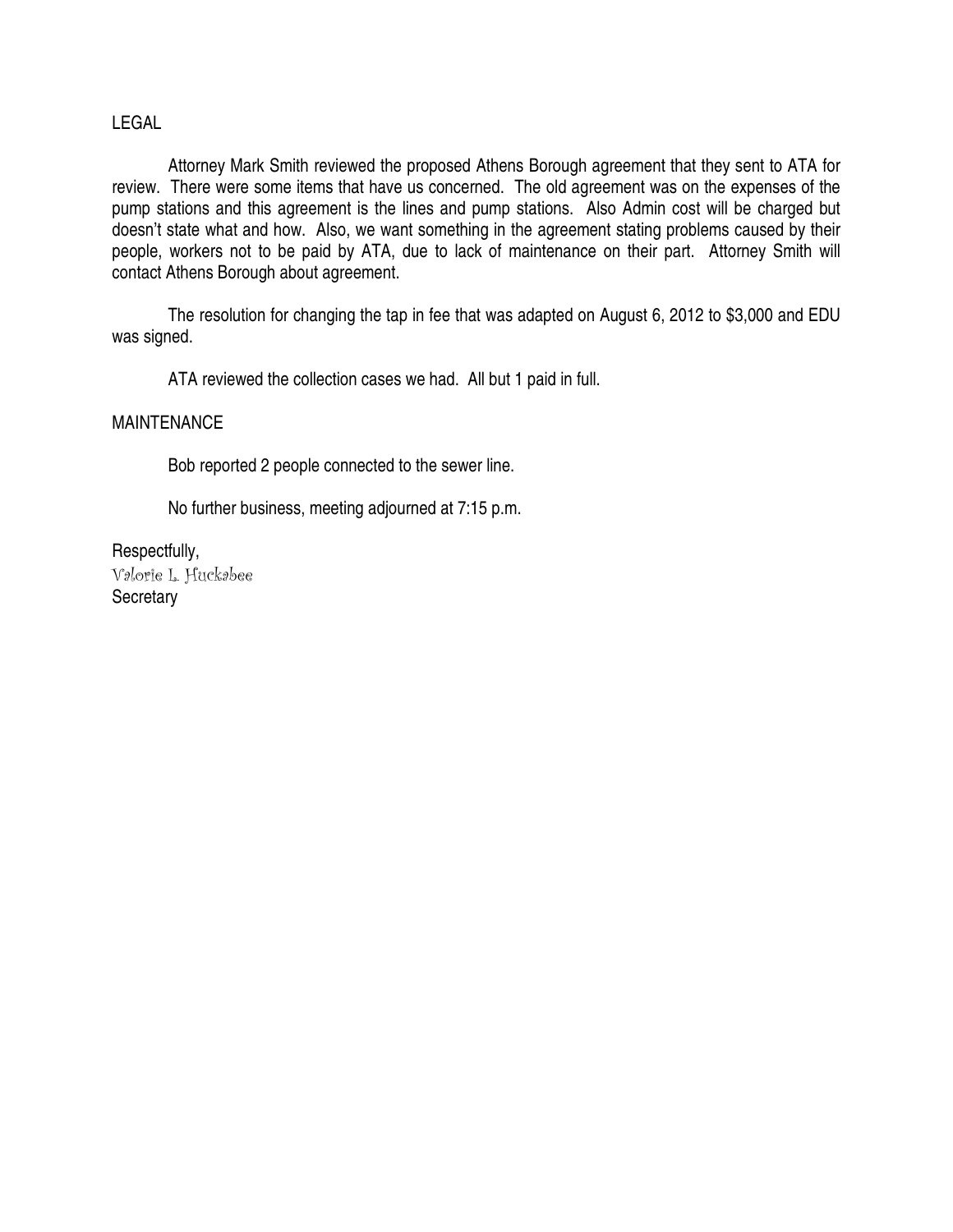## LEGAL

 Attorney Mark Smith reviewed the proposed Athens Borough agreement that they sent to ATA for review. There were some items that have us concerned. The old agreement was on the expenses of the pump stations and this agreement is the lines and pump stations. Also Admin cost will be charged but doesn't state what and how. Also, we want something in the agreement stating problems caused by their people, workers not to be paid by ATA, due to lack of maintenance on their part. Attorney Smith will contact Athens Borough about agreement.

 The resolution for changing the tap in fee that was adapted on August 6, 2012 to \$3,000 and EDU was signed.

ATA reviewed the collection cases we had. All but 1 paid in full.

## MAINTENANCE

Bob reported 2 people connected to the sewer line.

No further business, meeting adjourned at 7:15 p.m.

Respectfully, Valorie L. Huckabee **Secretary**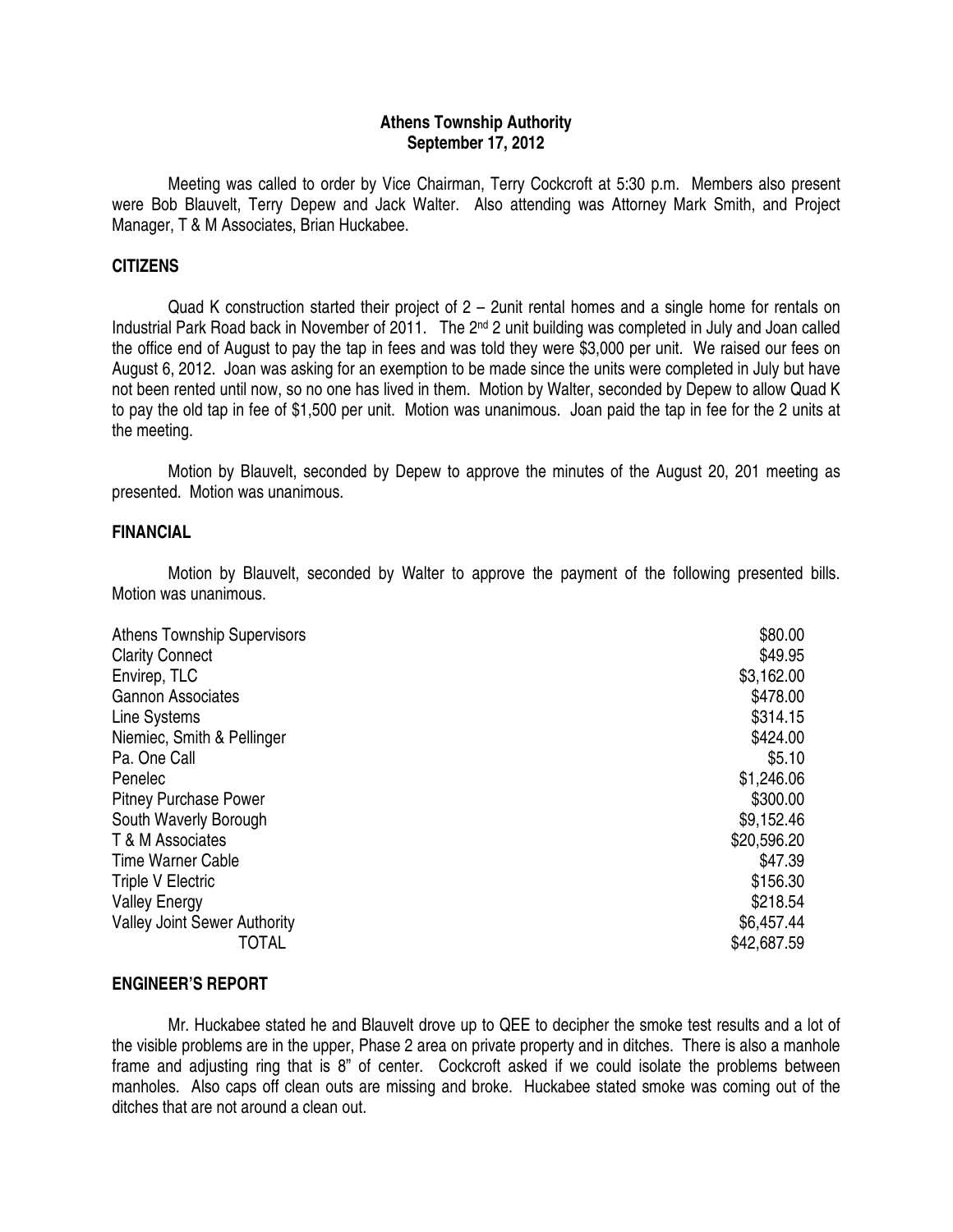## **Athens Township Authority September 17, 2012**

 Meeting was called to order by Vice Chairman, Terry Cockcroft at 5:30 p.m. Members also present were Bob Blauvelt, Terry Depew and Jack Walter. Also attending was Attorney Mark Smith, and Project Manager, T & M Associates, Brian Huckabee.

#### **CITIZENS**

Quad K construction started their project of 2 – 2unit rental homes and a single home for rentals on Industrial Park Road back in November of 2011. The 2<sup>nd</sup> 2 unit building was completed in July and Joan called the office end of August to pay the tap in fees and was told they were \$3,000 per unit. We raised our fees on August 6, 2012. Joan was asking for an exemption to be made since the units were completed in July but have not been rented until now, so no one has lived in them. Motion by Walter, seconded by Depew to allow Quad K to pay the old tap in fee of \$1,500 per unit. Motion was unanimous. Joan paid the tap in fee for the 2 units at the meeting.

 Motion by Blauvelt, seconded by Depew to approve the minutes of the August 20, 201 meeting as presented. Motion was unanimous.

#### **FINANCIAL**

 Motion by Blauvelt, seconded by Walter to approve the payment of the following presented bills. Motion was unanimous.

| <b>Athens Township Supervisors</b>  | \$80.00     |
|-------------------------------------|-------------|
| <b>Clarity Connect</b>              | \$49.95     |
| Envirep, TLC                        | \$3,162.00  |
| <b>Gannon Associates</b>            | \$478.00    |
| Line Systems                        | \$314.15    |
| Niemiec, Smith & Pellinger          | \$424.00    |
| Pa. One Call                        | \$5.10      |
| Penelec                             | \$1,246.06  |
| <b>Pitney Purchase Power</b>        | \$300.00    |
| South Waverly Borough               | \$9,152.46  |
| T & M Associates                    | \$20,596.20 |
| <b>Time Warner Cable</b>            | \$47.39     |
| <b>Triple V Electric</b>            | \$156.30    |
| <b>Valley Energy</b>                | \$218.54    |
| <b>Valley Joint Sewer Authority</b> | \$6,457.44  |
| TOTAL                               | \$42,687.59 |

### **ENGINEER'S REPORT**

 Mr. Huckabee stated he and Blauvelt drove up to QEE to decipher the smoke test results and a lot of the visible problems are in the upper, Phase 2 area on private property and in ditches. There is also a manhole frame and adjusting ring that is 8" of center. Cockcroft asked if we could isolate the problems between manholes. Also caps off clean outs are missing and broke. Huckabee stated smoke was coming out of the ditches that are not around a clean out.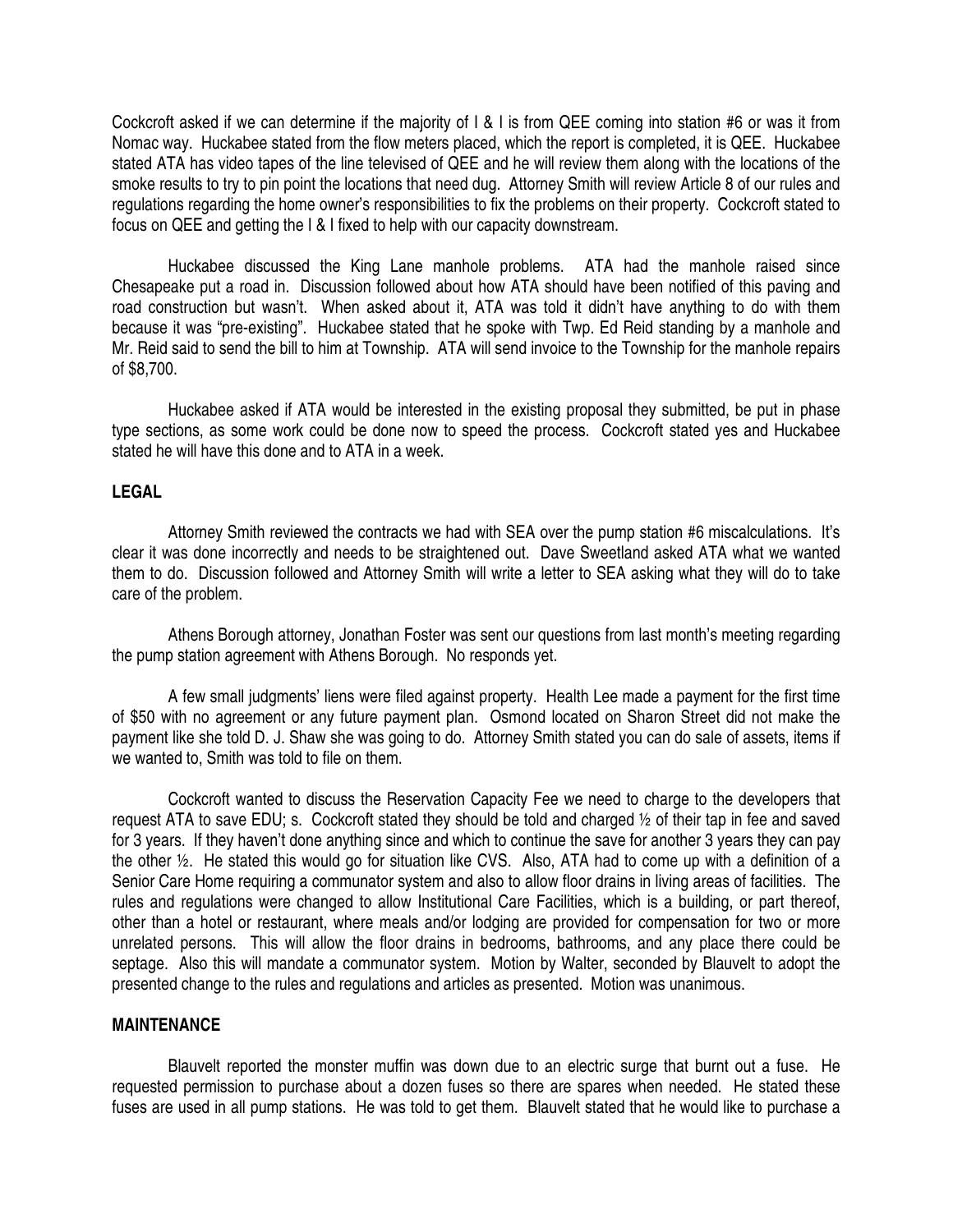Cockcroft asked if we can determine if the majority of I & I is from QEE coming into station #6 or was it from Nomac way. Huckabee stated from the flow meters placed, which the report is completed, it is QEE. Huckabee stated ATA has video tapes of the line televised of QEE and he will review them along with the locations of the smoke results to try to pin point the locations that need dug. Attorney Smith will review Article 8 of our rules and regulations regarding the home owner's responsibilities to fix the problems on their property. Cockcroft stated to focus on QEE and getting the I & I fixed to help with our capacity downstream.

 Huckabee discussed the King Lane manhole problems. ATA had the manhole raised since Chesapeake put a road in. Discussion followed about how ATA should have been notified of this paving and road construction but wasn't. When asked about it, ATA was told it didn't have anything to do with them because it was "pre-existing". Huckabee stated that he spoke with Twp. Ed Reid standing by a manhole and Mr. Reid said to send the bill to him at Township. ATA will send invoice to the Township for the manhole repairs of \$8,700.

 Huckabee asked if ATA would be interested in the existing proposal they submitted, be put in phase type sections, as some work could be done now to speed the process. Cockcroft stated yes and Huckabee stated he will have this done and to ATA in a week.

### **LEGAL**

 Attorney Smith reviewed the contracts we had with SEA over the pump station #6 miscalculations. It's clear it was done incorrectly and needs to be straightened out. Dave Sweetland asked ATA what we wanted them to do. Discussion followed and Attorney Smith will write a letter to SEA asking what they will do to take care of the problem.

 Athens Borough attorney, Jonathan Foster was sent our questions from last month's meeting regarding the pump station agreement with Athens Borough. No responds yet.

 A few small judgments' liens were filed against property. Health Lee made a payment for the first time of \$50 with no agreement or any future payment plan. Osmond located on Sharon Street did not make the payment like she told D. J. Shaw she was going to do. Attorney Smith stated you can do sale of assets, items if we wanted to, Smith was told to file on them.

 Cockcroft wanted to discuss the Reservation Capacity Fee we need to charge to the developers that request ATA to save EDU; s. Cockcroft stated they should be told and charged ½ of their tap in fee and saved for 3 years. If they haven't done anything since and which to continue the save for another 3 years they can pay the other ½. He stated this would go for situation like CVS. Also, ATA had to come up with a definition of a Senior Care Home requiring a communator system and also to allow floor drains in living areas of facilities. The rules and regulations were changed to allow Institutional Care Facilities, which is a building, or part thereof, other than a hotel or restaurant, where meals and/or lodging are provided for compensation for two or more unrelated persons. This will allow the floor drains in bedrooms, bathrooms, and any place there could be septage. Also this will mandate a communator system. Motion by Walter, seconded by Blauvelt to adopt the presented change to the rules and regulations and articles as presented. Motion was unanimous.

#### **MAINTENANCE**

 Blauvelt reported the monster muffin was down due to an electric surge that burnt out a fuse. He requested permission to purchase about a dozen fuses so there are spares when needed. He stated these fuses are used in all pump stations. He was told to get them. Blauvelt stated that he would like to purchase a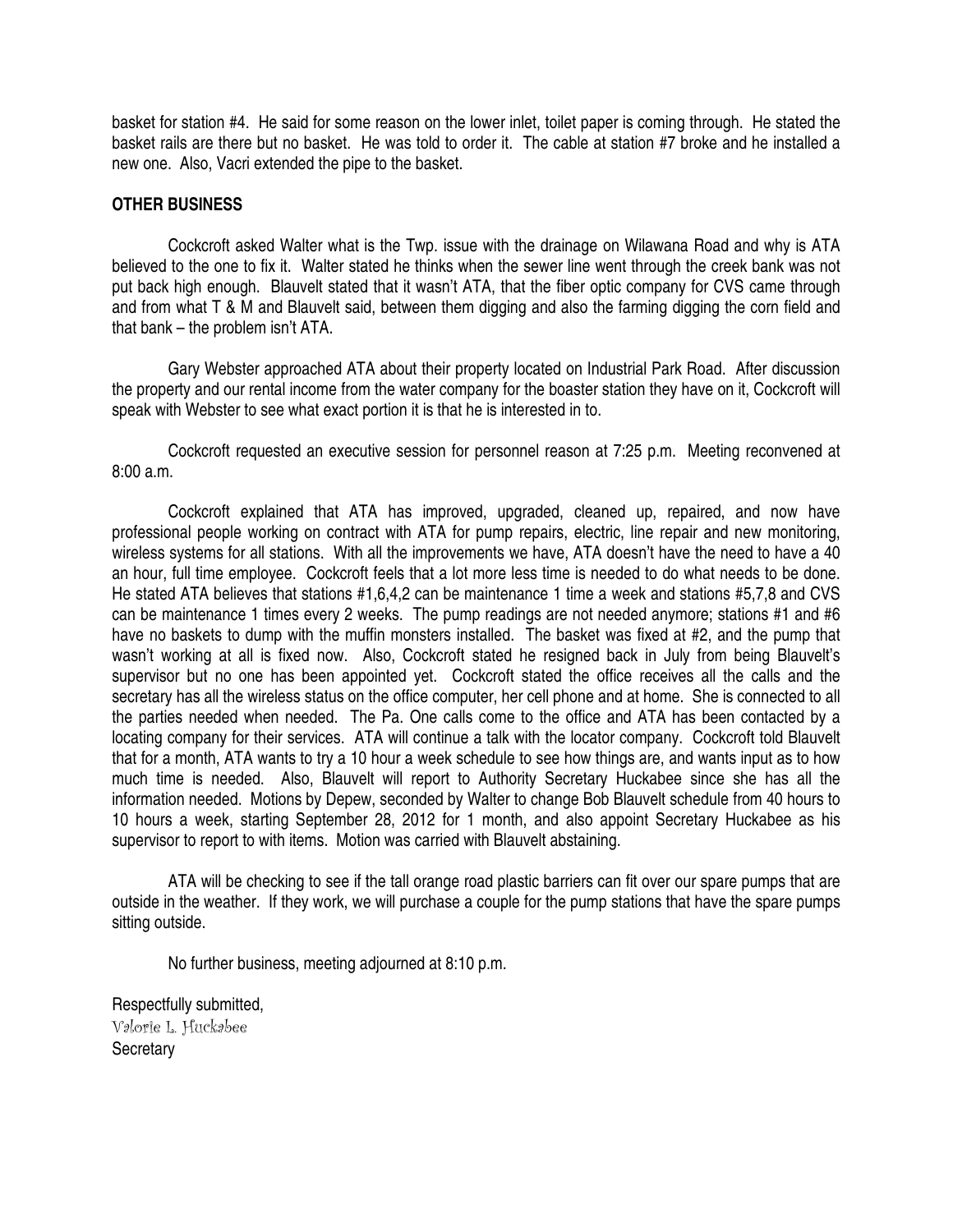basket for station #4. He said for some reason on the lower inlet, toilet paper is coming through. He stated the basket rails are there but no basket. He was told to order it. The cable at station #7 broke and he installed a new one. Also, Vacri extended the pipe to the basket.

### **OTHER BUSINESS**

 Cockcroft asked Walter what is the Twp. issue with the drainage on Wilawana Road and why is ATA believed to the one to fix it. Walter stated he thinks when the sewer line went through the creek bank was not put back high enough. Blauvelt stated that it wasn't ATA, that the fiber optic company for CVS came through and from what T & M and Blauvelt said, between them digging and also the farming digging the corn field and that bank – the problem isn't ATA.

 Gary Webster approached ATA about their property located on Industrial Park Road. After discussion the property and our rental income from the water company for the boaster station they have on it, Cockcroft will speak with Webster to see what exact portion it is that he is interested in to.

 Cockcroft requested an executive session for personnel reason at 7:25 p.m. Meeting reconvened at 8:00 a.m.

 Cockcroft explained that ATA has improved, upgraded, cleaned up, repaired, and now have professional people working on contract with ATA for pump repairs, electric, line repair and new monitoring, wireless systems for all stations. With all the improvements we have, ATA doesn't have the need to have a 40 an hour, full time employee. Cockcroft feels that a lot more less time is needed to do what needs to be done. He stated ATA believes that stations #1,6,4,2 can be maintenance 1 time a week and stations #5,7,8 and CVS can be maintenance 1 times every 2 weeks. The pump readings are not needed anymore; stations #1 and #6 have no baskets to dump with the muffin monsters installed. The basket was fixed at #2, and the pump that wasn't working at all is fixed now. Also, Cockcroft stated he resigned back in July from being Blauvelt's supervisor but no one has been appointed yet. Cockcroft stated the office receives all the calls and the secretary has all the wireless status on the office computer, her cell phone and at home. She is connected to all the parties needed when needed. The Pa. One calls come to the office and ATA has been contacted by a locating company for their services. ATA will continue a talk with the locator company. Cockcroft told Blauvelt that for a month, ATA wants to try a 10 hour a week schedule to see how things are, and wants input as to how much time is needed. Also, Blauvelt will report to Authority Secretary Huckabee since she has all the information needed. Motions by Depew, seconded by Walter to change Bob Blauvelt schedule from 40 hours to 10 hours a week, starting September 28, 2012 for 1 month, and also appoint Secretary Huckabee as his supervisor to report to with items. Motion was carried with Blauvelt abstaining.

 ATA will be checking to see if the tall orange road plastic barriers can fit over our spare pumps that are outside in the weather. If they work, we will purchase a couple for the pump stations that have the spare pumps sitting outside.

No further business, meeting adjourned at 8:10 p.m.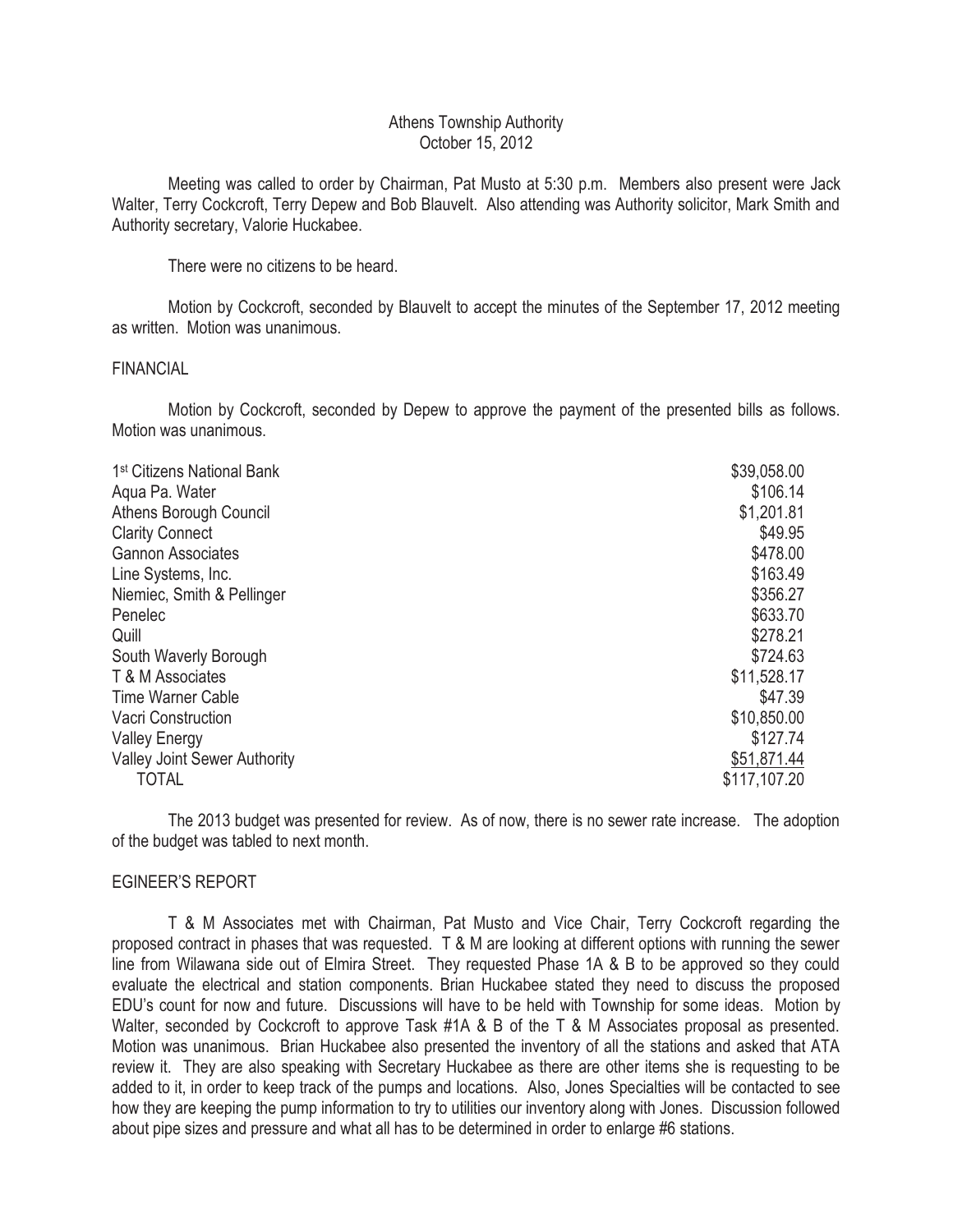### Athens Township Authority October 15, 2012

 Meeting was called to order by Chairman, Pat Musto at 5:30 p.m. Members also present were Jack Walter, Terry Cockcroft, Terry Depew and Bob Blauvelt. Also attending was Authority solicitor, Mark Smith and Authority secretary, Valorie Huckabee.

There were no citizens to be heard.

 Motion by Cockcroft, seconded by Blauvelt to accept the minutes of the September 17, 2012 meeting as written. Motion was unanimous.

### FINANCIAL

 Motion by Cockcroft, seconded by Depew to approve the payment of the presented bills as follows. Motion was unanimous.

| 1 <sup>st</sup> Citizens National Bank | \$39,058.00  |
|----------------------------------------|--------------|
| Agua Pa. Water                         | \$106.14     |
| Athens Borough Council                 | \$1,201.81   |
| <b>Clarity Connect</b>                 | \$49.95      |
| <b>Gannon Associates</b>               | \$478.00     |
| Line Systems, Inc.                     | \$163.49     |
| Niemiec, Smith & Pellinger             | \$356.27     |
| Penelec                                | \$633.70     |
| Quill                                  | \$278.21     |
| South Waverly Borough                  | \$724.63     |
| T & M Associates                       | \$11,528.17  |
| <b>Time Warner Cable</b>               | \$47.39      |
| Vacri Construction                     | \$10,850.00  |
| <b>Valley Energy</b>                   | \$127.74     |
| <b>Valley Joint Sewer Authority</b>    | \$51,871.44  |
| <b>TOTAL</b>                           | \$117,107.20 |

 The 2013 budget was presented for review. As of now, there is no sewer rate increase. The adoption of the budget was tabled to next month.

### EGINEER'S REPORT

 T & M Associates met with Chairman, Pat Musto and Vice Chair, Terry Cockcroft regarding the proposed contract in phases that was requested. T & M are looking at different options with running the sewer line from Wilawana side out of Elmira Street. They requested Phase 1A & B to be approved so they could evaluate the electrical and station components. Brian Huckabee stated they need to discuss the proposed EDU's count for now and future. Discussions will have to be held with Township for some ideas. Motion by Walter, seconded by Cockcroft to approve Task #1A & B of the T & M Associates proposal as presented. Motion was unanimous. Brian Huckabee also presented the inventory of all the stations and asked that ATA review it. They are also speaking with Secretary Huckabee as there are other items she is requesting to be added to it, in order to keep track of the pumps and locations. Also, Jones Specialties will be contacted to see how they are keeping the pump information to try to utilities our inventory along with Jones. Discussion followed about pipe sizes and pressure and what all has to be determined in order to enlarge #6 stations.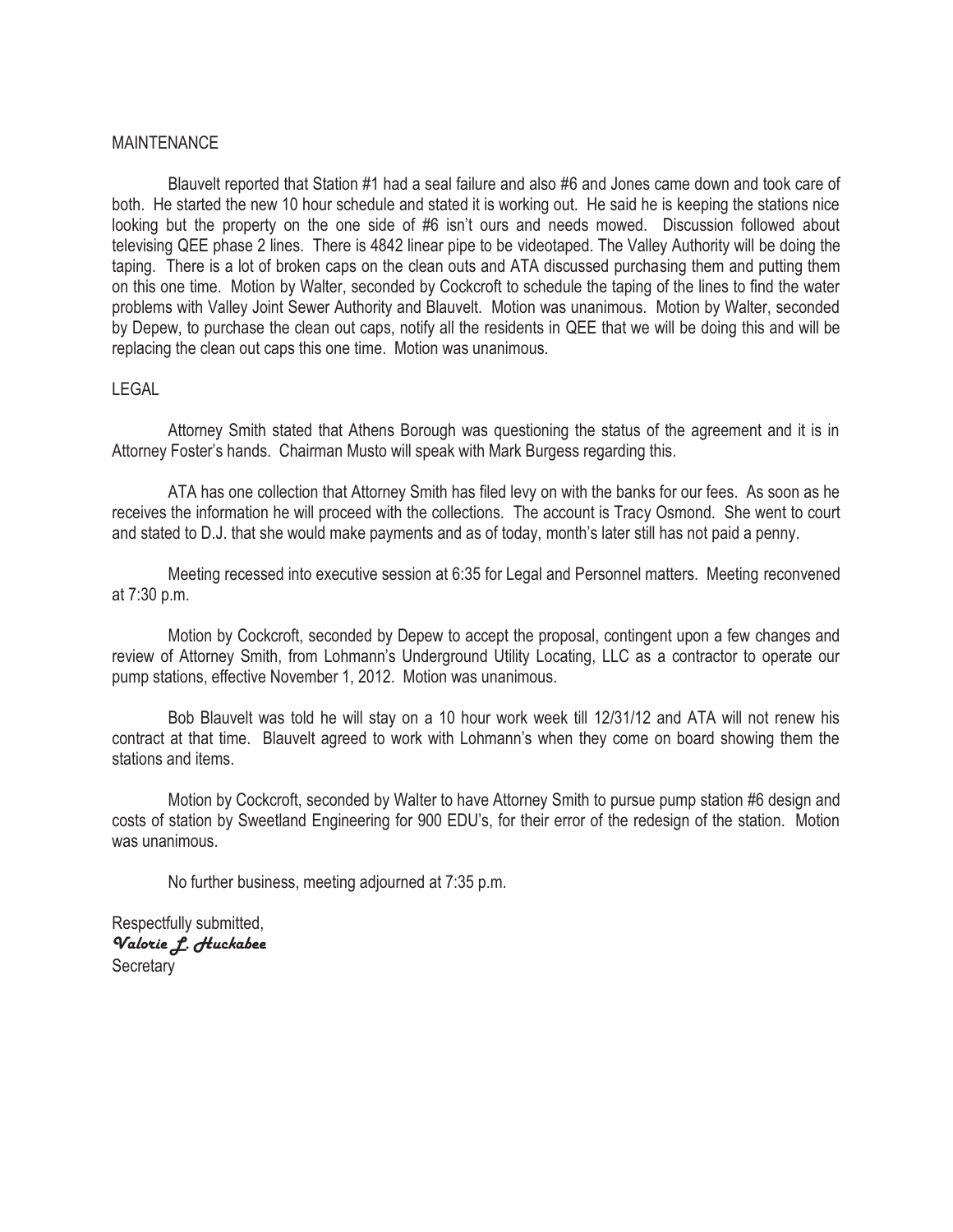#### MAINTENANCE

 Blauvelt reported that Station #1 had a seal failure and also #6 and Jones came down and took care of both. He started the new 10 hour schedule and stated it is working out. He said he is keeping the stations nice looking but the property on the one side of #6 isn't ours and needs mowed. Discussion followed about televising QEE phase 2 lines. There is 4842 linear pipe to be videotaped. The Valley Authority will be doing the taping. There is a lot of broken caps on the clean outs and ATA discussed purchasing them and putting them on this one time. Motion by Walter, seconded by Cockcroft to schedule the taping of the lines to find the water problems with Valley Joint Sewer Authority and Blauvelt. Motion was unanimous. Motion by Walter, seconded by Depew, to purchase the clean out caps, notify all the residents in QEE that we will be doing this and will be replacing the clean out caps this one time. Motion was unanimous.

#### LEGAL

 Attorney Smith stated that Athens Borough was questioning the status of the agreement and it is in Attorney Foster's hands. Chairman Musto will speak with Mark Burgess regarding this.

 ATA has one collection that Attorney Smith has filed levy on with the banks for our fees. As soon as he receives the information he will proceed with the collections. The account is Tracy Osmond. She went to court and stated to D.J. that she would make payments and as of today, month's later still has not paid a penny.

 Meeting recessed into executive session at 6:35 for Legal and Personnel matters. Meeting reconvened at 7:30 p.m.

 Motion by Cockcroft, seconded by Depew to accept the proposal, contingent upon a few changes and review of Attorney Smith, from Lohmann's Underground Utility Locating, LLC as a contractor to operate our pump stations, effective November 1, 2012. Motion was unanimous.

 Bob Blauvelt was told he will stay on a 10 hour work week till 12/31/12 and ATA will not renew his contract at that time. Blauvelt agreed to work with Lohmann's when they come on board showing them the stations and items.

 Motion by Cockcroft, seconded by Walter to have Attorney Smith to pursue pump station #6 design and costs of station by Sweetland Engineering for 900 EDU's, for their error of the redesign of the station. Motion was unanimous.

No further business, meeting adjourned at 7:35 p.m.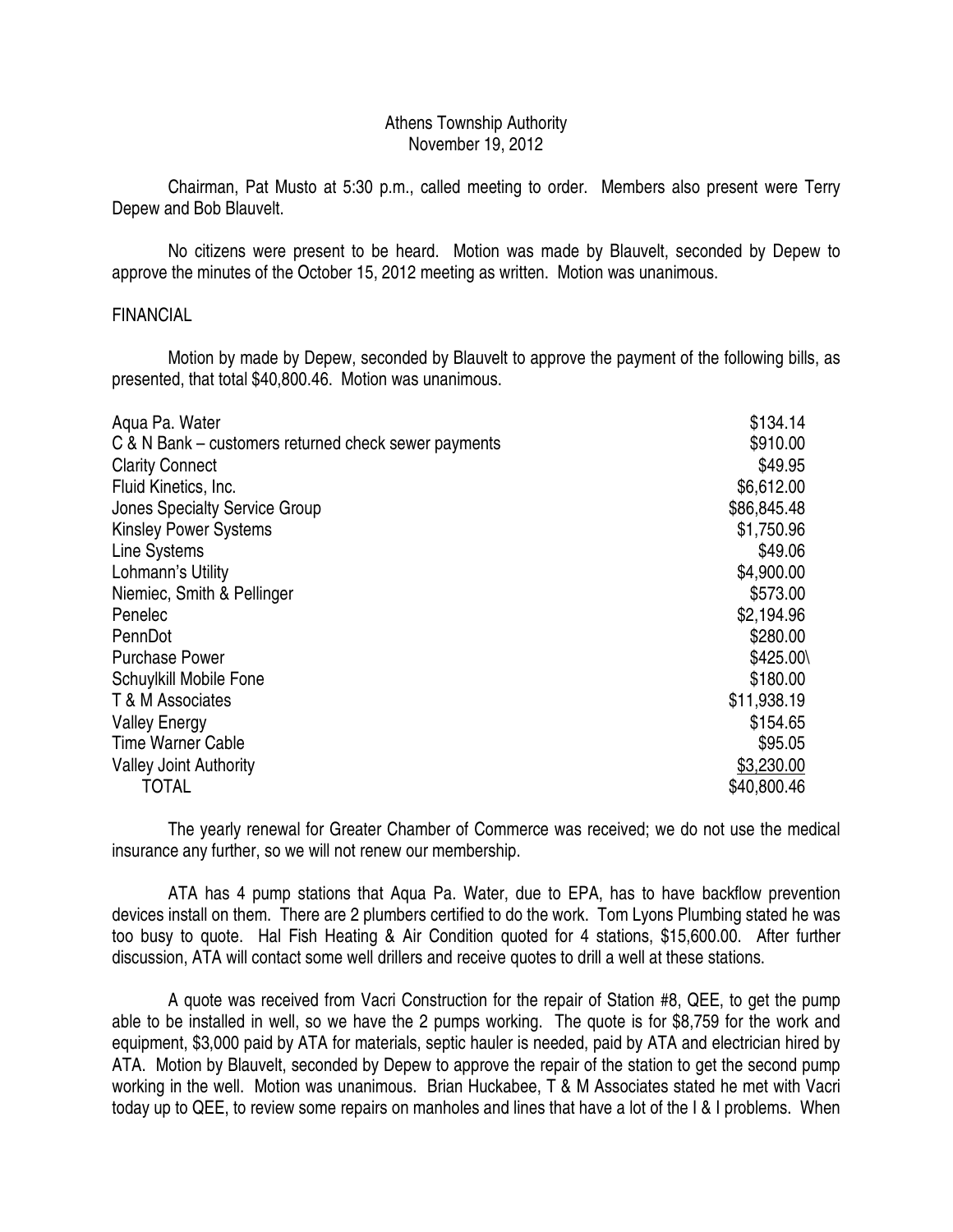## Athens Township Authority November 19, 2012

 Chairman, Pat Musto at 5:30 p.m., called meeting to order. Members also present were Terry Depew and Bob Blauvelt.

 No citizens were present to be heard. Motion was made by Blauvelt, seconded by Depew to approve the minutes of the October 15, 2012 meeting as written. Motion was unanimous.

## FINANCIAL

 Motion by made by Depew, seconded by Blauvelt to approve the payment of the following bills, as presented, that total \$40,800.46. Motion was unanimous.

| Agua Pa. Water                                       | \$134.14    |
|------------------------------------------------------|-------------|
| C & N Bank – customers returned check sewer payments | \$910.00    |
| <b>Clarity Connect</b>                               | \$49.95     |
| Fluid Kinetics, Inc.                                 | \$6,612.00  |
| Jones Specialty Service Group                        | \$86,845.48 |
| <b>Kinsley Power Systems</b>                         | \$1,750.96  |
| Line Systems                                         | \$49.06     |
| Lohmann's Utility                                    | \$4,900.00  |
| Niemiec, Smith & Pellinger                           | \$573.00    |
| Penelec                                              | \$2,194.96  |
| PennDot                                              | \$280.00    |
| <b>Purchase Power</b>                                | \$425.00\   |
| Schuylkill Mobile Fone                               | \$180.00    |
| T & M Associates                                     | \$11,938.19 |
| <b>Valley Energy</b>                                 | \$154.65    |
| <b>Time Warner Cable</b>                             | \$95.05     |
| <b>Valley Joint Authority</b>                        | \$3,230.00  |
| <b>TOTAL</b>                                         | \$40,800.46 |

 The yearly renewal for Greater Chamber of Commerce was received; we do not use the medical insurance any further, so we will not renew our membership.

 ATA has 4 pump stations that Aqua Pa. Water, due to EPA, has to have backflow prevention devices install on them. There are 2 plumbers certified to do the work. Tom Lyons Plumbing stated he was too busy to quote. Hal Fish Heating & Air Condition quoted for 4 stations, \$15,600.00. After further discussion, ATA will contact some well drillers and receive quotes to drill a well at these stations.

 A quote was received from Vacri Construction for the repair of Station #8, QEE, to get the pump able to be installed in well, so we have the 2 pumps working. The quote is for \$8,759 for the work and equipment, \$3,000 paid by ATA for materials, septic hauler is needed, paid by ATA and electrician hired by ATA. Motion by Blauvelt, seconded by Depew to approve the repair of the station to get the second pump working in the well. Motion was unanimous. Brian Huckabee, T & M Associates stated he met with Vacri today up to QEE, to review some repairs on manholes and lines that have a lot of the I & I problems. When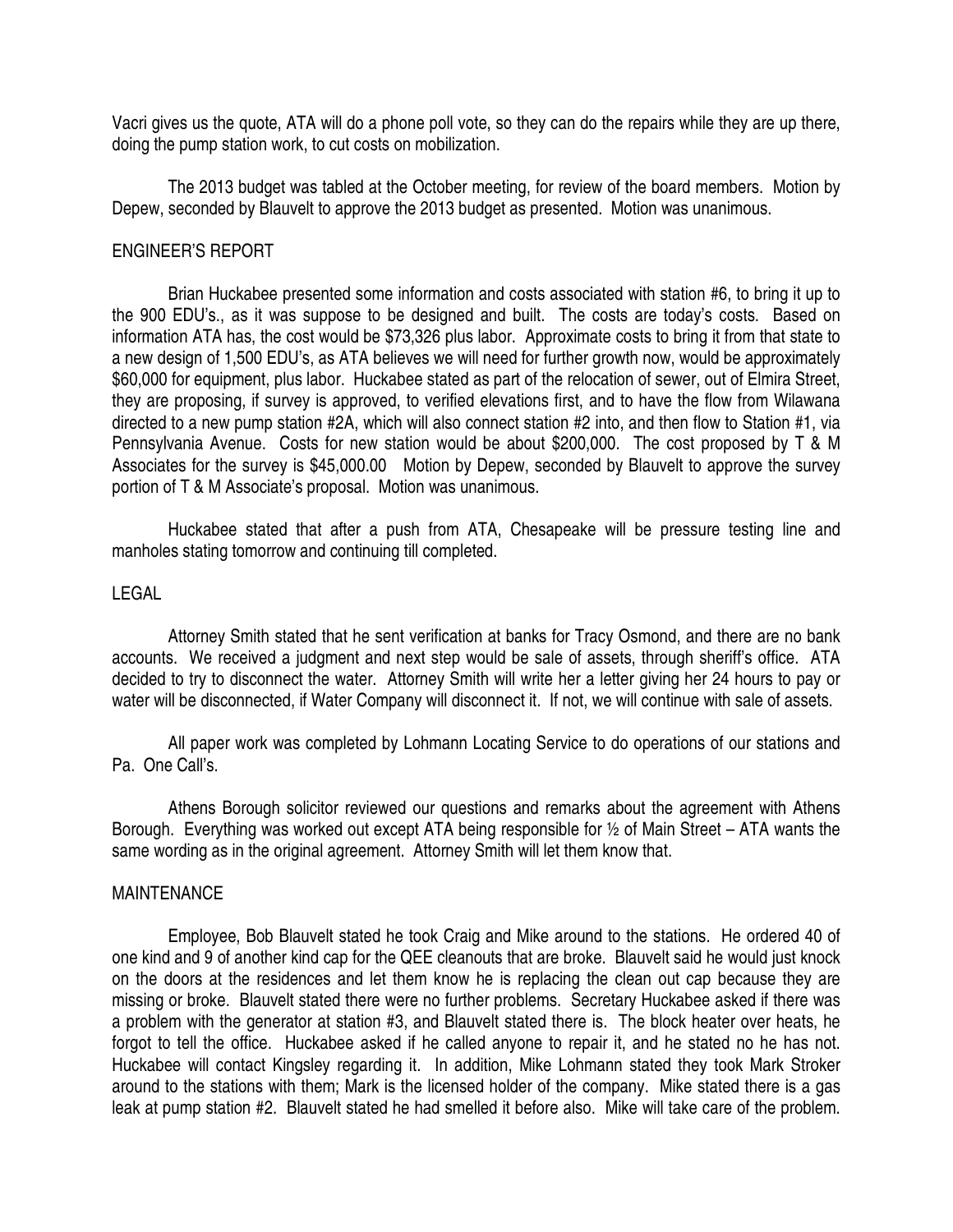Vacri gives us the quote, ATA will do a phone poll vote, so they can do the repairs while they are up there, doing the pump station work, to cut costs on mobilization.

 The 2013 budget was tabled at the October meeting, for review of the board members. Motion by Depew, seconded by Blauvelt to approve the 2013 budget as presented. Motion was unanimous.

### ENGINEER'S REPORT

 Brian Huckabee presented some information and costs associated with station #6, to bring it up to the 900 EDU's., as it was suppose to be designed and built. The costs are today's costs. Based on information ATA has, the cost would be \$73,326 plus labor. Approximate costs to bring it from that state to a new design of 1,500 EDU's, as ATA believes we will need for further growth now, would be approximately \$60,000 for equipment, plus labor. Huckabee stated as part of the relocation of sewer, out of Elmira Street, they are proposing, if survey is approved, to verified elevations first, and to have the flow from Wilawana directed to a new pump station #2A, which will also connect station #2 into, and then flow to Station #1, via Pennsylvania Avenue. Costs for new station would be about \$200,000. The cost proposed by T & M Associates for the survey is \$45,000.00 Motion by Depew, seconded by Blauvelt to approve the survey portion of T & M Associate's proposal. Motion was unanimous.

 Huckabee stated that after a push from ATA, Chesapeake will be pressure testing line and manholes stating tomorrow and continuing till completed.

## LEGAL

 Attorney Smith stated that he sent verification at banks for Tracy Osmond, and there are no bank accounts. We received a judgment and next step would be sale of assets, through sheriff's office. ATA decided to try to disconnect the water. Attorney Smith will write her a letter giving her 24 hours to pay or water will be disconnected, if Water Company will disconnect it. If not, we will continue with sale of assets.

 All paper work was completed by Lohmann Locating Service to do operations of our stations and Pa. One Call's.

 Athens Borough solicitor reviewed our questions and remarks about the agreement with Athens Borough. Everything was worked out except ATA being responsible for  $\frac{1}{2}$  of Main Street – ATA wants the same wording as in the original agreement. Attorney Smith will let them know that.

### MAINTENANCE

 Employee, Bob Blauvelt stated he took Craig and Mike around to the stations. He ordered 40 of one kind and 9 of another kind cap for the QEE cleanouts that are broke. Blauvelt said he would just knock on the doors at the residences and let them know he is replacing the clean out cap because they are missing or broke. Blauvelt stated there were no further problems. Secretary Huckabee asked if there was a problem with the generator at station #3, and Blauvelt stated there is. The block heater over heats, he forgot to tell the office. Huckabee asked if he called anyone to repair it, and he stated no he has not. Huckabee will contact Kingsley regarding it. In addition, Mike Lohmann stated they took Mark Stroker around to the stations with them; Mark is the licensed holder of the company. Mike stated there is a gas leak at pump station #2. Blauvelt stated he had smelled it before also. Mike will take care of the problem.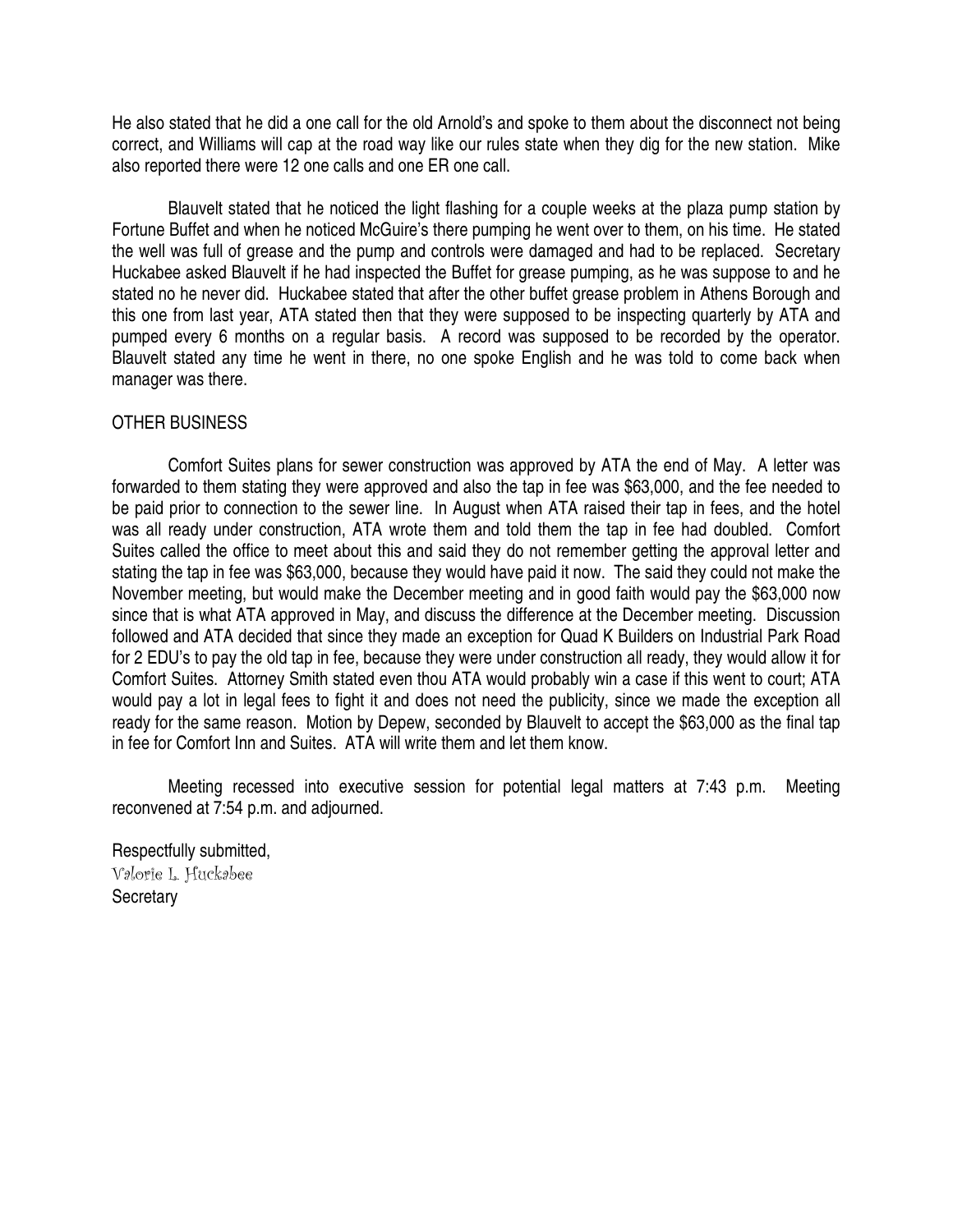He also stated that he did a one call for the old Arnold's and spoke to them about the disconnect not being correct, and Williams will cap at the road way like our rules state when they dig for the new station. Mike also reported there were 12 one calls and one ER one call.

 Blauvelt stated that he noticed the light flashing for a couple weeks at the plaza pump station by Fortune Buffet and when he noticed McGuire's there pumping he went over to them, on his time. He stated the well was full of grease and the pump and controls were damaged and had to be replaced. Secretary Huckabee asked Blauvelt if he had inspected the Buffet for grease pumping, as he was suppose to and he stated no he never did. Huckabee stated that after the other buffet grease problem in Athens Borough and this one from last year, ATA stated then that they were supposed to be inspecting quarterly by ATA and pumped every 6 months on a regular basis. A record was supposed to be recorded by the operator. Blauvelt stated any time he went in there, no one spoke English and he was told to come back when manager was there.

## OTHER BUSINESS

 Comfort Suites plans for sewer construction was approved by ATA the end of May. A letter was forwarded to them stating they were approved and also the tap in fee was \$63,000, and the fee needed to be paid prior to connection to the sewer line. In August when ATA raised their tap in fees, and the hotel was all ready under construction, ATA wrote them and told them the tap in fee had doubled. Comfort Suites called the office to meet about this and said they do not remember getting the approval letter and stating the tap in fee was \$63,000, because they would have paid it now. The said they could not make the November meeting, but would make the December meeting and in good faith would pay the \$63,000 now since that is what ATA approved in May, and discuss the difference at the December meeting. Discussion followed and ATA decided that since they made an exception for Quad K Builders on Industrial Park Road for 2 EDU's to pay the old tap in fee, because they were under construction all ready, they would allow it for Comfort Suites. Attorney Smith stated even thou ATA would probably win a case if this went to court; ATA would pay a lot in legal fees to fight it and does not need the publicity, since we made the exception all ready for the same reason. Motion by Depew, seconded by Blauvelt to accept the \$63,000 as the final tap in fee for Comfort Inn and Suites. ATA will write them and let them know.

 Meeting recessed into executive session for potential legal matters at 7:43 p.m. Meeting reconvened at 7:54 p.m. and adjourned.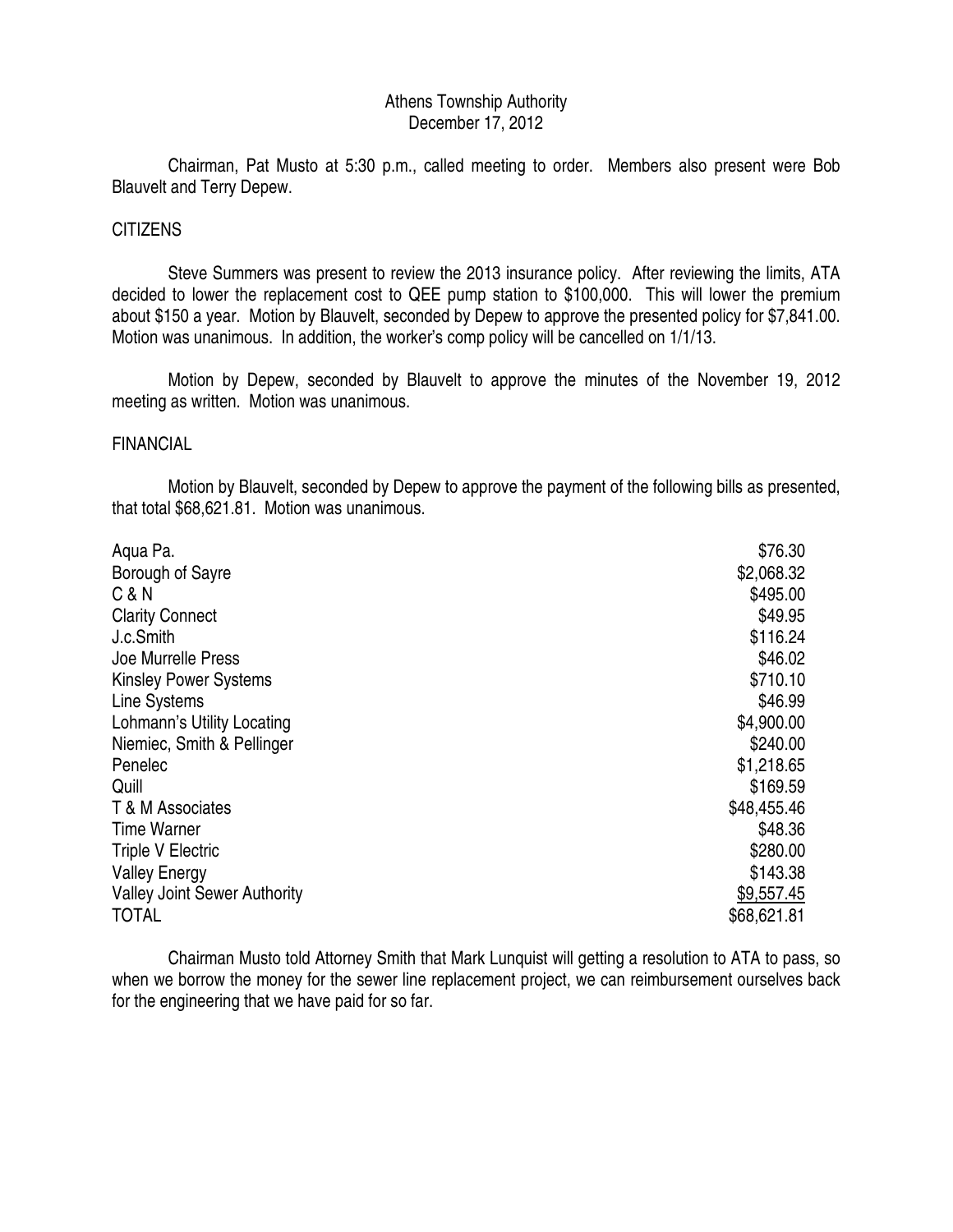## Athens Township Authority December 17, 2012

 Chairman, Pat Musto at 5:30 p.m., called meeting to order. Members also present were Bob Blauvelt and Terry Depew.

## **CITIZENS**

 Steve Summers was present to review the 2013 insurance policy. After reviewing the limits, ATA decided to lower the replacement cost to QEE pump station to \$100,000. This will lower the premium about \$150 a year. Motion by Blauvelt, seconded by Depew to approve the presented policy for \$7,841.00. Motion was unanimous. In addition, the worker's comp policy will be cancelled on 1/1/13.

 Motion by Depew, seconded by Blauvelt to approve the minutes of the November 19, 2012 meeting as written. Motion was unanimous.

## FINANCIAL

 Motion by Blauvelt, seconded by Depew to approve the payment of the following bills as presented, that total \$68,621.81. Motion was unanimous.

| Aqua Pa.                            | \$76.30     |
|-------------------------------------|-------------|
| Borough of Sayre                    | \$2,068.32  |
| C & N                               | \$495.00    |
| <b>Clarity Connect</b>              | \$49.95     |
| J.c.Smith                           | \$116.24    |
| Joe Murrelle Press                  | \$46.02     |
| <b>Kinsley Power Systems</b>        | \$710.10    |
| Line Systems                        | \$46.99     |
| Lohmann's Utility Locating          | \$4,900.00  |
| Niemiec, Smith & Pellinger          | \$240.00    |
| Penelec                             | \$1,218.65  |
| Quill                               | \$169.59    |
| T & M Associates                    | \$48,455.46 |
| <b>Time Warner</b>                  | \$48.36     |
| <b>Triple V Electric</b>            | \$280.00    |
| <b>Valley Energy</b>                | \$143.38    |
| <b>Valley Joint Sewer Authority</b> | \$9,557.45  |
| <b>TOTAL</b>                        | \$68,621.81 |

 Chairman Musto told Attorney Smith that Mark Lunquist will getting a resolution to ATA to pass, so when we borrow the money for the sewer line replacement project, we can reimbursement ourselves back for the engineering that we have paid for so far.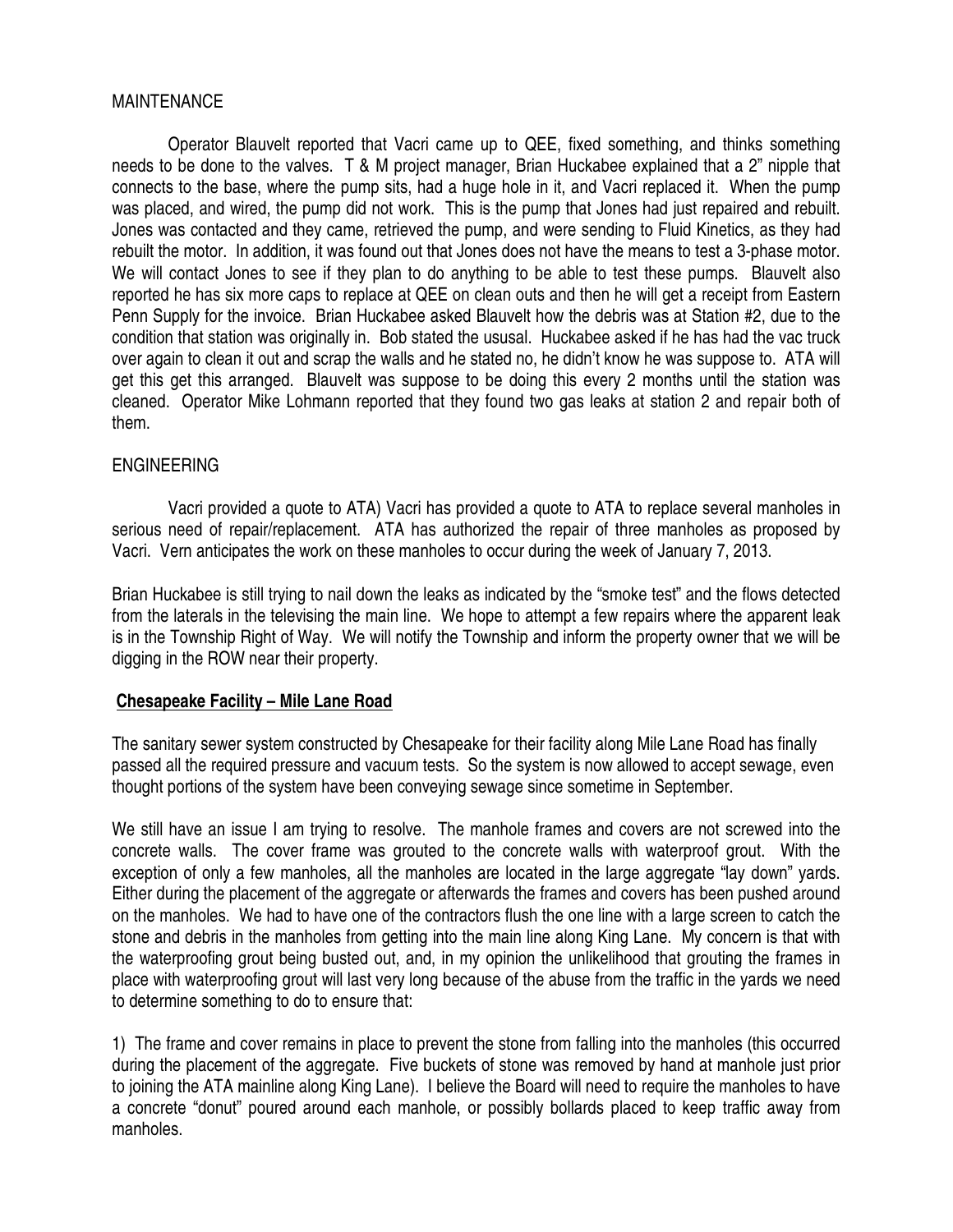## MAINTENANCE

 Operator Blauvelt reported that Vacri came up to QEE, fixed something, and thinks something needs to be done to the valves. T & M project manager, Brian Huckabee explained that a 2" nipple that connects to the base, where the pump sits, had a huge hole in it, and Vacri replaced it. When the pump was placed, and wired, the pump did not work. This is the pump that Jones had just repaired and rebuilt. Jones was contacted and they came, retrieved the pump, and were sending to Fluid Kinetics, as they had rebuilt the motor. In addition, it was found out that Jones does not have the means to test a 3-phase motor. We will contact Jones to see if they plan to do anything to be able to test these pumps. Blauvelt also reported he has six more caps to replace at QEE on clean outs and then he will get a receipt from Eastern Penn Supply for the invoice. Brian Huckabee asked Blauvelt how the debris was at Station #2, due to the condition that station was originally in. Bob stated the ususal. Huckabee asked if he has had the vac truck over again to clean it out and scrap the walls and he stated no, he didn't know he was suppose to. ATA will get this get this arranged. Blauvelt was suppose to be doing this every 2 months until the station was cleaned. Operator Mike Lohmann reported that they found two gas leaks at station 2 and repair both of them.

## ENGINEERING

 Vacri provided a quote to ATA) Vacri has provided a quote to ATA to replace several manholes in serious need of repair/replacement. ATA has authorized the repair of three manholes as proposed by Vacri. Vern anticipates the work on these manholes to occur during the week of January 7, 2013.

Brian Huckabee is still trying to nail down the leaks as indicated by the "smoke test" and the flows detected from the laterals in the televising the main line. We hope to attempt a few repairs where the apparent leak is in the Township Right of Way. We will notify the Township and inform the property owner that we will be digging in the ROW near their property.

## **Chesapeake Facility – Mile Lane Road**

The sanitary sewer system constructed by Chesapeake for their facility along Mile Lane Road has finally passed all the required pressure and vacuum tests. So the system is now allowed to accept sewage, even thought portions of the system have been conveying sewage since sometime in September.

We still have an issue I am trying to resolve. The manhole frames and covers are not screwed into the concrete walls. The cover frame was grouted to the concrete walls with waterproof grout. With the exception of only a few manholes, all the manholes are located in the large aggregate "lay down" yards. Either during the placement of the aggregate or afterwards the frames and covers has been pushed around on the manholes. We had to have one of the contractors flush the one line with a large screen to catch the stone and debris in the manholes from getting into the main line along King Lane. My concern is that with the waterproofing grout being busted out, and, in my opinion the unlikelihood that grouting the frames in place with waterproofing grout will last very long because of the abuse from the traffic in the yards we need to determine something to do to ensure that:

1) The frame and cover remains in place to prevent the stone from falling into the manholes (this occurred during the placement of the aggregate. Five buckets of stone was removed by hand at manhole just prior to joining the ATA mainline along King Lane). I believe the Board will need to require the manholes to have a concrete "donut" poured around each manhole, or possibly bollards placed to keep traffic away from manholes.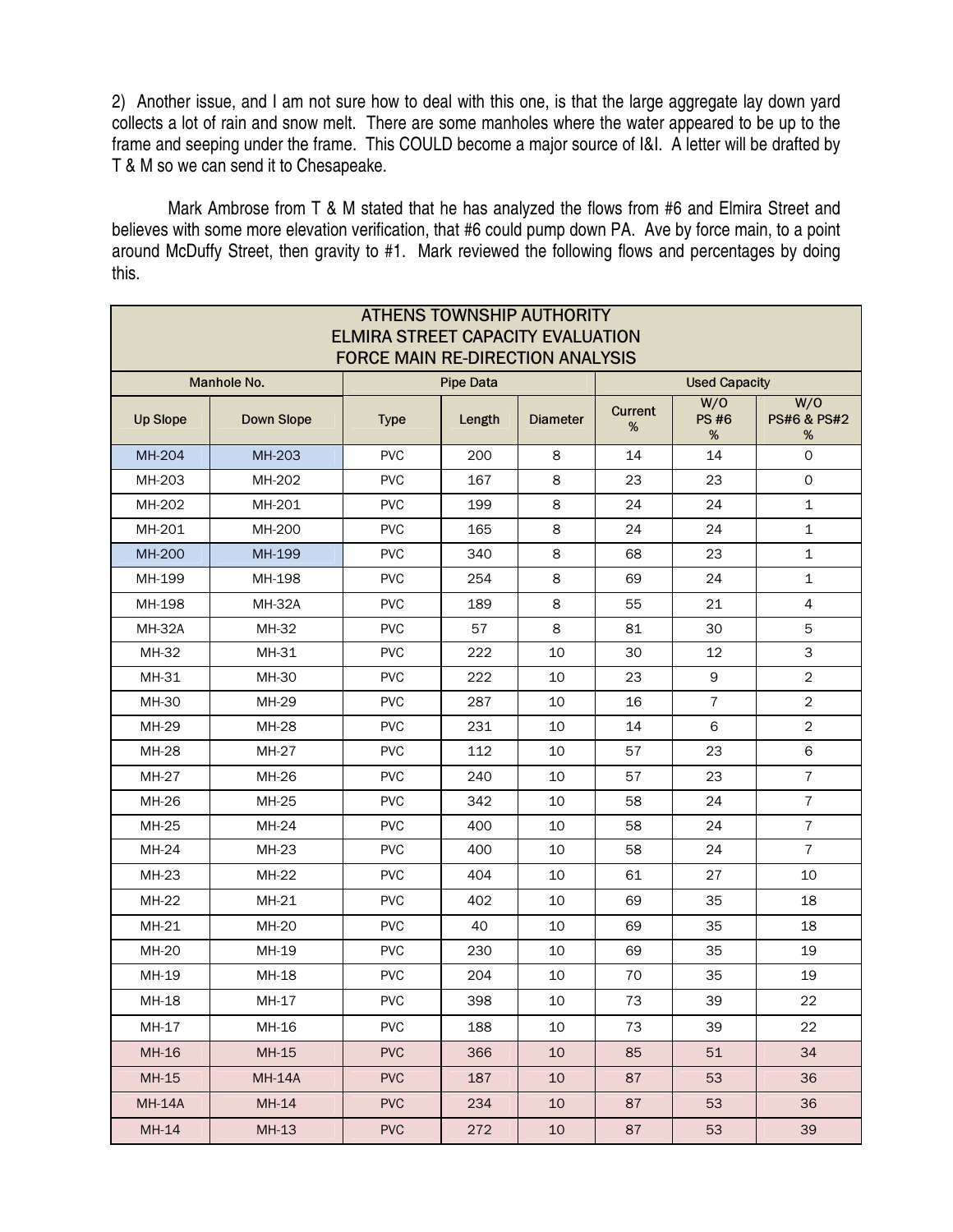2) Another issue, and I am not sure how to deal with this one, is that the large aggregate lay down yard collects a lot of rain and snow melt. There are some manholes where the water appeared to be up to the frame and seeping under the frame. This COULD become a major source of I&I. A letter will be drafted by T & M so we can send it to Chesapeake.

 Mark Ambrose from T & M stated that he has analyzed the flows from #6 and Elmira Street and believes with some more elevation verification, that #6 could pump down PA. Ave by force main, to a point around McDuffy Street, then gravity to #1. Mark reviewed the following flows and percentages by doing this.

| <b>ATHENS TOWNSHIP AUTHORITY</b><br><b>ELMIRA STREET CAPACITY EVALUATION</b><br><b>FORCE MAIN RE-DIRECTION ANALYSIS</b> |                   |                  |        |                 |                      |                         |                            |  |  |
|-------------------------------------------------------------------------------------------------------------------------|-------------------|------------------|--------|-----------------|----------------------|-------------------------|----------------------------|--|--|
| Manhole No.                                                                                                             |                   | <b>Pipe Data</b> |        |                 | <b>Used Capacity</b> |                         |                            |  |  |
| <b>Up Slope</b>                                                                                                         | <b>Down Slope</b> | <b>Type</b>      | Length | <b>Diameter</b> | <b>Current</b><br>%  | W/O<br><b>PS#6</b><br>% | W/O<br>PS#6 & PS#2<br>$\%$ |  |  |
| MH-204                                                                                                                  | MH-203            | <b>PVC</b>       | 200    | 8               | 14                   | 14                      | $\mathsf O$                |  |  |
| MH-203                                                                                                                  | MH-202            | <b>PVC</b>       | 167    | 8               | 23                   | 23                      | $\mathsf{O}$               |  |  |
| MH-202                                                                                                                  | MH-201            | <b>PVC</b>       | 199    | 8               | 24                   | 24                      | $\mathbf{1}$               |  |  |
| MH-201                                                                                                                  | MH-200            | <b>PVC</b>       | 165    | 8               | 24                   | 24                      | $\mathbf 1$                |  |  |
| <b>MH-200</b>                                                                                                           | MH-199            | <b>PVC</b>       | 340    | 8               | 68                   | 23                      | 1                          |  |  |
| MH-199                                                                                                                  | MH-198            | <b>PVC</b>       | 254    | 8               | 69                   | 24                      | $\mathbf 1$                |  |  |
| MH-198                                                                                                                  | <b>MH-32A</b>     | <b>PVC</b>       | 189    | 8               | 55                   | 21                      | 4                          |  |  |
| <b>MH-32A</b>                                                                                                           | MH-32             | <b>PVC</b>       | 57     | 8               | 81                   | 30                      | 5                          |  |  |
| MH-32                                                                                                                   | MH-31             | <b>PVC</b>       | 222    | 10              | 30                   | 12                      | 3                          |  |  |
| MH-31                                                                                                                   | MH-30             | <b>PVC</b>       | 222    | 10              | 23                   | 9                       | $\overline{2}$             |  |  |
| MH-30                                                                                                                   | MH-29             | <b>PVC</b>       | 287    | 10              | 16                   | $\overline{7}$          | $\sqrt{2}$                 |  |  |
| MH-29                                                                                                                   | <b>MH-28</b>      | <b>PVC</b>       | 231    | 10              | 14                   | 6                       | $\overline{2}$             |  |  |
| MH-28                                                                                                                   | MH-27             | <b>PVC</b>       | 112    | 10              | 57                   | 23                      | 6                          |  |  |
| MH-27                                                                                                                   | MH-26             | <b>PVC</b>       | 240    | 10              | 57                   | 23                      | 7                          |  |  |
| MH-26                                                                                                                   | MH-25             | <b>PVC</b>       | 342    | 10              | 58                   | 24                      | $\overline{7}$             |  |  |
| MH-25                                                                                                                   | MH-24             | <b>PVC</b>       | 400    | 10              | 58                   | 24                      | $\overline{7}$             |  |  |
| MH-24                                                                                                                   | MH-23             | <b>PVC</b>       | 400    | 10              | 58                   | 24                      | $\overline{7}$             |  |  |
| MH-23                                                                                                                   | MH-22             | <b>PVC</b>       | 404    | 10              | 61                   | 27                      | 10                         |  |  |
| MH-22                                                                                                                   | MH-21             | <b>PVC</b>       | 402    | 10              | 69                   | 35                      | 18                         |  |  |
| MH-21                                                                                                                   | <b>MH-20</b>      | <b>PVC</b>       | 40     | 10              | 69                   | 35                      | 18                         |  |  |
| MH-20                                                                                                                   | MH-19             | <b>PVC</b>       | 230    | 10              | 69                   | 35                      | 19                         |  |  |
| MH-19                                                                                                                   | MH-18             | <b>PVC</b>       | 204    | 10              | 70                   | 35                      | 19                         |  |  |
| MH-18                                                                                                                   | MH-17             | <b>PVC</b>       | 398    | $10\,$          | 73                   | 39                      | 22                         |  |  |
| MH-17                                                                                                                   | MH-16             | <b>PVC</b>       | 188    | 10              | 73                   | 39                      | 22                         |  |  |
| MH-16                                                                                                                   | MH-15             | <b>PVC</b>       | 366    | 10              | 85                   | 51                      | 34                         |  |  |
| MH-15                                                                                                                   | <b>MH-14A</b>     | <b>PVC</b>       | 187    | 10              | 87                   | 53                      | 36                         |  |  |
| <b>MH-14A</b>                                                                                                           | MH-14             | <b>PVC</b>       | 234    | 10              | 87                   | 53                      | 36                         |  |  |
| MH-14                                                                                                                   | MH-13             | <b>PVC</b>       | 272    | 10              | 87                   | 53                      | 39                         |  |  |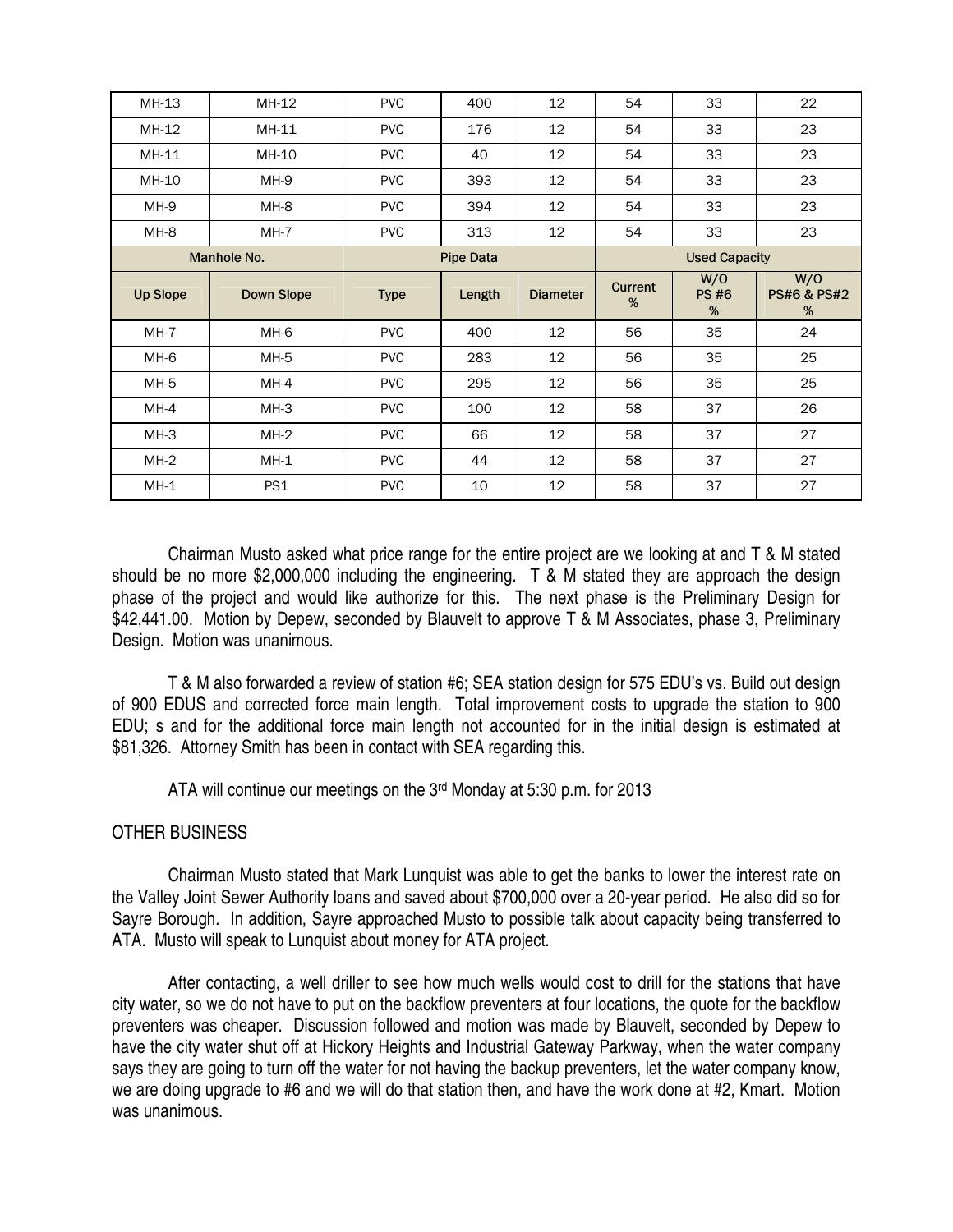| <b>PVC</b><br>12<br>MH-13<br>MH-12<br>400<br>54<br>12<br>54<br>MH-11<br><b>PVC</b><br>176<br>MH-12<br>MH-10<br>12<br>$MH-11$<br><b>PVC</b><br>40<br>54 | 22<br>33<br>33<br>23                               |  |  |
|--------------------------------------------------------------------------------------------------------------------------------------------------------|----------------------------------------------------|--|--|
|                                                                                                                                                        |                                                    |  |  |
|                                                                                                                                                        |                                                    |  |  |
|                                                                                                                                                        | 23<br>33                                           |  |  |
| MH-9<br><b>PVC</b><br>12<br>MH-10<br>393<br>54                                                                                                         | 23<br>33                                           |  |  |
| 394<br>12<br>54<br>MH-9<br>MH-8<br><b>PVC</b>                                                                                                          | 33<br>23                                           |  |  |
| 12<br>MH-8<br>$MH-7$<br><b>PVC</b><br>313<br>54                                                                                                        | 23<br>33                                           |  |  |
| <b>Pipe Data</b><br>Manhole No.                                                                                                                        | <b>Used Capacity</b>                               |  |  |
| <b>Current</b><br><b>Up Slope</b><br><b>Down Slope</b><br><b>Type</b><br>Length<br><b>Diameter</b><br>%                                                | W/O<br>W/O<br><b>PS#6</b><br>PS#6 & PS#2<br>%<br>% |  |  |
| $MH-7$<br>MH-6<br><b>PVC</b><br>400<br>12<br>56                                                                                                        | 24<br>35                                           |  |  |
| MH-6<br>MH-5<br><b>PVC</b><br>283<br>12<br>56                                                                                                          | 35<br>25                                           |  |  |
| 12<br>MH-5<br>MH-4<br><b>PVC</b><br>295<br>56                                                                                                          | 35<br>25                                           |  |  |
| 12<br>$MH-4$<br>$MH-3$<br><b>PVC</b><br>100<br>58                                                                                                      | 26<br>37                                           |  |  |
|                                                                                                                                                        |                                                    |  |  |
| 66<br>12<br>$MH-3$<br>$MH-2$<br><b>PVC</b><br>58                                                                                                       | 37<br>27                                           |  |  |
| 12<br>$MH-2$<br>$MH-1$<br><b>PVC</b><br>44<br>58                                                                                                       | 37<br>27                                           |  |  |

 Chairman Musto asked what price range for the entire project are we looking at and T & M stated should be no more \$2,000,000 including the engineering. T & M stated they are approach the design phase of the project and would like authorize for this. The next phase is the Preliminary Design for \$42,441.00. Motion by Depew, seconded by Blauvelt to approve T & M Associates, phase 3, Preliminary Design. Motion was unanimous.

 T & M also forwarded a review of station #6; SEA station design for 575 EDU's vs. Build out design of 900 EDUS and corrected force main length. Total improvement costs to upgrade the station to 900 EDU; s and for the additional force main length not accounted for in the initial design is estimated at \$81,326. Attorney Smith has been in contact with SEA regarding this.

ATA will continue our meetings on the 3rd Monday at 5:30 p.m. for 2013

# OTHER BUSINESS

 Chairman Musto stated that Mark Lunquist was able to get the banks to lower the interest rate on the Valley Joint Sewer Authority loans and saved about \$700,000 over a 20-year period. He also did so for Sayre Borough. In addition, Sayre approached Musto to possible talk about capacity being transferred to ATA. Musto will speak to Lunquist about money for ATA project.

 After contacting, a well driller to see how much wells would cost to drill for the stations that have city water, so we do not have to put on the backflow preventers at four locations, the quote for the backflow preventers was cheaper. Discussion followed and motion was made by Blauvelt, seconded by Depew to have the city water shut off at Hickory Heights and Industrial Gateway Parkway, when the water company says they are going to turn off the water for not having the backup preventers, let the water company know, we are doing upgrade to #6 and we will do that station then, and have the work done at #2, Kmart. Motion was unanimous.